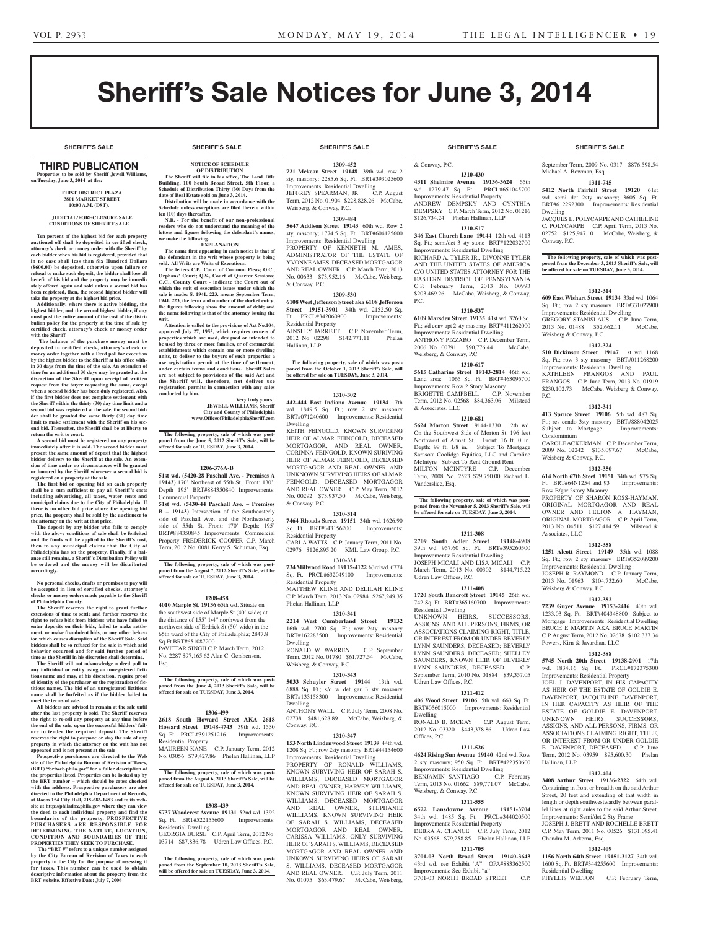**SHERIFF'S SALE SHERIFF'S SALE SHERIFF'S SALE SHERIFF'S SALE SHERIFF'S SALE**

# Sheriff's Sale Notices for June 3, 2014

# Third PUBLICATION

**Properties to be sold by Sheriff Jewell Williams, on Tuesday, June 3, 2014 at the:** 

#### **First District Plaza 3801 Market Street 10:00 A.M. (DST).**

### **JUDICIAL/FORECLOSURE SALE CONDITIONS OF SHERIFF SALE**

**Ten percent of the highest bid for each property auctioned off shall be deposited in certified check, attorney's check or money order with the Sheriff by each bidder when his bid is registered, provided that in no case shall less than Six Hundred Dollars (\$600.00) be deposited, otherwise upon failure or refusal to make such deposit, the bidder shall lose all benefit of his bid and the property may be immediately offered again and sold unless a second bid has been registered, then, the second highest bidder will take the property at the highest bid price.**

**Additionally, where there is active bidding, the highest bidder, and the second highest bidder, if any must post the entire amount of the cost of the distri-bution policy for the property at the time of sale by certified check, attorney's check or money order with the Sheriff**

 **The balance of the purchase money must be deposited in certified check, attorney's check or money order together with a Deed poll for execution by the highest bidder to the Sheriff at his office within 30 days from the time of the sale. An extension of time for an additional 30 days may be granted at the discretion of the Sheriff upon receipt of written request from the buyer requesting the same, except when a second bidder has been duly registered. Also, if the first bidder does not complete settlement with the Sheriff within the thirty (30) day time limit and a second bid was registered at the sale, the second bid-der shall be granted the same thirty (30) day time limit to make settlement with the Sheriff on his second bid. Thereafter, the Sheriff shall be at liberty to return the writ to court.**

**A second bid must be registered on any property immediately after it is sold. The second bidder must present the same amount of deposit that the highest bidder delivers to the Sheriff at the sale. An extension of time under no circumstances will be granted or honored by the Sheriff whenever a second bid is registered on a property at the sale.** 

**The first bid or opening bid on each property shall be a sum sufficient to pay all Sheriff's costs including advertising, all taxes, water rents and municipal claims due to the City of Philadelphia. If there is no other bid price above the opening bid price, the property shall be sold by the auctioneer to the attorney on the writ at that price.**

**The deposit by any bidder who fails to comply with the above conditions of sale shall be forfeited and the funds will be applied to the Sheriff's cost, then to any municipal claims that the City of Philadelphia has on the property. Finally, if a bal-ance still remains, a Sheriff's Distribution Policy will be ordered and the money will be distributed accordingly.**

**No personal checks, drafts or promises to pay will be accepted in lieu of certified checks, attorney's checks or money orders made payable to the Sheriff of Philadelphia County.**

**The Sheriff reserves the right to grant further extensions of time to settle and further reserves the right to refuse bids from bidders who have failed to enter deposits on their bids, failed to make settle-ment, or make fraudulent bids, or any other behavior which causes disruption of the Sheriff Sale. Said bidders shall be so refused for the sale in which said behavior occurred and for said further period of** 

**time as the Sheriff in his discretion shall determine. The Sheriff will not acknowledge a deed poll to any individual or entity using an unregistered fictitious name and may, at his discretion, require proof of identity of the purchaser or the registration of fictitious names. The bid of an unregistered fictitious name shall be forfeited as if the bidder failed to meet the terms of sale.**

**All bidders are advised to remain at the sale until after the last property is sold. The Sheriff reserves the right to re-sell any property at any time before the end of the sale, upon the successful bidders' failure to tender the required deposit. The Sheriff reserves the right to postpone or stay the sale of any property in which the attorney on the writ has not appeared and is not present at the sale Prospective purchasers are directed to the Web** 

**site of the Philadelphia Bureau of Revision of Taxes, (BRT) "brtweb.phila.gov" for a fuller description of the properties listed. Properties can be looked up by the BRT number – which should be cross checked with the address. Prospective purchasers are also directed to the Philadelphia Department of Records, at Room 154 City Hall, 215-686-1483 and to its website at http://philadox.phila.gov where they can view the deed to each individual property and find the boundaries of the property. PROSPECTIVE PURCHASERS ARE RESPONSIBLE FOR DETERMINING THE NATURE, LOCATION, CONDITION AND BOUNDARIE S OF THE PROPERTIES THEY SEEK TO PURCHASE.**

**The "BRT #" refers to a unique number assigned by the City Bureau of Revision of Taxes to each property in the City for the purpose of assessing it for taxes. This number can be used to obtain descriptive information about the property from the BRT website. Effective Date: July 7, 2006**

# **NOTICE OF SCHEDULE**

**OF DISTRIBUTION The Sheriff will file in his office, The Land Title Building, 100 South Broad Street, 5th Floor, a** 

**Schedule of Distribution Thirty (30) Days from the date of Real Estate sold on June 3, 2014. Distribution will be made in accordance with the** 

**Schedule unless exceptions are filed thereto within ten (10) days thereafter. N.B. - For the benefit of our non-professional readers who do not understand the meaning of the letters and figures following the defendant's names,** 

**we make the following. EXPLANATION** 

**The name first appearing in each notice is that of the defendant in the writ whose property is being sold. All Writs are Writs of Executions.**

**The letters C.P., Court of Common Pleas; O.C., Orphans' Court; Q.S., Court of Quarter Sessions; C.C., County Court - indicate the Court out of which the writ of execution issues under which the sale is made: S. 1941. 223. means September Term, 1941. 223, the term and number of the docket entry; the figures following show the amount of debt; and the name following is that of the attorney issuing the writ.**

**Attention is called to the provisions of Act No.104, approved July 27, 1955, which requires owners of properties which are used, designed or intended to be used by three or more families, or of commercial ents which contain one or more dwelling units, to deliver to the buyers of such properties a use registration permit at the time of settlement, under certain terms and conditions. Sheriff Sales are not subject to provisions of the said Act and the Sheriff will, therefore, not deliver use registration permits in connection with any sales conducted by him.**

> **Very truly yours, JEWELL WILLIAMS, Sheriff City and County of Philadelphia www.OfficeofPhiladelphiaSheriff.com**

**The following property, sale of which was post-poned from the June 5, 2012 Sheriff's Sale, will be offered for sale on TUESDAY, June 3, 2014.**

#### **1206-376A-B**

**51st wd. (5420-28 Paschall Ave. - Premises A 19143)** 170' Northeast of 55th St., Front: 130', Depth 195' BRT#884350840 Improvements: Commercial Property

**51st wd. (5430-44 Paschall Ave. – Premises B – 19143)** Intersection of the Southeasterly side of Paschall Ave. and the Northeasterly side of 55th St. Front: 170' Depth: 195' BRT#884350845 Improvements: Commercial Property FREDERICK COOPER C.P. March Term, 2012 No. 0081 Kerry S. Schuman, Esq.

**The following property, sale of which was post-poned from the August 7, 2012 Sheriff's Sale, will be offered for sale on TUESDAY, June 3, 2014.**

#### **1208-458**

**4010 Marple St. 19136** 65th wd. Situate on the southwest side of Marple St (40' wide) at the distance of 155' 1/4" northwest from the northwest side of Erdrick St (50' wide) in the 65th ward of the City of Philadelphia; 2847.8 Sq Ft BRT#651087200 PAVITTAR SINGH C.P. March Term, 2012

No. 2287 \$97,165.62 Alan C. Gershenson, Esq.

**The following property, sale of which was post-poned from the June 4, 2013 Sheriff's Sale, will be offered for sale on TUESDAY, June 3, 2014.**

# **1306-499**

**2618 South Howard Street AKA 2618 Howard Street 19148-4743** 39th wd. 1530 Sq. Ft. PRCL#391251216 Improvements: Residential Property

MAUREEN KANE C.P. January Term, 2012 No. 03056 \$79,427.86 Phelan Hallinan, LLP

The following property, sale of which was post<br>oned from the August 6, 2013 Sheriff's Sale, will be **poned from the August 6, 2013 Sheriff's Sale, will be offered for sale on TUESDAY, June 3, 2014.**

#### **1308-439**

**5737 Woodcrest Avenue 19131** 52nd wd. 1392 Sq. Ft. BRT#522155600 Improvements: Residential Dwelling

GEORGIA BURSE C.P. April Term, 2012 No. 03714 \$87,836.78 Udren Law Offices, P.C.

**The following property, sale of which was post-poned from the September 10, 2013 Sheriff's Sale, will be offered for sale on TUESDAY, June 3, 2014.**

**1309-452 721 Mckean Street 19148** 39th wd. row 2 sty, masonry; 2285.6 Sq. Ft. BRT#393025600 Improvements: Residential Dwelling<br>JEFFREY SPEARMAN, JR. C.P. August JEFFREY SPEARMAN, JR. Term, 2012 No. 01904 \$228,828.26 McCabe, Weisberg, & Conway, P.C.

# **1309-484**

**5647 Addison Street 19143** 60th wd. Row 2 sty, masonry; 1774.5 Sq. Ft. BRT#604125600 Improvements: Residential Dwelling PROPERTY OF KENNETH M. AMES, ADMINISTRATOR OF THE ESTATE OF YVONNE AMES, DECEASED MORTGAGOR AND REAL OWNER C.P. March Term, 2013 No. 00633 \$73,952.16 McCabe, Weisberg, & Conway, P.C.

### **1309-530**

**6108 West Jefferson Street aka 6108 Jefferson Street 19151-3901** 34th wd. 2152.50 Sq.<br>Ft. PRCL#342060900 Improvements: Ft. PRCL#342060900 Residential Property

AINSLEY JARRETT C.P. November Term, 2012 No. 02298 \$142,771.11 Phelan Hallinan, LLP

**The following property, sale of which was post-poned from the October 1, 2013 Sheriff's Sale, will be offered for sale on TUESDAY, June 3, 2014.**

## **1310-302**

**442-444 East Indiana Avenue 19134** 7th wd. 1849.5 Sq. Ft.; row 2 sty masonry BRT#071240600 Improvements: Residential Dwelling

KEITH FEINGOLD, KNOWN SURVIGING HEIR OF ALMAR FEINGOLD, DECEASED MORTGAGOR, AND REAL OWNER, CORINNA FEINGOLD, KNOWN SURIVING HEIR OF ALMAR FEINGOLD, DECEASED MORTGAGOR AND REAL OWNER AND UNKNOWN SURVIVING HEIRS OF ALMAR FEINGOLD, DECEASED MORTGAGOR AND REAL OWNER C.P. May Term, 2012 No. 00292 \$73,937.50 McCabe, Weisberg, & Conway, P.C.

### **1310-314**

**7464 Rhoads Street 19151** 34th wd. 1626.90 Sq. Ft. BRT#343156200 Improvements: Residential Property

CARLA WATTS C.P. January Term, 2011 No. 02976 \$126,895.20 KML Law Group, P.C. **1310-331**

**734 Millwood Road 19115-4122** 63rd wd. 6774 Sq. Ft. PRCL#632049100 Improvements: Residential Property MATTHEW KLINE AND DELILAH KLINE C.P. March Term, 2013 No. 02984 \$267,249.35

Phelan Hallinan, LLP **1310-341**

**2214 West Cumberland Street 19132**  16th wd. 2700 Sq. Ft.; row 2sty masonry BRT#162283500 Improvements: Residential Dwelling

RONALD W. WARREN C.P. September Term, 2012 No. 01780 \$61,727.54 McCabe, Weisberg, & Conway, P.C.

# **1310-343**

**5033 Schuyler Street 19144** 13th wd. 6888 Sq. Ft.; s/d w det gar 3 sty masonry BRT#133158300 Improvements: Residential Dwelling ANTHONY WALL C.P. July Term, 2008 No.

02738 \$481,628.89 McCabe, Weisberg, & Conway, P.C.

# **1310-347**

**153 North Lindenwood Street 19139** 44th wd. 1208 Sq. Ft.; row 2sty masonry BRT#44154600 Improvements: Residential Dwelling PROPERTY OF RONALD WILLIAMS, KNOWN SURVIVING HEIR OF SARAH S. WILLIAMS, DECEASED MORTGAGOR AND REAL OWNER, HARVEY WILLIAMS, KNOWN SURVIVING HEIR OF SARAH S. WILLIAMS, DECEASED MORTGAGOR AND REAL OWNER, STEPHANIE WILLIAMS, KNOWN SURVIVING HEIR OF SARAH S. WILLIAMS, DECEASED MORTGAGOR AND REAL OWNER, CARISSA WILLIAMS, ONLY SURVIVING HEIR OF SARAH S. WILLIAMS, DECEASED MORTGAGOR AND REAL OWNER AND UNKOWN SURVIVING HEIRS OF SARAH S. WILLIAMS, DECEASED MORTGAGOR AND REAL OWNER. C.P. July Term, 2011 No. 01075 \$63,479.67 McCabe, Weisberg,

**SHERIFF'S SALE SHERIFF'S SALE SHERIFF'S SALE SHERIFF'S SALE SHERIFF'S SALE**

# & Conway, P.C.

**1310-430 4311 Shelmire Avenue 19136-3624** 65th wd. 1279.47 Sq. Ft. PRCL#651045700 Improvements: Residential Property ANDREW DEMPSKY AND CYNTHIA DEMPSKY C.P. March Term, 2012 No. 01216 \$126,734.24 Phelan Hallinan, LLP

#### **1310-517 346 East Church Lane 19144** 12th wd. 4113

Sq. Ft.; semi/det 3 sty stone BRT#122032700 Improvements: Residential Dwelling RICHARD A. TYLER JR., DIVONNE TYLER AND THE UNITED STATES OF AMERICA C/O UNITED STATES ATTORNEY FOR THE EASTERN DISTRICT OF PENNSYLVANIA C.P. February Term, 2013 No. 00993 \$203,469.26 McCabe, Weisberg, & Conway, P.C.

#### **1310-537**

**6109 Marsden Street 19135** 41st wd. 3260 Sq. Ft.; s/d conv apt 2 sty masonry BRT#411262000 Improvements: Residential Dwelling ANTHONY PIZZARO C.P. December Term, 2006 No. 00791 \$90,776.44 McCabe, Weisberg, & Conway, P.C.

#### **1310-617**

**5615 Catharine Street 19143-2814** 46th wd. Land area: 1065 Sq. Ft. BRT#463095700 Improvements: Row 2 Story Masonry BRIGETTE CAMPBELL C.P. November Term, 2012 No. 02568 \$84,363.06 Milstead & Associates, LLC

#### **1310-681**

**5624 Morton Street** 19144-1330 12th wd. On the Southwest Side of Morton St. 196 feet Northwest of Armat St.; Front: 16 ft. 0 in. Depth: 99 ft. 1/8 in. Subject To Mortgage Sarasota Coolidge Equities, LLC and Caroline McIntyre Subject To Rent Ground Rent MILTON MCINTYRE C.P. December Term, 2008 No. 2523 \$29,750.00 Richard L. Vanderslice, Esq.

# **The following property, sale of which was postponed from the November 5, 2013 Sheriff's Sale, will be offered for sale on TUESDAY, June 3, 2014.**

### **1311-308**

**2709 South Adler Street 19148-4908**  39th wd. 957.60 Sq. Ft. BRT#395260500 Improvements: Residential Dwelling JOSEPH MICALI AND LISA MICALI C.P. March Term, 2013 No. 00302 \$144,715.22 Udren Law Offices, P.C.

#### **1311-408**

**1720 South Bancroft Street 19145** 26th wd. 742 Sq. Ft. BRT#365160700 Improvements: Residential Dwelling UNKNOWN HEIRS, SUCCESSORS, ASSIGNS, AND ALL PERSONS, FIRMS, OR

ASSOCIATIONS CLAIMING RIGHT, TITLE, OR INTEREST FROM OR UNDER BEVERLY LYNN SAUNDERS, DECEASED; BEVERLY LYNN SAUNDERS, DECEASED; SHELLEY SAUNDERS, KNOWN HEIR OF BEVERLY LYNN SAUNDERS, DECEASED C.P. September Term, 2010 No. 01884 \$39,357.05 Udren Law Offices, P.C.

#### **1311-412 406 Wood Street 19106** 5th wd. 663 Sq. Ft.

BRT#056015000 Improvements: Residential Dwelling RONALD B. MCKAY C.P. August Term,

2012 No. 03320 \$443,378.86 Udren Law Offices, P.C.

# **1311-526**

**4624 Rising Sun Avenue 19140** 42nd wd. Row 2 sty masonry; 950 Sq. Ft. BRT#422350600 Improvements: Residential Dwelling<br>
BENJAMIN SANTIAGO C.P. February BENJAMIN SANTIAGO Term, 2013 No. 01662 \$89,771.07 McCabe, Weisberg, & Conway, P.C.

# **1311-555**

**6522 Lansdowne Avenue 19151-3704**  34th wd. 1485 Sq. Ft. PRCL#344020500 Improvements: Residential Property DEBRA A. CHANCE C.P. July Term, 2012 No. 03568 \$79,258.85 Phelan Hallinan, LLP

# **1311-705 3701-03 North Broad Street 19140-3643**  43rd wd. see Exhibit "A" OPA#883362500

Improvements: See Exhibit "a" 3701-03 NORTH BROAD STREET C.P.

September Term, 2009 No. 0317 \$876,598.54 Michael A. Bowman, Esq.

**1311-745 5412 North Fairhill Street 19120** 61st wd. semi det 2sty masonry; 3605 Sq. Ft. BRT#612292300 Improvements: Residential

Dwelling JACQUES E. POLYCARPE AND CATHELINE C. POLYCARPE C.P. April Term, 2013 No. 02752 \$125,947.10 McCabe, Weisberg, & Conway, P.C.

**The following property, sale of which was post-poned from the December 3, 2013 Sheriff's Sale, will be offered for sale on TUESDAY, June 3, 2014.**

**1312-314 609 East Wishart Street 19134** 33rd wd. 1064 Sq. Ft.; row 2 sty masonry BRT#331027900 Improvements: Residential Dwelling GREGORY STANISLAUS C.P. June Term, 2013 No. 01488 \$52,662.11 McCabe,

**1312-324 510 Dickinson Street 19147** 1st wd. 1168 Sq. Ft.; row 3 sty masonry BRT#011268200 Improvements: Residential Dwelling KATHLEEN FRANGOS AND PAUL FRANGOS C.P. June Term, 2013 No. 01919 \$230,102.73 McCabe, Weisberg & Conway,

**1312-341 413 Spruce Street 19106** 5th wd. 487 Sq. Ft.; res condo 3sty masonry BRT#888042025 Subject to Mortgage Improvements:

CAROLE ACKERMAN C.P. December Term,<br>2009 No. 02242 \$135,097.67 McCabe, 2009 No. 02242 \$135,097.67 Weisberg & Conway, P.C.

**1312-350 614 North 67th Steet 19151** 34th wd. 975 Sq. Ft. BRT#64N1254 and 93 Improvements:

PROPERTY OF SHARON ROSS-HAYMAN, ORIGINAL MORTGAGOR AND REAL OWNER AND FELTON A. HAYMAN, ORIGINAL MORTGAGOR C.P. April Term, 2013 No. 04511 \$127,414.59 Milstead &

**1312-358 1251 Alcott Street 19149** 35th wd. 1088 Sq. Ft.; row 2 sty masonry BRT#352089200 Improvements: Residential Dwelling JOSEPH R. RAYMOND C.P. January Term, 2013 No. 01963 \$104,732.60 McCabe,

**1312-382 7239 Guyer Avenue 19153-2416** 40th wd. 1233.03 Sq. Ft. BRT#404348800 Subject to Mortgage Improvements: Residential Dwelling BRUCE E MARTIN AKA BRUCE MARTIN C.P. August Term, 2012 No. 02678 \$102,337.34

**1312-388 5745 North 20th Street 19138-2901** 17th wd. 1834.16 Sq. Ft. PRCL#172375300

**1312-404 3408 Arthur Street 19136-2322** 64th wd. Containing in front or breadth on the said Arthur Street, 20 feet and extending of that width in length or depth southwestwardly between parallel lines at right anles to the said Arthur Street. Improvements: Semi/det 2 Sty Frame JOSEPH J. BRETT AND ROCHELLE BRETT C.P. May Term, 2011 No. 00526 \$131,095.41

**1312-409 1156 North 64th Street 19151-3127** 34th wd. 1600 Sq. Ft. BRT#344255600 Improvements:

PHYLLIS WELTON C.P. February Term,

Weisberg & Conway, P.C.

P.C.

Condominium

Row B/gar 2story Masonry

Weisberg & Conway, P.C.

Powers, Kirn & Javardian, LLC

Improvements: Residential Property JOEL J. DAVENPORT, IN HIS CAPACITY AS HEIR OF THE ESTATE OF GOLDIE E. DAVENPORT, JACQUELINE DAVENPORT, IN HER CAPACITY AS HEIR OF THE ESTATE OF GOLDIE E. DAVENPORT. UNKNOWN HEIRS, SUCCESSORS, ASSIGNS, AND ALL PERSONS, FIRMS, OR ASSOCIATIONS CLAIMING RIGHT, TITLE, OR INTEREST FROM OR UNDER GOLDIE E. DAVENPORT, DECEASED. C.P. June Term, 2012 No. 03959 \$95,600.30 Phelan

Hallinan, LLP

Chandra M. Arkema, Esq.

Residential Dwelling

Associates, LLC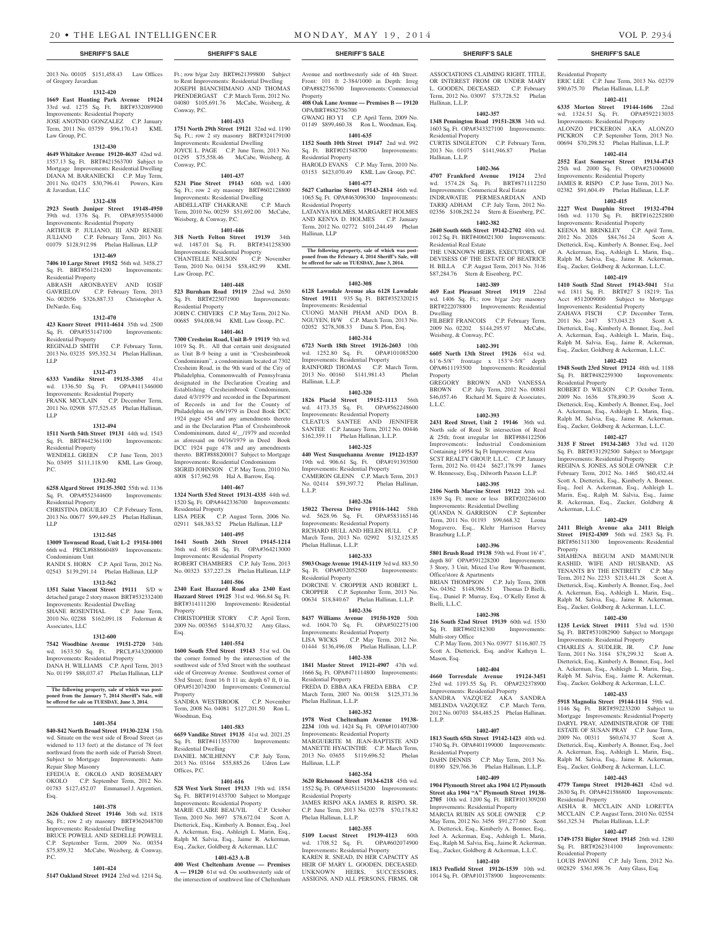2013 No. 00105 \$151,458.43 Law Offices of Gregory Javardian

# **1312-420**

**1669 East Hunting Park Avenue 19124**  33rd wd. 1275 Sq. Ft. BRT#332089900 Improvements: Residential Property JOSE ANOTNIO GONZALEZ C.P. January Term, 2011 No. 03759 \$96,170.43 KML Law Group, P.C.

### **1312-430**

**4649 Whitaker Avenue 19120-4637** 42nd wd. 1557.13 Sq. Ft. BRT#421563700 Subject to Mortgage Improvements: Residential Dwelling DIANA M. BARANIECKI C.P. May Term, 2011 No. 02475 \$30,796.41 Powers, Kirn & Javardian, LLC

#### **1312-438**

**2923 South Juniper Street 19148-4950**  39th wd. 1376 Sq. Ft. OPA#395354000 Improvements: Residential Property ARTHUR P. JULIANO, III AND RENEE JULIANO C.P. February Term, 2013 No. 01079 \$128,912.98 Phelan Hallinan, LLP

#### **1312-469**

**7406 10 Large Street 19152** 56th wd. 3458.27 Sq. Ft. BRT#561214200 Improvements:

Residential Property ABRASH ARONBAYEV AND IOSIF

GAVRIELOV C.P. February Term, 2013 No. 002056 \$326,887.33 Christopher A. DeNardo, Esq.

# **1312-470**

**423 Knorr Street 19111-4614** 35th wd. 2500 Sq. Ft. OPA#353147100 Improvements: Residential Property

REGINALD SMITH C.P. February Term, 2013 No. 03235 \$95,352.34 Phelan Hallinan, LLP

#### **1312-473**

**6333 Vandike Street 19135-3305** 41st wd. 1336.50 Sq. Ft. OPA#411346000 Improvements: Residential Property FRANK MCCLAIN C.P. December Term, 2011 No. 02908 \$77,525.45 Phelan Hallinan, LLP

# **1312-494**

**1511 North 54th Street 19131** 44th wd. 1543 Sq. Ft. BRT#442361100 Improvements: Residential Property WENDELL GREEN C.P. June Term, 2013

No. 03495 \$111,118.90 KML Law Group, P.C.

#### **1312-502**

**6258 Algard Street 19135-3502** 55th wd. 1136 Sq. Ft. OPA#552344600 Improvements:

Residential Property CHRISTINA DIGUILIO C.P. February Term, 2013 No. 00677 \$99,449.25 Phelan Hallinan,

#### **1312-545**

LLP

**13009 Townsend Road, Unit L-2 19154-1001**  66th wd. PRCL#888660489 Improvements:

Condominium Unit RANDI S. HORN C.P. April Term, 2012 No. 02543 \$139,291.14 Phelan Hallinan, LLP

# **1312-562**

**1351 Saint Vincent Street 19111** S/D w detached garage 2 story mason BRT#532332400 Improvements: Residential Dwelling SHANE ROSENTHAL C.P. June Term, 2010 No. 02288 \$162,091.18 Federman & Associates, LLC

# **1312-600**

**7542 Woodbine Avenue 19151-2720** 34th wd. 1633.50 Sq. Ft. PRCL#343200000 Improvements: Residential Property DANA H. WILLIAMS C.P. April Term, 2013 No. 01199 \$88,037.47 Phelan Hallinan, LLP

**The following property, sale of which was post-**

**poned from the January 7, 2014 Sheriff's Sale, will be offered for sale on TUESDAY, June 3, 2014.**

# **1401-354**

**840-842 North Broad Street 19130-2234** 15th wd. Situate on the west side of Broad Street (as widened to 113 feet) at the distance of 78 feet northward from the north side of Parrish Street. Subject to Mortgage Improvements: Auto Repair Shop Masonry

EFEDUA E. OKOLO AND ROSEMARY OKOLO C.P. September Term, 2012 No. 01783 \$127,452.07 Emmanuel J. Argentieri, Esq.

# **1401-378**

**2626 Oakford Street 19146** 36th wd. 1818 Sq. Ft.; row 2 sty masonry BRT#362048700 Improvements: Residential Dwelling BRUCE POWELL AND SEDELLE POWELL C.P. September Term, 2009 No. 00354 \$75,859.32 McCabe, Weisberg, & Conway, P.C.

# **1401-424**

**5147 Oakland Street 19124** 23rd wd. 1214 Sq.

Ft.; row b/gar 2sty BRT#621399800 Subject to Rent Improvements: Residential Dwelling JOSEPH BIANCHIMANO AND THOMAS PRENDERGAST C.P. March Term, 2012 No. 04080 \$105,691.76 McCabe, Weisberg, & Conway, P.C.

# **1401-433**

**1751 North 29th Street 19121** 32nd wd. 1190 Sq. Ft.; row 2 sty masonry BRT#324179100 Improvements: Residential Dwelling JOYCE L. PAGE C.P. June Term, 2013 No. 01295 \$75,558.46 McCabe, Weisberg, & Conway, P.C.

# **1401-437**

**5231 Pine Street 19143** 60th wd. 1400 Sq. Ft.; row 2 sty masonry BRT#602128800 Improvements: Residential Dwelling ABDELLATIF CHAKRANE C.P. March Term, 2010 No. 00259 \$51,692.00 McCabe, Weisberg, & Conway, P.C.

# **1401-446**

**318 North Felton Street 19139** 34th wd. 1487.01 Sq. Ft. BRT#341258300 Improvements: Residential Property CHANTELLE NELSON Term, 2010 No. 04134 \$58,482.99 KML Law Group, P.C.

#### **1401-448**

**523 Burnham Road 19119** 22nd wd. 2650 Sq. Ft. BRT#223071900 Improvements: Residential Property JOHN C. CHIVERS C.P. May Term, 2012 No. 00685 \$94,008.94 KML Law Group, P.C.

# **1401-461**

**7300 Cresheim Road, Unit B-9 19119** 9th wd. 1019 Sq. Ft.. All that certain unit designated as Unit B-9 being a unit in "Cresheimbrook Condominium", a condominium located at 7302 Cresheim Road, in the 9th ward of the City of Philadelphia, Commonwealth of Pennsylvania designated in the Declaration Creating and Establishing Cresheimbrook Condominum, dated 4/3/1979 and recorded in the Department of Records in and for the County of Philadelphia on 4/6/1979 in Deed Book DCC 1924 page 454 and any amendments thereto and in the Declaration Plan of Cresheimbrook Condominimum, dated 4/\_\_/1979 and recorded as aforesaid on 04/16/1979 in Deed Book DCC 1924 page 478 and any amendments thereto. BRT#888200017 Subject to Mortgage Improvements: Residential Condominium SIGRID JOHNSON C.P. May Term, 2010 No. 4008 \$17,962.98 Hal A. Barrow, Esq.

#### **1401-467**

**1324 North 53rd Street 19131-4335** 44th wd. 1520 Sq. Ft. OPA#442336700 Improvements: Residential Property<br>LISA PEEK C.P. C.P. August Term, 2006 No. 02911 \$48,383.52 Phelan Hallinan, LLP

**1401-495 1641 South 26th Street 19145-1214** 

36th wd. 691.88 Sq. Ft. OPA#364213000 Improvements: Residential Property ROBERT CHAMBERS C.P. July Term, 2013 No. 00323 \$37,227.28 Phelan Hallinan, LLP

# **1401-506**

**2340 East Hazzard Road aka 2340 East Hazzard Street 19125** 31st wd. 966.84 Sq. Ft. BRT#314111200 Improvements: Residential Property CHRISTOPHER STORY C.P. April Term, 2009 No. 003565 \$144,870.32 Amy Glass,

# **1401-554**

Esq.

**1600 South 53rd Street 19143** 51st wd. On the corner formed by the intersection of the southwest side of 53rd Street with the southeast side of Greenway Avenue. Southwest corner of 53rd Street; front 16 ft 11 in; depth 67 ft, 0 in. OPA#512074200 Improvements: Commercial Property SANDRA WESTBROOK C.P. November

Term, 2008 No. 04081 \$127,201.50 Ron L. Woodman, Esq.

#### **1401-583 6659 Vandike Street 19135** 41st wd. 2021.25

Sq. Ft. BRT#411353700 Improvements: Residential Dwelling DANIEL MCILHENNY C.P. July Term, 2013 No. 03164 \$55,885.26 Udren Law Offices, P.C.

# **1401-616**

**528 West York Street 19133** 19th wd. 1854 Sq. Ft. BRT#191433700 Subject to Mortgage Improvements: Residential Property<br>MARIE CLAIRE BEAUVIL C.P. October

MARIE CLAIRE BEAUVIL Term, 2010 No. 3697 \$78,672.04 Scott A. Dietterick, Esq., Kimberly A. Bonner, Esq., Joel A. Ackerman, Esq., Ashleigh L. Marin, Esq., Ralph M. Salvia, Esq., Jaime R. Ackerman, Esq., Zucker, Goldberg & Ackerman, LLC

### **1401-623 A-B**

**400 West Cheltenham Avenue — Premises A — 19120** 61st wd. On southwesterly side of the intersection of southwest line of Cheltenham

# **SHERIFF'S SALE SHERIFF'S SALE SHERIFF'S SALE SHERIFF'S SALE SHERIFF'S SALE**

ASSOCIATIONS CLAIMING RIGHT, TITLE OR INTEREST FROM OR UNDER MARY L. GOODEN, DECEASED. C.P. February Term, 2012 No. 03097 \$73,728.52 Phelan

Residential Property

ERIC LEE C.P. June Term, 2013 No. 02379 \$90,675.70 Phelan Hallinan, L.L.P. **1402-411 6335 Morton Street 19144-1606** 22nd wd. 1324.51 Sq. Ft. OPA#592213035 Improvements: Residential Property ALONZO PICKERON AKA ALONZO PICKRON C.P. September Term, 2013 No. 00694 \$70,298.52 Phelan Hallinan, L.L.P. **1402-414 2552 East Somerset Street 19134-4743**  25th wd. 2000 Sq. Ft. OPA#251006000 Improvements: Residential Property JAMES R. RISPO C.P. June Term, 2013 No. 02382 \$91,604.49 Phelan Hallinan, L.L.P. **1402-415 2227 West Dauphin Street 19132-4704**  16th wd. 1170 Sq. Ft. BRT#162252800 Improvements: Residential Property

KEENA M. BRINKLEY C.P. April Term,<br>2012 No. 2026 \$84,761.24 Scott A. 2012 No. 2026 \$84,761.24 Dietterick, Esq., Kimberly A. Bonner, Esq., Joel A. Ackerman, Esq., Ashleigh L. Marin, Esq., Ralph M. Salvia, Esq., Jaime R. Ackerman, Esq., Zucker, Goldberg & Ackerman, L.L.C. **1402-419 1410 South 52nd Street 19143-5041** 51st wd. 1811 Sq. Ft. BRT#27 S 18219; Tax Acct #512009000 Subject to Mortgage Improvements: Residential Property ZAHAVA FISCH C.P. December Term, 2011 No. 2447 \$73,043.23 Scott A. Dietterick, Esq., Kimberly A. Bonner, Esq., Joel A. Ackerman, Esq., Ashleigh L. Marin, Esq., Ralph M. Salvia, Esq., Jaime R. Ackerman, Esq., Zucker, Goldberg & Ackerman, L.L.C. **1402-422 1948 South 23rd Street 19124** 48th wd. 1188 Sq. Ft. BRT#482259300 Improvements:

ROBERT D. WILSON C.P. October Term, 2009 No. 1636 \$78,890.39 Scott A. Dietterick, Esq., Kimberly A. Bonner, Esq., Joel A. Ackerman, Esq., Ashleigh L. Marin, Esq., Ralph M. Salvia, Esq., Jaime R. Ackerman, Esq., Zucker, Goldberg & Ackerman, L.L.C. **1402-427 3135 F Street 19134-2403** 33rd wd. 1120 Sq. Ft. BRT#331292500 Subject to Mortgage Improvements: Residential Property REGINA S. JONES, AS SOLE OWNER C.P. February Term, 2012 No. 1465 \$60,432.44 Scott A. Dietterick, Esq., Kimberly A. Bonner, Esq., Joel A. Ackerman, Esq., Ashleigh L. Marin, Esq., Ralph M. Salvia, Esq., Jaime R. Ackerman, Esq., Zucker, Goldberg &

**1402-429 2411 Bleigh Avenue aka 2411 Bleigh Street 19152-4309** 56th wd. 2583 Sq. Ft. BRT#561311300 Improvements: Residential

SHAHENA BEGUM AND MAMUNUR RASHID, WIFE AND HUSBAND, AS TENANTS BY THE ENTIRETY C.P. May Term, 2012 No. 2233 \$213,441.28 Scott A. Dietterick, Esq., Kimberly A. Bonner, Esq., Joel A. Ackerman, Esq., Ashleigh L. Marin, Esq., Ralph M. Salvia, Esq., Jaime R. Ackerman, Esq., Zucker, Goldberg & Ackerman, L.L.C. **1402-430 1235 Levick Street 19111** 53rd wd. 1530 Sq. Ft. BRT#531082900 Subject to Mortgage Improvements: Residential Property CHARLES A. SUDLER, JR. C.P. June Term, 2011 No. 3184 \$78,299.32 Scott A. Dietterick, Esq., Kimberly A. Bonner, Esq., Joel A. Ackerman, Esq., Ashleigh L. Marin, Esq., Ralph M. Salvia, Esq., Jaime R. Ackerman, Esq., Zucker, Goldberg & Ackerman, L.L.C. **1402-433 5918 Magnolia Street 19144-1114** 59th wd. 1146 Sq. Ft. BRT#592233200 Subject to Mortgage Improvements: Residential Property DARYL PRAY, ADMINISTRATOR OF THE ESTATE OF SUSAN PRAY C.P. June Term, 2009 No. 00311 \$60,674.37 Scott A. Dietterick, Esq., Kimberly A. Bonner, Esq., Joel A. Ackerman, Esq., Ashleigh L. Marin, Esq., Ralph M. Salvia, Esq., Jaime R. Ackerman, Esq., Zucker, Goldberg & Ackerman, L.L.C. **1402-443 4779 Tampa Street 19120-4621** 42nd wd. 2630 Sq. Ft. OPA#421586800 Improvements:

Residential Property

Ackerman, L.L.C.

Residential Property

 $Sq. Ft. BRT#262314100$ Residential Property

AISHA R. MCCLAIN AND LORETTA MCCLAIN C.P. August Term, 2010 No. 02554 \$61,325.34 Phelan Hallinan, L.L.P. **1402-447 1749-1751 Bigler Street 19145** 26th wd. 1280

LOUIS PAVONI C.P. July Term, 2012 No. 002829 \$361,898.76 Amy Glass, Esq.

Property

**1402-357 1348 Pennington Road 19151-2838** 34th wd. 1603 Sq. Ft. OPA#343327100 Improvements:

CURTIS SINGLETON C.P. February Term, 2013 No. 01075 \$141,946.87 Phelan

**1402-366 4707 Frankford Avenue 19124** 23rd

THE UNKNOWN HEIRS, EXECUTORS, OF DEVISESS OF THE ESTATE OF BEATRICE H. BILLA C.P. August Term, 2013 No. 3146 \$87,284.76 Stern & Eisenberg, P.C. **1402-389 469 East Pleasant Street 19119** 22nd wd. 1406 Sq. Ft.; row b/gar 2sty masonry BRT#222078800 Improvements: Residential

FILBERT FRANCOIS C.P. February Term, 2009 No. 02202 \$144,295.97 McCabe,

**1402-391 6605 North 13th Street 19126** 61st wd. 61'6-5/8" frontage x 153'9-5/8" depth OPA#611193500 Improvements: Residential

GREGORY BROWN AND VANESSA BROWN C.P. July Term, 2012 No. 00881 \$46,057.46 Richard M. Squire & Associates,

**1402-393 2431 Reed Street, Unit 2 19146** 36th wd. North side of Reed St intersection of Reed & 25th; front irregular lot BRT#884122506 Improvements: Industrial Condominium Containing 14954 Sq Ft Improvement Area SCST REALTY GROUP, L.L.C. C.P. January Term, 2012 No. 01424 \$627,178.99 James W. Hennessey, Esq., Dilworth Paxson L.L.P. **1402-395 2106 North Marvine Street 19122** 20th wd. 1839 Sq. Ft. more or less BRT#202246100 Improvements: Residential Dwelling QUANDA N. GARRISON C.P. September Term, 2011 No. 01193 \$99,668.32 Leona Mogavero, Esq., Klehr Harrison Harvey

**1402-396 5801 Brush Road 19138** 59th wd. Front 16'4", depth 80' OPA#591228200 Improvements: 3 Story, 3 Unit, Mixed Use Row W/basement,

BRIAN THOMPSON C.P. July Term, 2008 No. 04362 \$148,986.51 Thomas D Bielli, Esq., Daniel P. Murray, Esq., O'Kelly Ernst &

**1402-398 216 South 52nd Street 19139** 60th wd. 1530 Sq. Ft. BRT#602182300 Improvements:

 C.P. May Term, 2013 No. 03977 \$116,807.75 Scott A. Dietterick, Esq. and/or Kathryn L.

**1402-404 4660 Torresdale Avenue 19124-3451**  23rd wd. 1193.55 Sq. Ft. OPA#232378900 Improvements: Residential Property SANDRA VAZQUEZ AKA SANDRA MELINDA VAZQUEZ C.P. March Term, 2012 No. 00703 \$84,485.25 Phelan Hallinan,

**1402-407 1813 South 65th Street 19142-1423** 40th wd. 1740 Sq. Ft. OPA#401199000 Improvements:

DAHN DENNIS C.P. May Term, 2013 No. 01890 \$29,766.36 Phelan Hallinan, L.L.P. **1402-409 1904 Plymouth Street aka 1904 1/2 Plymouth Street aka 1904 "A" Plymouth Street 19138- 2705** 10th wd. 1200 Sq. Ft. BRT#101309200 Improvements: Residential Property MARCIA RUBIN AS SOLE OWNER C.P. May Term, 2012 No. 3456 \$91,277.60 Scott A. Dietterick, Esq., Kimberly A. Bonner, Esq., Joel A. Ackerman, Esq., Ashleigh L. Marin, Esq., Ralph M. Salvia, Esq., Jaime R. Ackerman, Esq., Zucker, Goldberg & Ackerman, L.L.C. **1402-410 1813 Penfield Street 19126-1539** 10th wd. 1014 Sq. Ft. OPA#101378900 Improvements:

Improvements: Commerical Real Estate INDRAWATIE PERMESARDIAN AND TARIQ ADHAM C.P. July Term, 2012 No. 02356 \$108,282.24 Stern & Eisenberg, P.C. **1402-382 2640 South 66th Street 19142-2702** 40th wd. 1012 Sq. Ft. BRT#406021300 Improvements:

Hallinan, L.L.P.

Residential Property

wd. 1574.28 Sq. Ft.

Residential Real Estate

Weisberg, & Conway, P.C.

Dwelling

Property

L.L.C.

Branzburg L.L.P.

Bielli, L.L.C.

Multi-story Office

Mason, Esq.

L.L.P.

Residential Property

Office/store & Apartments

Hallinan, L.L.P.

Avenue and northwesterly side of 4th Street. Front: 101 ft 2-384/1000 in Depth: Irreg OPA#882756700 Improvements: Commercial Property

**408 Oak Lane Avenue — Premises B — 19120** OPA/BRT#882756700

GWANG HO YI C.P. April Term, 2009 No. 01149 \$899,460.38 Ron L. Woodman, Esq. **1401-635**

### **1152 South 10th Street 19147** 2nd wd. 992

Sq. Ft. BRT#021548700 Improvements: Residential Property HAROLD EVANS C.P. May Term, 2010 No. 03153 \$423,070.49 KML Law Group, P.C.

**1401-677 5627 Catharine Street 19143-2814** 46th wd. 1065 Sq. Ft. OPA#463096300 Improvements:

Residential Property LATANYA HOLMES, MARGARET HOLMES AND KENYA D. HOLMES C.P. January Term, 2012 No. 02772 \$101,244.49 Phelan Hallinan, LLP

#### **The following property, sale of which was postponed from the February 4, 2014 Sheriff's Sale, will be offered for sale on TUESDAY, June 3, 2014.**

### **1402-308**

**6128 Lawndale Avenue aka 6128 Lawndale Street 19111** 935 Sq. Ft. BRT#352320215 Improvements: Residential CUONG MANH PHAM AND DOA B. NGUYEN, H/W C.P. March Term, 2013 No. 02052 \$278,308.33 Dana S. Plon, Esq.

**1402-314 6723 North 18th Street 19126-2603** 10th wd. 1252.80 Sq. Ft. OPA#101085200 Improvements: Residential Property RAINFORD THOMAS C.P. March Term,

2013 No. 00160 \$141,981.43 Phelan Hallinan, L.L.P. **1402-320**

**1826 Placid Street 19152-1113** 56th wd. 4173.35 Sq. Ft. OPA#562248600 Improvements: Residential Property CLEATUS SANTEE AND JENNIFER SANTEE C.P. January Term, 2012 No. 00446 \$162,359.11 Phelan Hallinan, L.L.P.

### **1402-325**

**440 West Susquehanna Avenue 19122-1537**  19th wd. 906.61 Sq. Ft. OPA#191393500 Improvements: Residential Property CAMERON GLENN C.P. March Term, 2013 No. 02414 \$59,397.72 Phelan Hallinan, L.L.P.

#### **1402-326**

**15022 Theresa Drive 19116-1442** 58th wd. 5628.96 Sq. Ft. OPA#583165146 Improvements: Residential Property RICHARD HULL AND HELEN HULL C.P. March Term, 2013 No. 02992 \$132,125.85 Phelan Hallinan, L.L.P.

#### **1402-333**

**5903 Osage Avenue 19143-1119** 3rd wd. 883.50 Sq. Ft. OPA#032052500 Improvements: Residential Property

DORCINE V. CROPPER AND ROBERT L. CROPPER C.P. September Term, 2013 No. 00634 \$18,840.67 Phelan Hallinan, L.L.P.

# **1402-336**

**8437 Williams Avenue 19150-1920** 50th<br>wd. 1604.70 Sq. Ft. OPA#502275100 wd. 1604.70 Sq. Ft. Improvements: Residential Property LISA WICKS C.P. May Term, 2012 No. 01444 \$136,496.08 Phelan Hallinan, L.L.P.

**1402-338 1841 Master Street 19121-4907** 47th wd.

1666 Sq. Ft. OPA#471114800 Improvements: Residential Property FREDA D. EBBA AKA FREDA EBBA C.P. March Term, 2007 No. 00158 \$125,371.36

# Phelan Hallinan, L.L.P. **1402-352**

**1978 West Cheltenham Avenue 19138- 2234** 10th wd. 1424 Sq. Ft. OPA#101407300 Improvements: Residential Property MARGUERITE M. JEAN-BAPTISTE AND MANETTE HYACINTHE C.P. March Term, 2013 No. 03655 \$119,696.52 Phelan Hallinan, L.L.P.

#### **1402-354 3620 Richmond Street 19134-6218** 45th wd.

1552 Sq. Ft. OPA#451154200 Improvements: Residential Property JAMES RISPO AKA JAMES R. RISPO, SR. C.P. June Term, 2013 No. 02378 \$70,178.82

# Phelan Hallinan, L.L.P.

**1402-355 5109 Locust Street 19139-4123** 60th wd. 1708.52 Sq. Ft. OPA#602074900

Improvements: Residential Property KAREN R. SNEAD, IN HER CAPACITY AS HEIR OF MARY L. GOODEN, DECEASED. UNKNOWN HEIRS, SUCCESSORS, ASSIGNS, AND ALL PERSONS, FIRMS, OR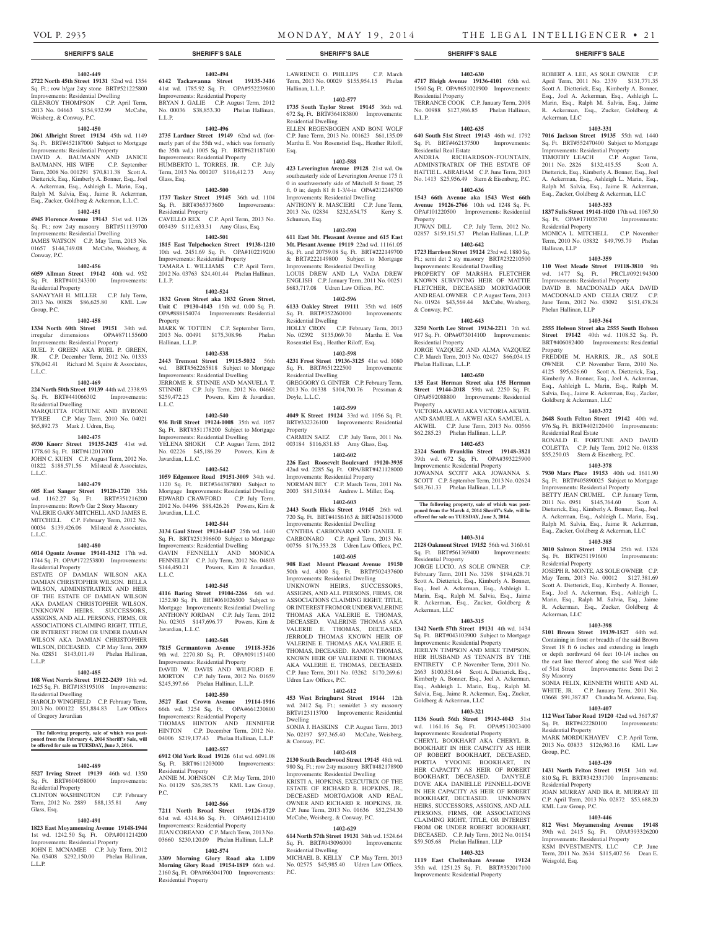Ackerman, LLC

Residential Property

Phelan Hallinan, LLP

Goldberg & Ackerman, LLC

Residential Real Estate

Residential Property

Ackerman, LLC

Sty Masonry

Residential Property

Residential Property

KML Law Group, P.C.

Weisgold, Esq.

Group, P.C.

**Property** 

Hallinan, LLP

ROBERT A. LEE, AS SOLE OWNER C.P. April Term, 2011 No. 2339 \$131,771.35 Scott A. Dietterick, Esq., Kimberly A. Bonner, Esq., Joel A. Ackerman, Esq., Ashleigh L. Marin, Esq., Ralph M. Salvia, Esq., Jaime R. Ackerman, Esq., Zucker, Goldberg &

**1403-331 7016 Jackson Street 19135** 55th wd. 1440 Sq. Ft. BRT#552470400 Subject to Mortgage Improvements: Residential Property TIMOTHY LEACH C.P. August Term, 2011 No. 2826 \$132,415.55 Scott A. Dietterick, Esq., Kimberly A. Bonner, Esq., Joel A. Ackerman, Esq., Ashleigh L. Marin, Esq., Ralph M. Salvia, Esq., Jaime R. Ackerman, Esq., Zucker, Goldberg & Ackerman, LLC **1403-353 1837 Sulis Street 19141-1020** 17th wd. 1067.50 Sq. Ft. OPA#171035700 Improvements:

MONICA L. MITCHELL C.P. November Term, 2010 No. 03832 \$49,795.79 Phelan

**1403-359 110 West Meade Street 19118-3810** 9th wd. 1477 Sq. Ft. PRCL#092194300 Improvements: Residential Property DAVID B. MACDONALD AKA DAVID MACDONALD AND CELIA CRUZ C.P. June Term, 2012 No. 03092 \$151,478.24

**1403-364 2555 Hobson Street aka 2555 South Hobson Street 19142** 40th wd. 1108.52 Sq. Ft. BRT#406082400 Improvements: Residential

FREDDIE M. HARRIS, JR., AS SOLE OWNER C.P. November Term, 2010 No. 4125 \$95,626.60 Scott A. Dietterick, Esq., Kimberly A. Bonner, Esq., Joel A. Ackerman, Esq., Ashleigh L. Marin, Esq., Ralph M. Salvia, Esq., Jaime R. Ackerman, Esq., Zucker,

**1403-372 2648 South Felton Street 19142** 40th wd. 976 Sq. Ft. BRT#402120400 Improvements:

RONALD E. FORTUNE AND DAVID COLETTA C.P. July Term, 2012 No. 01838 \$55,250.03 Stern & Eisenberg, P.C. **1403-378 7930 Mars Place 19153** 40th wd. 1611.90 Sq. Ft. BRT#405890025 Subject to Mortgage Improvements: Residential Property BETTY JEAN CRUMEL C.P. January Term, 2011 No. 0951 \$145,764.60 Scott A. Dietterick, Esq., Kimberly A. Bonner, Esq., Joel A. Ackerman, Esq., Ashleigh L. Marin, Esq., Ralph M. Salvia, Esq., Jaime R. Ackerman, Esq., Zucker, Goldberg & Ackerman, LLC **1403-385 3010 Salmon Street 19134** 25th wd. 1324 Sq. Ft. BRT#251191600 Improvements:

JOSEPH R. MONTE, AS SOLE OWNER C.P. May Term, 2013 No. 00012 \$127,381.69 Scott A. Dietterick, Esq., Kimberly A. Bonner, Esq., Joel A. Ackerman, Esq., Ashleigh L. Marin, Esq., Ralph M. Salvia, Esq., Jaime R. Ackerman, Esq., Zucker, Goldberg &

**1403-398 5101 Brown Street 19139-1527** 44th wd. Containing in front or breadth of the said Brown Street 18 ft 6 inches and extending in length or depth northward 64 feet 10-1/4 inches on the east line thereof along the said West side of 51st Street Improvements: Semi Det 2

SONIA FELIX, KENNETH WHITE AND AL WHITE, JR. C.P. January Term, 2011 No. 03668 \$91,387.87 Chandra M. Arkema, Esq. **1403-407 112 West Tabor Road 19120** 42nd wd. 3617.87 Sq. Ft. BRT#422280100 Improvements:

MARK MORDUKHAYEV C.P. April Term, 2013 No. 03833 \$126,963.16 KML Law

**1403-439 1431 North Felton Street 19151** 34th wd. 810 Sq. Ft. BRT#342331700 Improvements:

JOAN MURRAY AND IRA R. MURRAY III C.P. April Term, 2013 No. 02872 \$53,688.20

**1403-446 812 West Moyamensing Avenue 19148**  39th wd. 2415 Sq. Ft. OPA#393326200 Improvements: Residential Property KSM INVESTMENTS, LLC C.P. June Term, 2011 No. 2634 \$115,407.56 Dean E.

# **SHERIFF'S SALE SHERIFF'S SALE SHERIFF'S SALE SHERIFF'S SALE SHERIFF'S SALE**

# **1402-449**

**2722 North 45th Street 19131** 52nd wd. 1354 Sq. Ft.; row b/gar 2sty stone BRT#521225800 Improvements: Residential Dwelling GLENROY THOMPSON C.P. April Term, 2013 No. 04663 \$154,932.99 McCabe, Weisberg, & Conway, P.C.

# **1402-450**

**2061 Albright Street 19134** 45th wd. 1149 Sq. Ft. BRT#452187000 Subject to Mortgage Improvements: Residential Property DAVID A. BAUMANN AND JANICE BAUMANN, HIS WIFE C.P. September Term, 2008 No. 001291 \$70,811.38 Scott A. Dietterick, Esq., Kimberly A. Bonner, Esq., Joel A. Ackerman, Esq., Ashleigh L. Marin, Esq., Ralph M. Salvia, Esq., Jaime R. Ackerman, Esq., Zucker, Goldberg & Ackerman, L.L.C.

#### **1402-451**

**4945 Florence Avenue 19143** 51st wd. 1126 Sq. Ft.; row 2sty masonry BRT#511139700 Improvements: Residential Dwelling JAMES WATSON C.P. May Term, 2013 No. 01657 \$144,749.08 McCabe, Weisberg, & Conway, P.C.

# **1402-456**

**6059 Allman Street 19142** 40th wd. 952 Sq. Ft. BRT#401243300 Improvements:

Residential Property SANAYYAH H. MILLER C.P. July Term, 2013 No. 00828 \$86,625.80 KML Law Group, P.C.

#### **1402-458**

**1334 North 60th Street 19151** 34th wd. irregular dimensions OPA#871155600 Improvements: Residential Property RUEL P. GREEN AKA RUEL P. GREEN, JR. C.P. December Term, 2012 No. 01333 \$78,042.41 Richard M. Squire & Associates, L.L.C.

#### **1402-469**

**224 North 50th Street 19139** 44th wd. 2338.93

Sq. Ft. BRT#441066302 Improvements: Residential Dwelling MARQUITTA FORTUNE AND BYRONE TYREE C.P. May Term, 2010 No. 04021 \$65,892.73 Mark J. Udren, Esq.

# **1402-475**

**4930 Knorr Street 19135-2425** 41st wd. 1778.60 Sq. Ft. BRT#412017000 JOHN C. KUHN C.P. August Term, 2012 No. 01822 \$188,571.56 Milstead & Associates,

#### **1402-479**

L.L.C.

**605 East Sanger Street 19120-1720** 35th wd. 1162.27 Sq. Ft. BRT#351216200 Improvements: Row/b Gar 2 Story Masonry VALERIE GARY-MITCHELL AND JAMES E. MITCHELL C.P. February Term, 2012 No. 00034 \$139,426.06 Milstead & Associates, L.L.C.

# **1402-480**

**6014 Ogontz Avenue 19141-1312** 17th wd. 1744 Sq. Ft. OPA#172253800 Improvements: Residential Property

ESTATE OF DAMIAN WILSON AKA DAMIAN CHRISTOPHER WILSON. BELLA WILSON, ADMINISTRATRIX AND HEIR OF THE ESTATE OF DAMIAN WILSON AKA DAMIAN CHRISTOPHER WILSON. UNKNOWN HEIRS, SUCCESSORS, ASSIGNS, AND ALL PERSONS, FIRMS, OR ASSOCIATIONS CLAIMING RIGHT, TITLE, OR INTEREST FROM OR UNDER DAMIAN WILSON AKA DAMIAN CHRISTOPHER WILSON, DECEASED. C.P. May Term, 2009 No. 02851 \$143,011.49 Phelan Hallinan, L.L.P.

# **1402-485**

**108 West Norris Street 19122-2439** 18th wd. 1625 Sq. Ft. BRT#183195108 Improvements: Residential Dwelling HAROLD WINGFIELD C.P. February Term,

2013 No. 000122 \$51,884.83 Law Offices of Gregory Javardian

# **The following property, sale of which was post-poned from the February 4, 2014 Sheriff's Sale, will be offered for sale on TUESDAY, June 3, 2014.**

# **1402-489**

**5527 Irving Street 19139** 46th wd. 1350<br>Sq. Ft. BRT#604058000 Improvements: Sq. Ft. BRT#604058000 Residential Property

CLINTON WASHINGTON C.P. February Term, 2012 No. 2889 \$88,135.81 Amy Glass, Esq.

# **1402-491**

**1823 East Moyamensing Avenue 19148-1944**  1st wd. 1242.50 Sq. Ft. OPA#011214200 Improvements: Residential Property JOHN E. MCNAMEE C.P. July Term, 2012 No. 03408 \$292,150.00 Phelan Hallinan, L.L.P.

**1402-494**

**6142 Tackawanna Street 19135-3416**  41st wd. 1785.92 Sq. Ft. OPA#552239800 Improvements: Residential Property BRYAN J. GALIE C.P. August Term, 2012 No. 00036 \$38,853.30 Phelan Hallinan, L.L.P.

# **1402-496**

**2735 Lardner Street 19149** 62nd wd. (formerly part of the 55th wd., which was formerly the 35th wd.) 1005 Sq. Ft. BRT#621187400 Improvements: Residential Property<br>HUMBERTO L. TORRES, JR. C.P. July HUMBERTO L. TORRES, JR. Term, 2013 No. 001207 \$116,412.73 Amy Glass, Esq.

#### **1402-500**

**1737 Tasker Street 19145** 36th wd. 1104 Sq. Ft. BRT#365373600 Improvements: Residential Property CAVELLO REX C.P. April Term, 2013 No. 003439 \$112,633.31 Amy Glass, Esq.

# **1402-501**

**1815 East Tulpehocken Street 19138-1210**  10th wd. 2451.69 Sq. Ft. OPA#102219200 Improvements: Residential Property TAMARA L. WILLIAMS C.P. April Term, 2012 No. 03763 \$24,401.44 Phelan Hallinan, L.L.P.

# **1402-524**

**1832 Green Street aka 1832 Green Street, Unit C 19130-4143** 15th wd. 0.00 Sq. Ft. OPA#888154074 Improvements: Residential Property MARK W. TOTTEN C.P. September Term, 2013 No. 00491 \$175,308.96 Phelan

# **1402-538**

Hallinan, L.L.P.

**2443 Tremont Street 19115-5032** 56th wd. BRT#562265818 Subject to Mortgage Improvements: Residential Dwelling JERROME R. STINNIE AND MANUELA T. STINNIE C.P. July Term, 2012 No. 04662<br>\$259,472.23 Powers, Kirn & Javardian,

Powers, Kirn & Javardian, L.L.C. **1402-540**

**936 Brill Street 19124-1008** 35th wd. 1057 Sq. Ft. BRT#351178200 Subject to Mortgage Improvements: Residential Dwelling YELENA SHOKH C.P. August Term, 2012 No. 02226 \$45,186.29 Powers, Kirn & Javardian, L.L.C.

# **1402-542**

**1059 Edgemore Road 19151-3009** 34th wd. 1120 Sq. Ft. BRT#344387800 Subject to Mortgage Improvements: Residential Dwelling EDWARD CRAWFORD C.P. July Term, 2012 No. 04496 \$88,426.26 Powers, Kirn & Javardian, L.L.C.

# **1402-544**

**3134 Gaul Street 19134-4447** 25th wd. 1440 Sq. Ft. BRT#251396600 Subject to Mortgage Improvements: Residential Dwelling GAVIN FENNELLY AND MONICA FENNELLY C.P. July Term, 2012 No. 04803<br>\$144,450.21 Powers, Kirn & Javardian, Powers, Kirn & Javardian, L.L.C.

# **1402-545**

**4116 Baring Street 19104-2266** 6th wd. 1252.80 Sq. Ft. BRT#061026500 Subject to Mortgage Improvements: Residential Dwelling ANTHONY JORDAN C.P. July Term, 2012 No. 02305 \$147,696.77 Powers, Kirn & Javardian, L.L.C.

# **1402-548**

**7815 Germantown Avenue 19118-3526**  9th wd. 2270.80 Sq. Ft. OPA#091151400 Improvements: Residential Property DAVID W. DAVIS AND WILFORD E. MORTON C.P. July Term, 2012 No. 01659 \$245,397.66 Phelan Hallinan, L.L.P.

# **1402-550**

**3527 East Crown Avenue 19114-1916**  66th wd. 3254 Sq. Ft. OPA#661230800 Improvements: Residential Property THOMAS HINTON AND JENNIFER HINTON C.P. December Term, 2012 No. 04006 \$219,137.43 Phelan Hallinan, L.L.P.

# **1402-557**

**6912 Old York Road 19126** 61st wd. 6091.08 Sq. Ft. BRT#611203000 Improvements: Residential Property ANNIE M. JOHNSON C.P. May Term, 2010 No. 01129 \$26,285.75 KML Law Group, P.C.

#### **1402-566**

**7211 North Broad Street 19126-1729**  61st wd. 4314.86 Sq. Ft. OPA#611214100 Improvements: Residential Property JUAN COREANO C.P. March Term, 2013 No. 03660 \$230,120.09 Phelan Hallinan, L.L.P.

**1402-574 3309 Morning Glory Road aka L1D9 Morning Glory Road 19154-1819** 66th wd. 2160 Sq. Ft. OPA#663041700 Improvements: Residential Property

LAWRENCE O. PHILLIPS C.P. March Term, 2013 No. 00029 \$155,954.15 Phelan Hallinan, L.L.P.

### **1402-577**

**1735 South Taylor Street 19145** 36th wd. 672 Sq. Ft. BRT#364183800 Improvements: Residential Dwelling ELLEN REGENBOGEN AND BONI WOLF C.P. June Term, 2013 No. 001623 \$61,135.09 Martha E. Von Rosenstiel Esq., Heather Riloff,

# **1402-588**

Esq.

**423 Leverington Avenue 19128** 21st wd. On southeasterly side of Leverington Avenue 175 ft 0 in southwesterly side of Mitchell St front; 25 ft, 0 in; depth 81 ft 1-3/4-in OPA#212248700 Improvements: Residential Dwelling ANTHONY R. MASCIERI C.P. June Term, 2013 No. 02834 \$232,654.75 Kerry S. Schuman, Esq.

# **1402-590**

**611 East Mt. Pleasant Avenue and 615 East Mt. Plesant Avenue 19119** 22nd wd. 11161.05 Sq. Ft. and 20759.08 Sq. Ft. BRT#222149700 & BRT#222149800 Subject to Mortgage Improvements: Residential Dwelling LOUIS DREW AND LA VADA DREW ENGLISH C.P. January Term, 2011 No. 00251 \$683,717.08 Udren Law Offices, P.C.

# **1402-596**

**6133 Oakley Street 19111** 35th wd. 1605 Sq. Ft. BRT#352260100 Improvements: Residential Dwelling HOLLY CRON C.P. February Term, 2013

No. 02392 \$135,069.70 Martha E. Von Rosenstiel Esq., Heather Riloff, Esq. **1402-598**

**4231 Frost Street 19136-3125** 41st wd. 1080 Sq. Ft. BRT#651222500 Improvements: Residential Dwelling GREGGORY G. GINTER C.P. February Term, 2013 No. 01338 \$104,700.76 Pressman &

# **1402-599**

Doyle, L.L.C.

**4049 K Street 19124** 33rd wd. 1056 Sq. Ft. BRT#332326100 Improvements: Residential **Property** CARMEN SAEZ C.P. July Term, 2011 No.

003184 \$116,831.85 Amy Glass, Esq. **1402-602**

**226 East Roosevelt Boulevard 19120-3935**  42nd wd. 2285 Sq. Ft. OPA/BRT#421128000 Improvements: Residential Property NORMAN BEY C.P. March Term, 2011 No.

2003 \$81,510.84 Andrew L. Miller, Esq. **1402-603**

**2443 South Hicks Street 19145** 26th wd. 720 Sq. Ft. BRT#41S6163 & BRT#261187000 Improvements: Residential Dwelling CYNTHIA CARBONARO AND DANIEL F. CARBONARO C.P. April Term, 2013 No. 00756 \$176,353.28 Udren Law Offices, P.C.

# **1402-605**

**908 East Mount Pleasant Avenue 19150**  50th wd. 4300 Sq. Ft. BRT#502437600 Improvements: Residential Dwelling UNKNOWN HEIRS, SUCCESSORS, ASSIGNS, AND ALL PERSONS, FIRMS, OR ASSOCIATIONS CLAIMING RIGHT, TITLE, OR INTEREST FROM OR UNDER VALERINE THOMAS AKA VALERIE E. THOMAS, DECEASED. VALERINE THOMAS AKA VALERIE E. THOMAS, DECEASED. JERROLD THOMAS KNOWN HEIR OF VALERINE E. THOMAS AKA VALERIE E. THOMAS, DECEASED. RAMON THOMAS, KNOWN HEIR OF VALERINE E. THOMAS AKA VALERIE E. THOMAS, DECEASED. C.P. June Term, 2011 No. 03262 \$170,269.61 Udren Law Offices, P.C.

#### **1402-612**

**453 West Bringhurst Street 19144** 12th wd. 2412 Sq. Ft.; semi/det 3 sty masonry BRT#123113700 Improvements: Residential Dwelling SONJA J. HASKINS C.P. August Term, 2013

No. 02197 \$97,365.40 McCabe, Weisberg, & Conway, P.C.

# **1402-618**

**2130 South Beechwood Street 19145** 48th wd. 980 Sq. Ft.; row 2sty masonry BRT#482178900 Improvements: Residential Dwelling KRISTI A. HOPKINS, EXECUTRIX OF THE ESTATE OF RICHARD R. HOPKINS, JR., DECEASED MORTGAGOR AND REAL OWNER AND RICHARD R. HOPKINS, JR. C.P. June Term, 2013 No. 01636 \$52,234.30 McCabe, Weisberg, & Conway, P.C.

# **1402-629**

P.C.

**614 North 57th Street 19131** 34th wd. 1524.64 Sq. Ft. BRT#043096000 Improvements: Residential Dwelling MICHAEL B. KELLY C.P. May Term, 2013 No. 02575 \$45,985.40 Udren Law Offices,

# **1402-630**

**4717 Bleigh Avenue 19136-4101** 65th wd. 1560 Sq. Ft. OPA#651021900 Improvements: Residential Property TERRANCE COOK C.P. January Term, 2008 No. 00988 \$127,986.85 Phelan Hallinan, L.L.P.

# **1402-635**

**640 South 51st Street 19143** 46th wd. 1792 Sq. Ft. BRT#462137500 Improvements: Residential Real Estate ANDRIA RICHARDSON-FOUNTAIN, ADMINSTRATRIX OF THE ESTATE OF HATTIE L. ABRAHAM C.P. June Term, 2013 No. 1413 \$25,956.49 Stern & Eisenberg, P.C.

#### **1402-636 1543 66th Avenue aka 1543 West 66th**

**Avenue 19126-2766** 10th wd. 1248 Sq. Ft. OPA#101220500 Improvements: Residential Property JUWAN DILL C.P. July Term, 2012 No.

02857 \$159,151.57 Phelan Hallinan, L.L.P. **1402-642**

### **1723 Harrison Street 19124** 23rd wd. 1880 Sq.

Ft.; semi det 2 sty masonry BRT#232210500 Improvements: Residential Dwelling PROPERTY OF MARSHA FLETCHER KNOWN SURVIVING HEIR OF MATTIE FLETCHER, DECEASED MORTGAGOR AND REAL OWNER C.P. August Term, 2013 No. 01924 \$43,569.44 McCabe, Weisberg, & Conway, P.C.

**1402-643 3250 North Lee Street 19134-2211** 7th wd. 917 Sq. Ft. OPA#073014100 Improvements:

JORGE VAZQUEZ AND ALMA VAZQUEZ C.P. March Term, 2013 No. 02427 \$66,034.15

**1402-650 135 East Herman Street aka 135 Herman Street 19144-2018** 59th wd. 2250 Sq. Ft. OPA#592088800 Improvements: Residential

VICTORIA AKWEI AKA VICTORIA AKWEL AND SAMUEL A. AKWEI AKA SAMUEL A. AKWEL C.P. June Term, 2013 No. 00566 \$62,285.23 Phelan Hallinan, L.L.P. **1402-653 2324 South Franklin Street 19148-3821**  39th wd. 672 Sq. Ft. OPA#393225900 Improvements: Residential Property JOWANNA SCOTT AKA JOWANNA S. SCOTT C.P. September Term, 2013 No. 02624 \$48,761.33 Phelan Hallinan, L.L.P.

**The following property, sale of which was post-poned from the March 4, 2014 Sheriff's Sale, will be offered for sale on TUESDAY, June 3, 2014.**

**1403-314 2128 Oakmont Street 19152** 56th wd. 3160.61 Sq. Ft. BRT#561369400 Improvements:

JORGE LUCIO, AS SOLE OWNER C.P. February Term, 2011 No. 3298 \$194,628.71 Scott A. Dietterick, Esq., Kimberly A. Bonner, Esq., Joel A. Ackerman, Esq., Ashleigh L. Marin, Esq., Ralph M. Salvia, Esq., Jaime R. Ackerman, Esq., Zucker, Goldberg &

**1403-315 1342 North 57th Street 19131** 4th wd. 1434 Sq. Ft. BRT#043103900 Subject to Mortgage Improvements: Residential Property JERILYN TIMPSON AND MIKE TIMPSON, HER HUSBAND AS TENANTS BY THE ENTIRETY C.P. November Term, 2011 No. 2663 \$100,851.64 Scott A. Dietterick, Esq., Kimberly A. Bonner, Esq., Joel A. Ackerman, Esq., Ashleigh L. Marin, Esq., Ralph M. Salvia, Esq., Jaime R. Ackerman, Esq., Zucker,

**1403-321 1136 South 56th Street 19143-4043** 51st wd. 1161.16 Sq. Ft. OPA#513023400 Improvements: Residential Property CHERYL BOOKHART AKA CHERYL B. BOOKHART IN HER CAPACITY AS HEIR OF ROBERT BOOKHART, DECEASED PORTIA YVOONE BOOKHART, IN HER CAPACITY AS HEIR OF ROBERT BOOKHART, DECEASED. DANYELE DOVE AKA DANIELLE PENNELL-DOVE IN HER CAPACITY AS HEIR OF ROBERT BOOKHART, DECEASED. UNKNOWN HEIRS, SUCCESSORS, ASSIGNS, AND ALL PERSONS, FIRMS, OR ASSOCIATIONS CLAIMING RIGHT, TITLE, OR INTEREST FROM OR UNDER ROBERT BOOKHART DECEASED. C.P. July Term, 2012 No. 01154 \$59,505.68 Phelan Hallinan, LLP

**1403-323 1119 East Cheltenham Avenue 19124**  35th wd. 1251.25 Sq. Ft. BRT#352017100 Improvements: Residential Property

Sq. Ft. BRT#561369400 Residential Property

Goldberg & Ackerman, LLC

Ackerman, LLC

Residential Property

Phelan Hallinan, L.L.P.

Property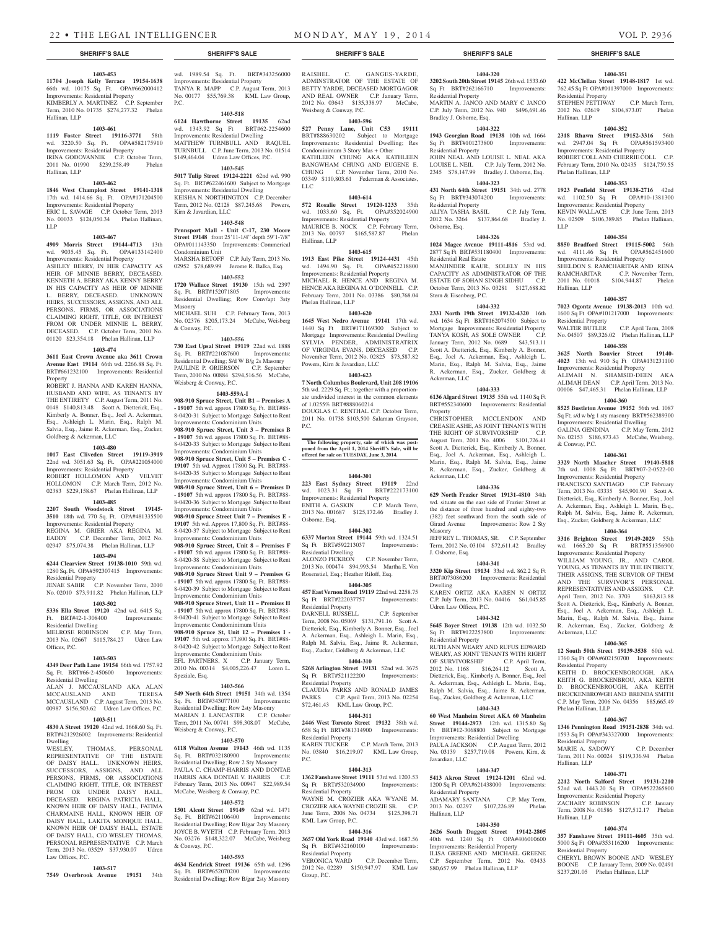#### **1403-453**

**11704 Joseph Kelly Terrace 19154-1638**  66th wd. 10175 Sq. Ft. OPA#662000412 Improvements: Residential Property KIMBERLY A. MARTINEZ C.P. September Term, 2010 No. 01735 \$274,277.32 Phelan Hallinan, LLP

#### **1403-461**

**1119 Foster Street 19116-3771** 58th wd. 3220.50 Sq. Ft. OPA#582175910 Improvements: Residential Property IRINA GODOVANNIK C.P. October Term, 2011 No. 01990 \$239,258.49 Phelan Hallinan, LLP

#### **1403-462**

**1846 West Champlost Street 19141-1318**  17th wd. 1414.66 Sq. Ft. OPA#171204500

Improvements: Residential Property ERIC L. SAVAGE C.P. October Term, 2013 No. 00033 \$124,050.34 Phelan Hallinan, LLP

#### **1403-467**

**4909 Morris Street 19144-4713** 13th wd. 9035.45 Sq. Ft. OPA#133142400

Improvements: Residential Property ASHLEY BERRY, IN HER CAPACITY AS HEIR OF MINNIE BERRY, DECEASED. KENNETH A. BERRY AKA KENNY BERRY IN HIS CAPACITY AS HEIR OF MINNIE L. BERRY, DECEASED. UNKNOWN HEIRS, SUCCESSORS, ASSIGNS, AND ALL PERSONS, FIRMS, OR ASSOCIATIONS CLAIMING RIGHT, TITLE, OR INTEREST FROM OR UNDER MINNIE L. BERRY, DECEASED. C.P. October Term, 2010 No. 01120 \$23,354.18 Phelan Hallinan, LLP

# **1403-474**

**3611 East Crown Avenue aka 3611 Crown Avenue East 19114** 66th wd. 2266.88 Sq. Ft. BRT#661232100 Improvements: Residential Property

ROBERT J. HANNA AND KAREN HANNA, HUSBAND AND WIFE, AS TENANTS BY THE ENTIRETY C.P. August Term, 2011 No. 0148 \$140,813.48 Scott A. Dietterick, Esq., Kimberly A. Bonner, Esq., Joel A. Ackerman, Esq., Ashleigh L. Marin, Esq., Ralph M. Salvia, Esq., Jaime R. Ackerman, Esq., Zucker, Goldberg & Ackerman, LLC

# **1403-480**

**1017 East Cliveden Street 19119-3919**  22nd wd. 3051.63 Sq. Ft. OPA#221054000 Improvements: Residential Property

ROBERT HOLLOMON AND VELVET HOLLOMON C.P. March Term, 2012 No. 02383 \$229,158.67 Phelan Hallinan, LLP

# **1403-485**

**2207 South Woodstock Street 19145- 3510** 18th wd. 770 Sq. Ft. OPA#481335500 Improvements: Residential Property REGINA M. GRIER AKA REGINA M. EADDY C.P. December Term, 2012 No.

# 02947 \$75,074.38 Phelan Hallinan, LLP **1403-494**

**6244 Clearview Street 19138-1010** 59th wd. 1280 Sq. Ft. OPA#592307415 Improvements: Residential Property

JENAE SABIR C.P. November Term, 2010 No. 02010 \$73,911.82 Phelan Hallinan, LLP

# **1403-502**

**5336 Ella Street 19120** 42nd wd. 6415 Sq. Ft. BRT#42-1-308400 Improvements: Residential Dwelling MELROSE ROBINSON C.P. May Term,

2013 No. 02667 \$115,784.27 Udren Law Offices, P.C.

# **1403-503**

**4349 Deer Path Lane 19154** 66th wd. 1757.92 Sq. Ft. BRT#66-2-450600 Improvements: Residential Dwelling ALAN J. MCCAUSLAND AKA ALAN<br>MCCAUSLAND AND TERESA MCCAUSLAND AND

MCCAUSLAND C.P. August Term, 2013 No. 00987 \$156,503.62 Udren Law Offices, P.C. **1403-511 4830 A Street 19120** 42nd wd. 1668.60 Sq. Ft.

# BRT#4212926002 Improvements: Residential Dwelling<br>WESLEY.

THOMAS, PERSONAL REPRESENTATIVE OF THE ESTATE OF DAISY HALL. UNKNOWN HEIRS, SUCCESSORS, ASSIGNS, AND ALL PERSONS, FIRMS, OR ASSOCIATIONS CLAIMING RIGHT, TITLE, OR INTEREST FROM OR UNDER DAISY HALL, DECEASED. REGINA PATRICIA HALL KNOWN HEIR OF DAISY HALL, FATIMA CHARMAINE HALL, KNOWN HEIR OF DAISY HALL, LAKITA MONIQUE HALL, KNOWN HEIR OF DAISY HALL, ESTATE OF DAISY HALL, C/O WESLEY THOMAS, PERSONAL REPRESENTATIVE C.P. March Term, 2013 No. 03529 \$37,930.07 Udren Law Offices, P.C.

#### **1403-517**

**7549 Overbrook Avenue 19151** 34th

# wd. 1989.54 Sq. Ft. BRT#343256000 Improvements: Residential Property TANYA R. MAPP C.P. August Term, 2013 No. 00177 \$55,769.38 KML Law Group,

# **1403-518**

P.C.

**6124 Hawthorne Street 19135** 62nd wd. 1343.92 Sq Ft BRT#62-2254600 Improvements: Residential Dwelling MATTHEW TURNBULL AND RAQUEL TURNBULL C.P. June Term, 2013 No. 01514 \$149,464.04 Udren Law Offices, P.C.

# **1403-545**

**5017 Tulip Street 19124-2221** 62nd wd. 990 Sq. Ft. BRT#622461600 Subject to Mortgage Improvements: Residential Dwelling KEISHA N. NORTHINGTON C.P. December Term, 2012 No. 02128 \$87,245.68 Powers, Kirn & Javardian, LLC

# **1403-548**

**Pennsport Mall - Unit C-17, 230 Moore Street 19148** front 25'11-1/4" depth 59'1-7/8" OPA#011143350 Improvements: Commerical Condominium Unit MARSHA BETOFF C.P. July Term, 2013 No. 02952 \$78,689.99 Jerome R. Balka, Esq.

**1403-552**

**1720 Wallace Street 19130** 15th wd. 2397 Sq. Ft. BRT#152071805 Improvements: Residential Dwelling; Row Conv/apt 3sty Masonry MICHAEL SUH C.P. February Term, 2013 No. 02376 \$205,173.24 McCabe, Weisberg & Conway, P.C.

#### **1403-556**

**730 East Upsal Street 19119** 22nd wd. 1888 Sq. Ft. BRT#221087600 Improvements: Residential Dwelling; S/d W B/g 2s Masonry PAULINE P. GRIERSON C.P. September Term, 2010 No. 00884 \$294,516.56 McCabe, Weisberg & Conway, P.C.

# **1403-559A-I**

**908-910 Spruce Street, Unit B1 – Premises A - 19107** 5th wd. approx 17800 Sq. Ft. BRT#88- 8-0420-31 Subject to Mortgage Subject to Rent Improvements: Condominium Units **908-910 Spruce Street, Unit 3 – Premises B - 19107** 5th wd. approx 17800 Sq. Ft. BRT#88-

8-0420-33 Subject to Mortgage Subject to Rent Improvements: Condominium Units **908-910 Spruce Street, Unit 5 – Premises C -** 

**19107** 5th wd. Approx 17800 Sq. Ft. BRT#88- 8-0420-35 Subject to Mortgage Subject to Rent Improvements: Condominium Units **908-910 Spruce Street, Unit 6 – Premises D** 

**- 19107** 5th wd. approx 17800 Sq. Ft. BRT#88- 8-0420-36 Subject to Mortgage Subject to Rent Improvements: Condominium Units **908-910 Spruce Street Unit 7 – Premises E -** 

**19107** 5th wd. Approx 17,800 Sq. Ft. BRT#88- 8-0420-37 Subject to Mortgage Subject to Rent Improvements: Condominium Units

**908-910 Spruce Street, Unit 8 – Premises F - 19107** 5th wd. approx 17800 Sq. Ft. BRT#88- 8-0420-38 Subject to Mortgage Subject to Rent Improvements: Condominium Units

**908-910 Spruce Street Unit 9 – Premises G - 19107** 5th wd. approx 17800 Sq. Ft. BRT#88- 8-0420-39 Subject to Mortgage Subject to Rent Improvements: Condominium Units **908-910 Spruce Street, Unit 11 – Premises H** 

**- 19107** 5th wd. approx 17800 Sq. Ft. BRT#88- 8-0420-41 Subject to Mortgage Subject to Rent Improvements: Condominimum Units **908-910 Spruce St, Unit 12 – Premises I - 19107** 5th wd. approx 17,800 Sq. Ft. BRT#88-

8-0420-42 Subject to Mortgage Subject to Rent Improvements: Condominium Units EFL PARTNERS, X C.P. January Term, 2010 No. 00314 \$4,005,226.47 Loren L.

Speziale, Esq. **1403-566**

**549 North 64th Street 19151** 34th wd. 1354 Sq. Ft. BRT#343077100 Improvements: Residential Dwelling; Row 2sty Masonry MARIAN J. LANCASTER C.P. October Term, 2011 No. 00741 \$98,308.07 McCabe, Weisberg & Conway, P.C.

# **1403-570**

**6118 Walton Avenue 19143** 46th wd. 1135 Sq. Ft. BRT#032180900 Improvements: Residential Dwelling; Row 2 Sty Masonry PAULA C. CHAMP-HARRIS AND DONTAE HARRIS AKA DONTAE V. HARRIS C.P. February Term, 2013 No. 00947 \$22,989.54 McCabe, Weisberg & Conway, P.C.

#### **1403-572**

**1501 Alcott Street 19149** 62nd wd. 1471 Sq. Ft. BRT#621106400 Improvements: Residential Dwelling; Row B/gar 2sty Masonry JOYCE B. WYETH C.P. February Term, 2013 No. 03276 \$148,322.07 McCabe, Weisberg & Conway, P.C.

#### **1403-593**

**4634 Kendrick Street 19136** 65th wd. 1296 Sq. Ft. BRT#652070200 Improvements: Residential Dwelling; Row B/gar 2sty Masonry

# **SHERIFF'S SALE SHERIFF'S SALE SHERIFF'S SALE SHERIFF'S SALE SHERIFF'S SALE**

RAISHEL C. GANGES-YARDE, ADMINSTRATOR OF THE ESTATE OF BETTY YARDE, DECEASED MORTGAGOR AND REAL OWNER C.P. January Term, 2012 No. 03643 \$135,338.97 McCabe, Weisberg & Conway, P.C.

#### **1403-596**

**527 Penny Lane, Unit C53 19111**  BRT#888630202 Subject to Mortgage Improvements: Residential Dwelling; Res Condominimum 3 Story Mas + Other KATHLEEN CHUNG AKA KATHLEEN BANGWHAM CHUNG AND EUGENE E. CHUNG C.P. November Term, 2010 No. 03349 \$110,803.61 Federman & Associates, LLC

#### **1403-614**

**572 Rosalie Street 19120-1233** 35th wd. 1033.60 Sq. Ft. OPA#352024900 Improvements: Residential Property MAURICE B. NOCK C.P. February Term, 2013 No. 00797 \$165,587.87 Phelan Hallinan, LLP

# **1403-615**

**1913 East Pike Street 19124-4431** 45th wd. 1494.90 Sq. Ft. OPA#452218800 Improvements: Residential Property MICHAEL R. HENCE AND REGINA M. HENCE AKA REGINA M. O'DONNELL C.P. February Term, 2011 No. 03386 \$80,768.04 Phelan Hallinan, LLP

#### **1403-620**

**1645 West Nedro Avenue 19141** 17th wd. 1440 Sq Ft BRT#171169300 Subject to Mortgage Improvements: Residential Dwelling SYLVIA PENDER, ADMINISTRATRIX OF VIRGINIA EVANS, DECEASED C.P. November Term, 2012 No. 02825 \$73,587.82 Powers, Kirn & Javardian, LLC

# **1403-623**

**7 North Columbus Boulevard, Unit 208 19106** 5th wd. 2229 Sq. Ft.; together with a proportionate undivided interest in the common elements of 1.0255% BRT#888060214 DOUGLAS C. RENTHAL C.P. October Term, 2011 No. 01738 \$103,500 Salaman Grayson, P.C.

# **The following property, sale of which was post-poned from the April 1, 2014 Sheriff's Sale, will be offered for sale on TUESDAY, June 3, 2014.**

# **1404-301**

**223 East Sydney Street 19119** 22nd wd. 1023.31 Sq Ft BRT#222173100 Improvements: Residential Property ENITH A. GASKIN C.P. March Term, 2013 No. 001687 \$125,172.46 Bradley J. Osborne, Esq.

#### **1404-302**

**6337 Morton Street 19144** 59th wd. 1324.51 Sq Ft BRT#592213037 Improvements: Residential Dwelling ALONZO PICKRON C.P. November Term,

2013 No. 000474 \$94,993.54 Martha E. Von Rosenstiel, Esq.; Heather Riloff, Esq. **1404-305**

**457 East Vernon Road 19119** 22nd wd. 2258.75 Sq Ft BRT#222037757 Improvements: Residential Property DARNELL RUSSELL C.P. September Term, 2008 No. 05069 \$131,791.16 Scott A. Dietterick, Esq., Kimberly A. Bonner, Esq., Joel A. Ackerman, Esq., Ashleigh L. Marin, Esq., Ralph M. Salvia, Esq., Jaime R. Ackerman, Esq., Zucker, Goldberg & Ackerman, LLC

#### **1404-310**

**5268 Arlington Street 19131** 52nd wd. 3675 Sq Ft BRT#521122200 Improvements: Residential Property CLAUDIA PARKS AND RONALD JAMES<br>PARKS CP April Term 2013 No 02254 C.P. April Term, 2013 No. 02254

# \$72,461.43 KML Law Group, P.C. **1404-311**

**2446 West Toronto Street 19132** 38th wd. 658 Sq Ft BRT#381314900 Improvements: Residential Property KAREN TUCKER C.P. March Term, 2013

# No. 03840 \$16,219.07 KML Law Group, P.C. **1404-313**

**1362 Fanshawe Street 19111** 53rd wd. 1203.53<br>Sq. Ft. BRT#532034900 Improvements: Sq Ft BRT#532034900 Residential Property

WAYNE M. CROZIER AKA WYANE M. CROZIER AKA WAYNE CROZIE SR. C.P. June Term, 2008 No. 04734 \$125,398.71 KML Law Group, P.C.

# **1404-316**

**3657 Old York Road 19140** 43rd wd. 1687.56 Sq Ft BRT#432160100 Improvements: Residential Property<br>VERONICA WARD C.P. December Term,

2012 No. 02289 \$150,947.97 KML Law Group, P.C.

**1404-351 422 McClellan Street 19148-1817** 1st wd. 762.45 Sq Ft OPA#011397000 Improvements:

STEPHEN PETTIWAY C.P. March Term, 2012 No. 02619 \$104,873.07 Phelan

**1404-352 2318 Rhawn Street 19152-3316** 56th wd. 2947.04 Sq Ft OPA#561593400 Improvements: Residential Property ROBERT COLL AND CHERRIE COLL C.P. February Term, 2010 No. 02435 \$124,759.55

**1404-353 1923 Penfield Street 19138-2716** 42nd wd. 1102.50 Sq Ft OPA#10-1381300

No. 02509 \$106,389.85 Phelan Hallinan,

**1404-354 8850 Bradford Street 19115-5002** 56th wd. 4111.46 Sq Ft OPA#562451600 Improvements: Residential Property

SHELDON S. RAMCHARITAR AND RENA<br>RAMCHARITAR C.P. November Term,

2011 No. 01018 \$104,944.87 Phelan

**1404-357 7023 Ogontz Avenue 19138-2013** 10th wd. 1600 Sq Ft OPA#101217000 Improvements:

No. 04507 \$89,326.02 Phelan Hallinan, LLP **1404-358 3625 North Bouvier Street 19140- 4023** 13th wd. 910 Sq Ft OPA#131231100 Improvements: Residential Property ALIMAH N. SHAMSID-DEEN AKA ALIMAH DEAN C.P. April Term, 2013 No. 00106 \$47,465.31 Phelan Hallinan, LLP **1404-360 8525 Bustleton Avenue 19152** 56th wd. 1087 Sq Ft; s/d w b/g 1 sty masonry BRT#562389300 Improvements: Residential Dwelling GALINA GENDINA C.P. May Term, 2012 No. 02153 \$186,873.43 McCabe, Weisberg,

**1404-361 3329 North Mascher Street 19140-5818**  7th wd. 1008 Sq Ft BRT#07-2-0522-00 **Improvements: Residential Property<br>FRANCISCO SANTIAGO C.P. February** 

Term, 2013 No. 03335 \$45,901.90 Scott A. Dietterick, Esq., Kimberly A. Bonner, Esq., Joel A. Ackerman, Esq., Ashleigh L. Marin, Esq., Ralph M. Salvia, Esq., Jaime R. Ackerman, Esq., Zucker, Goldberg & Ackerman, LLC **1404-364 3316 Brighton Street 19149-2029** 55th wd. 1665.20 Sq Ft BRT#551356900 Improvements: Residential Property WILLIAM YOUNG, JR., AND CAROL YOUNG, AS TENANTS BY THE ENTIRETY, THEIR ASSIGNS, THE SURVIOR OF THEM AND THE SURVIVOR'S PERSONAL REPRESENTATIVES AND ASSIGNS. C.P. April Term, 2012 No. 3703 \$163,813.88 Scott A. Dietterick, Esq., Kimberly A. Bonner, Esq., Joel A. Ackerman, Esq., Ashleigh L. Marin, Esq., Ralph M. Salvia, Esq., Jaime R. Ackerman, Esq., Zucker, Goldberg &

**1404-365 12 South 50th Street 19139-3538** 60th wd. 1760 Sq Ft OPA#602150700 Improvements:

KEITH D. BROCKENBOROUGH, AKA KEITH G. BROCKENBROU, AKA KEITH D. BROCKENBROUGH, AKA KEITH BROCKENBROWGH AND BRENDA SMITH C.P. May Term, 2006 No. 04356 \$85,665.49

**1404-367 1346 Pennington Road 19151-2838** 34th wd. 1593 Sq Ft OPA#343327000 Improvements:

MARIE A. SADOWY C.P. December Term, 2011 No. 00024 \$119,336.94 Phelan

**1404-371 2212 North Salford Street 19131-2210**  52nd wd. 1443.20 Sq Ft OPA#522265800 Improvements: Residential Property<br>
ZACHARY ROBINSON C.P. January

Term, 2008 No. 01586 \$127,512.17 Phelan

**1404-374 357 Fanshawe Street 19111-4605** 35th wd. 5000 Sq Ft OPA#353116200 Improvements:

CHERYL BROWN BOONE AND WESLEY BOONE C.P. January Term, 2009 No. 02491 \$237,201.05 Phelan Hallinan, LLP

C.P. June Term, 2013

C.P. November Term,

C.P. April Term, 2008

Improvements: Residential Property<br>KEVIN WALLACE C.P. June

Residential Property

Phelan Hallinan, LLP

LLP

Hallinan, LLP

Residential Property

& Conway, P.C.

Ackerman, LLC

Residential Property

Phelan Hallinan, LLP

Residential Property

ZACHARY ROBINSON

Hallinan, LLP

Hallinan, LLP

Residential Property

FRANCISCO SANTIAGO

Hallinan, LLP

**1404-320 3202 South 20th Street 19145** 26th wd. 1533.60

Sq Ft BRT#262166710 Improvements: Residential Property MARTIN A. JANCO AND MARY C JANCO C.P. July Term, 2012 No. 940 \$496,691.46 Bradley J. Osborne, Esq.

# **1404-322**

Residential Property

Residential Real Estate

Stern & Eisenberg, P.C.

Ackerman, LLC

Ackerman, LLC

Masonry

Dwelling

J. Osborne, Esq.

Udren Law Offices, P.C.

Residential Property

Javardian, LLC

Residential Property

Hallinan, LLP

Property

Osborne, Esq.

**1943 Georgian Road 19138** 10th wd. 1664 Sq Ft BRT#101273800 Improvements: Residential Property

JOHN NEAL AND LOUISE L. NEAL AKA LOUISE L. NEIL C.P. July Term, 2012 No. 2345 \$78,147.99 Bradley J. Osborne, Esq. **1404-323**

**431 North 64th Street 19151** 34th wd. 2778 Sq Ft BRT#343074200 Improvements:

ALIYA TASHA BASIL C.P. July Term, 2012 No. 3264 \$137,864.68 Bradley J.

**1404-326 1024 Magee Avenue 19111-4816** 53rd wd. 2877 Sq Ft BRT#531180400 Improvements:

MANJINDER KAUR, SOLELY IN HIS CAPACITY AS ADMINISTRATOR OF THE ESTATE OF SOHAN SINGH SIDHU C.P. October Term, 2013 No. 03281 \$127,688.82

**1404-332 2331 North 19th Street 19132-4320** 16th wd. 1634 Sq Ft BRT#162074500 Subject to Mortgage Improvements: Residential Property TANYA KOSH, AS SOLE OWNER January Term, 2012 No. 0689 \$43,513.11 Scott A. Dietterick, Esq., Kimberly A. Bonner, Esq., Joel A. Ackerman, Esq., Ashleigh L. Marin, Esq., Ralph M. Salvia, Esq., Jaime R. Ackerman, Esq., Zucker, Goldberg &

**1404-333 6136 Algard Street 19135** 55th wd. 1140 Sq Ft BRT#552340600 Improvements: Residential

CHRISTOPHER MCCLENDON AND CREASIE ASHE, AS JOINT TENANTS WITH THE RIGHT OF SURVIVORSHIP C.P. August Term, 2011 No. 4006 \$101,726.41 Scott A. Dietterick, Esq., Kimberly A. Bonner, Esq., Joel A. Ackerman, Esq., Ashleigh L. Marin, Esq., Ralph M. Salvia, Esq., Jaime R. Ackerman, Esq., Zucker, Goldberg &

**1404-336 629 North Frazier Street 19131-4810** 34th wd. situate on the east side of Frazier Street at the distance of three hundred and eighty-two (382) feet southward from the south side of Girard Avenue Improvements: Row 2 Sty

JEFFREY L. THOMAS, SR. C.P. September Term, 2012 No. 03104 \$72,611.42 Bradley

**1404-341 3320 Kip Street 19134** 33rd wd. 862.2 Sq Ft BRT#073086200 Improvements: Residential

KAREN ORTIZ AKA KAREN N ORTIZ C.P. July Term, 2013 No. 04416 \$61,045.85

**1404-342 5645 Boyer Street 19138** 12th wd. 1032.50 Sq Ft BRT#122253800 Improvements:

RUTH ANN WEARY AND RUFUS EDWARD WEARY, AS JOINT TENANTS WITH RIGHT OF SURVIVORSHIP C.P. April Term, 2012 No. 1168 \$16,264.12 Scott A. Dietterick, Esq., Kimberly A. Bonner, Esq., Joel A. Ackerman, Esq., Ashleigh L. Marin, Esq., Ralph M. Salvia, Esq., Jaime R. Ackerman, Esq., Zucker, Goldberg & Ackerman, LLC **1404-343 60 West Manheim Street AKA 60 Manheim Street 19144-2973** 12th wd. 1315.80 Sq Ft BRT#12-3068800 Subject to Mortgage Improvements: Residential Dwelling PAULA JACKSON C.P. August Term, 2012 No. 03139 \$257,719.08 Powers, Kirn, &

**1404-347 5413 Akron Street 19124-1201** 62nd wd. 1200 Sq Ft OPA#621438000 Improvements:

ADAMARY SANTANA C.P. May Term,<br>2013 No. 02297 \$107.226.89 Phelan

**1404-350 2626 South Daggett Street 19142-2805**  40th wd. 1240 Sq Ft OPA#406010600 Improvements: Residential Property ILISA GREENE AND MICHAEL GREENE C.P. September Term, 2012 No. 03433 \$80,657.99 Phelan Hallinan, LLP

\$107,226.89 Phelan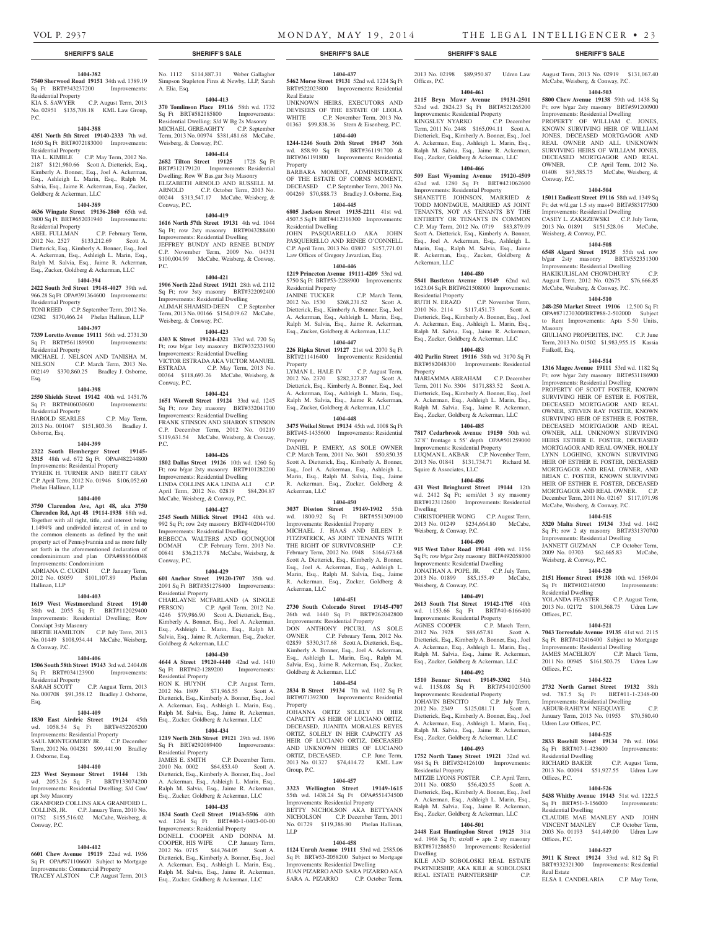Conway, P.C.

Masonry

Fialkoff, Esq,

Weisberg, & Conway, P.C.

Residential Dwelling

Offices, P.C.

Offices, P.C.

Udren Law Offices, P.C.

Residential Dwelling

Sq Ft BRT#51-3-156000 Residential Dwelling

Offices, P.C.

Offices, P.C.

Real Estate

**1404-520 2151 Homer Street 19138** 10th wd. 1569.04 Sq Ft BRT#102140500 Improvements:

YOLANDA FEASTER C.P. August Term, 2013 No. 02172 \$100,568.75 Udren Law

**1404-521 7043 Torresdale Avenue 19135** 41st wd. 2115 Sq Ft BRT#412416400 Subject to Mortgage Improvements: Residential Dwelling JAMES MACELROY C.P. March Term, 2011 No. 00945 \$161,503.75 Udren Law

**1404-522 2732 North Garnet Street 19132** 38th wd. 787.5 Sq Ft BRT#11-1-2348-00 Improvements: Residential Dwelling ABDUR-RAHIYM NEEQUAYE C.P. January Term, 2013 No. 01953 \$70,580.40

**1404-525 2833 Rosehill Street 19134** 7th wd. 1064 Sq Ft BRT#07-1-423600 Improvements:

RICHARD BAKER C.P. August Term, 2013 No. 00094 \$51,927.55 Udren Law

**1404-526 5438 Whitby Avenue 19143** 51st wd. 1222.5<br>Sq Ft BRT#51-3-156000 Improvements:

CLAUDIE MAE MANLEY AND JOHN VINCENT MANLEY C.P. October Term, 2003 No. 01193 \$41,449.00 Udren Law

**1404-527 3911 K Street 19124** 33rd wd. 812 Sq Ft BRT#332321300 Improvements: Residential

ELSA I. CANDELARIA C.P. May Term,

Weisberg, & Conway, P.C.

August Term, 2013 No. 02919 \$131,067.40 McCabe, Weisberg, & Conway, P.C. **1404-503 5800 Chew Avenue 19138** 59th wd. 1438 Sq Ft; row b/gar 2sty masonry BRT#591200900 Improvements: Residential Dwelling PROPERTY OF WILLIAM C. JONES, KNOWN SURVIVING HEIR OF WILLIAM JONES, DECEASED MORTGAGOR AND REAL OWNER AND ALL UNKNOWN SURVIVING HEIRS OF WILLIAM JONES, DECEASED MORTGAGOR AND REAL OWNER. C.P. April Term, 2012 No. 01408 \$93,585.75 McCabe, Weisberg, &

**1404-504 15011 Endicott Street 19116** 58th wd. 1349 Sq Ft; det w/d.gar 1.5 sty mas+0 BRT#583177500 Improvements: Residential Dwelling CASEY L. ZAKRZEWSKI C.P. July Term, 2013 No. 01891 \$151,528.06 McCabe,

**1404-508 6548 Algard Street 19135** 55th wd. row b/gar 2sty masonry BRT#552351300 Improvements: Residential Dwelling HAKIKULISLAM CHOWDHURY C.P. August Term, 2012 No. 02675 \$76,666.85 McCabe, Weisberg, & Conway, P.C. **1404-510 248-250 Market Street 19106** 12,500 Sq Ft OPA#871270300/BRT#88-2-502000 Subject to Rent Improvements: Apts 5-50 Units,

GIULIANO PROPERITES, INC. C.P. June Term, 2013 No. 01502 \$1,983,955.15 Kassia

**1404-514 1316 Magee Avenue 19111** 53rd wd. 1182 Sq Ft; row b/gar 2sty masonry BRT#531186900 Improvements: Residential Dwelling PROPERTY OF SCOTT FOSTER, KNOWN SURVIVING HEIR OF ESTER E. FOSTER, DECEASED MORTGAGOR AND REAL OWNER, STEVEN RAY FOSTER, KNOWN SURVIVING HEIR OF ESTHER E. FOSTER, DECEASED MORTGAGOR AND REAL OWNER, ALL UNKNOWN SURVIVING HEIRS ESTHER E. FOSTER, DECEASED MORTGAGOR AND REAL OWNER, HOLLY LYNN LOGHING, KNOWN SURVIVING HEIR OF ESTHER E. FOSTER, DECEASED MORTGAGOR AND REAL OWNER, AND BRIAN C. FOSTER, KNOWN SURVIVING HEIR OF ESTHER E. FOSTER, DECEASED MORTGAGOR AND REAL OWNER. C.P. December Term, 2011 No. 02167 \$117,071.98 McCabe, Weisberg, & Conway, P.C. **1404-515 3320 Malta Street 19134** 33rd wd. 1442 Sq Ft; row 2 sty masonry BRT#331370700 Improvements: Residential Dwelling JANNETT GUZMAN C.P. October Term, 2009 No. 03703 \$62,665.83 McCabe,

#### **1404-382 7540 Sherwood Road 19151** 34th wd. 1389.19

Sq Ft BRT#343237200 Improvements: Residential Property KIA S. SAWYER C.P. August Term, 2013

No. 02951 \$135,708.18 KML Law Group, P.C.

# **1404-388**

**4351 North 5th Street 19140-2333** 7th wd. 1650 Sq Ft BRT#072183000 Improvements: Residential Property TIA L. KIMBLE C.P. May Term, 2012 No.

2187 \$121,980.66 Scott A. Dietterick, Esq., Kimberly A. Bonner, Esq., Joel A. Ackerman, Esq., Ashleigh L. Marin, Esq., Ralph M. Salvia, Esq., Jaime R. Ackerman, Esq., Zucker, Goldberg & Ackerman, LLC

## **1404-389**

**4636 Wingate Street 19136-2860** 65th wd. 3800 Sq Ft BRT#652031940 Improvements: Residential Property<br>ABEL FULLMAN

C.P. February Term, 2012 No. 2527 \$133,212.69 Scott A. Dietterick, Esq., Kimberly A. Bonner, Esq., Joel A. Ackerman, Esq., Ashleigh L. Marin, Esq., Ralph M. Salvia, Esq., Jaime R. Ackerman, Esq., Zucker, Goldberg & Ackerman, LLC

# **1404-394**

**2422 South 3rd Street 19148-4027** 39th wd. 966.28 Sq Ft OPA#391364600 Improvements: Residential Property

TONI REED C.P. September Term, 2012 No. 02382 \$170,466.24 Phelan Hallinan, LLP **1404-397**

**7339 Loretto Avenue 19111** 56th wd. 2731.30 Sq Ft BRT#561189900 Improvements: Residential Property MICHAEL J. NELSON AND TANISHA M.

NELSON C.P. March Term, 2013 No. 002149 \$370,860.25 Bradley J. Osborne, Esq.

# **1404-398**

**2550 Shields Street 19142** 40th wd. 1451.76 Sq Ft BRT#406030600 Improvements: Residential Property HAROLD SEARLES C.P. May Term,

2013 No. 001047 \$151,803.36 Bradley J. Osborne, Esq. **1404-399**

**2322 South Hemberger Street 19145- 3315** 48th wd. 672 Sq Ft OPA#482244800 Improvements: Residential Property TYREIK H. TURNER AND BRETT GRAY C.P. April Term, 2012 No. 01946 \$106,052.60 Phelan Hallinan, LLP

#### **1404-400**

**3750 Clarendon Ave, Apt 48, aka 3750 Clarenden Rd, Apt 48 19114-1938** 88th wd. Together with all right, title, and interest being 1.1494% and undivided interest of, in and to the common elements as defined by the unit property act of Pennsylvannia and as more fully set forth in the aforementioned declaration of condominimum and plan OPA#888660048 Improvements: Condominium

ADRIANA C. CUGINI C.P. January Term,<br>2012 No. 03059 \$101,107.89 Phelan 2012 No. 03059 \$101,107.89 Hallinan, LLP

#### **1404-403**

**1619 West Westmoreland Street 19140**  38th wd. 2055 Sq Ft BRT#112029400 Improvements: Residential Dwelling; Row Conv/apt 3sty Masonry

BERTIE HAMILTON C.P. July Term, 2013 No. 01449 \$108,934.44 McCabe, Weisberg, & Conway, P.C.

# **1404-406**

**1506 South 58th Street 19143** 3rd wd. 2404.08 Sq Ft BRT#034123900 Improvements: Residential Property SARAH SCOTT C.P. August Term, 2013

No. 000708 \$91,358.12 Bradley J. Osborne, Esq.

#### **1404-409**

**1830 East Airdrie Street 19124** 45th wd. 1058.54 Sq Ft BRT#452205200 Improvements: Residential Property SAUL MONTGOMERY JR. C.P. December Term, 2012 No. 004281 \$99,441.90 Bradley J. Osborne, Esq.

# **1404-410**

**223 West Seymour Street 19144** 13th wd. 2053.26 Sq Ft BRT#133074200 Improvements: Residential Dwelling; S/d Con/ apt 3sty Masonry GRANFORD COLLINS AKA GRANFORD L.

COLLINS, JR. C.P. January Term, 2010 No. 01752 \$155,516.02 McCabe, Weisberg, & Conway, P.C.

# **1404-412**

**6601 Chew Avenue 19119** 22nd wd. 1956 Sq Ft OPA#871106600 Subject to Mortgage Improvements: Commercial Property TRACEY ALSTON C.P. August Term, 2013

No. 1112 \$114,887.31 Weber Gallagher Simpson Stapleton Fires & Newby, LLP, Sarah A. Elia, Esq.

**1404-413**

**370 Tomlinson Place 19116** 58th wd. 1732<br>
Sq Ft BRT#582185800 Improvements: Sq Ft BRT#582185800 Residential Dwelling; S/d W Bg 2s Masonry MICHAEL GEREAGHTY C.P. September Term, 2013 No. 00974 \$381,481.68 McCabe, Weisberg, & Conway, P.C.

# **1404-414**

**2682 Tilton Street 19125** 1728 Sq Ft BRT#312179120 Improvements: Residential Dwelling; Row W Bas.gar 3sty Masonry ELIZABETH ARNOLD AND RUSSELL M. ARNOLD C.P. October Term, 2013 No. 00244 \$313,547.17 McCabe, Weisberg, & Conway, P.C.

#### **1404-419**

**1616 North 57th Street 19131** 4th wd. 1044 Sq Ft; row 2sty masonry BRT#043288400 Improvements: Residential Dwelling JEFFREY BUNDY AND RENEE BUNDY C.P. November Term, 2009 No. 04331 \$100,004.99 McCabe, Weisberg, & Conway, P.C.

#### **1404-421**

**1906 North 22nd Street 19121** 28th wd. 2112 Sq Ft; row 3sty masonry BRT#322092400 Improvements: Residential Dwelling ALIMAH SHAMSID-DEEN C.P. September Term, 2013 No. 00166 \$154,019.62 McCabe, Weisberg, & Conway, P.C.

#### **1404-423**

**4303 K Street 19124-4321** 33rd wd. 720 Sq Ft; row b/gar 1sty masonry BRT#332331900 Improvements: Residential Dwelling VICTOR ESTRADA AKA VICTOR MANUEL ESTRADA C.P. May Term, 2013 No. 00364 \$118,693.26 McCabe, Weisberg, & Conway, P.C.

# **1404-424**

**1651 Worrell Street 19124** 33rd wd. 1245 Sq Ft; row 2sty masonry BRT#332041700 Improvements: Residential Dwelling FRANK STINSON AND SHARON STINSON C.P. December Term, 2012 No. 01219 \$119,631.54 McCabe, Weisberg, & Conway, P.C.

### **1404-426**

**1802 Dallas Street 19126** 10th wd. 1260 Sq Ft; row b/gar 2sty masonry BRT#101282200 Improvements: Residential Dwelling LINDA COLLINS AKA LINDA ALI C.P. April Term, 2012 No. 02819 \$84,204.87 McCabe, Weisberg, & Conway, P.C.

# **1404-427**

**2545 South Millick Street 19142** 40th wd. 992 Sq Ft; row 2sty masonry BRT#402044700 Improvements: Residential Dwelling REBECCA WALTERS AND GOUNQUOI DOMAH C.P. February Term, 2013 No. 00841 \$36,213.78 McCabe, Weisberg, & Conway, P.C.

#### **1404-429**

**601 Anchor Street 19120-1707** 35th wd. 2091 Sq Ft BRT#351278400 Improvements: Residential Property CHARLAYNE MCFARLAND (A SINGLE

PERSON) C.P. April Term, 2012 No. 4246 \$79,986.90 Scott A. Dietterick, Esq., Kimberly A. Bonner, Esq., Joel A. Ackerman, Esq., Ashleigh L. Marin, Esq., Ralph M. Salvia, Esq., Jaime R. Ackerman, Esq., Zucker, Goldberg & Ackerman, LLC

#### **1404-430**

**4644 A Street 19120-4440** 42nd wd. 1410 Sq Ft BRT#42-1289200 Improvements: Residential Property<br>HON K. HUYNH C.P. August Term, 2012 No. 1809 \$71,965.55 Scott A. Dietterick, Esq., Kimberly A. Bonner, Esq., Joel A. Ackerman, Esq., Ashleigh L. Marin, Esq., Ralph M. Salvia, Esq., Jaime R. Ackerman, Esq., Zucker, Goldberg & Ackerman, LLC

#### **1404-434**

**1219 North 28th Street 19121** 29th wd. 1896 Sq Ft BRT#292089400 Improvements: Residential Property JAMES E. SMITH C.P. December Term,<br>2010 No. 0002 \$64,853.40 Scott A. \$64,853.40 Scott A. Dietterick, Esq., Kimberly A. Bonner, Esq., Joel A. Ackerman, Esq., Ashleigh L. Marin, Esq., Ralph M. Salvia, Esq., Jaime R. Ackerman, Esq., Zucker, Goldberg & Ackerman, LLC

## **1404-435**

**1834 South Cecil Street 19143-5506** 40th wd. 1264 Sq Ft BRT#40-1-0403-00-00 Improvements: Residential Property DONELL COOPER AND DONNA M. COOPER, HIS WIFE C.P. January Term, 2012 No. 0715 \$44,764.05 Scott A. Dietterick, Esq., Kimberly A. Bonner, Esq., Joel A. Ackerman, Esq., Ashleigh L. Marin, Esq., Ralph M. Salvia, Esq., Jaime R. Ackerman, Esq., Zucker, Goldberg & Ackerman, LLC

**SHERIFF'S SALE SHERIFF'S SALE SHERIFF'S SALE SHERIFF'S SALE SHERIFF'S SALE**

**1404-437 5462 Morse Street 19131** 52nd wd. 1224 Sq Ft BRT#522023800 Improvements: Residential Real Estate

UNKNOWN HEIRS, EXECUTORS AND DEVISEES OF THE ESTATE OF LEOLA WHITE C.P. November Term, 2013 No. 01363 \$99,838.36 Stern & Eisenberg, P.C.

# **1404-440**

**1244-1246 South 20th Street 19147** 36th wd. 858.90 Sq Ft BRT#361191700 & BRT#361191800 Improvements: Residential Property

BARBARA MOMENT ADMINISTRATIX OF THE ESTATE OF CORNS MOMENT, DECEASED C.P. September Term, 2013 No. 004269 \$70,888.73 Bradley J. Osborne, Esq.

# **1404-445**

**6805 Jackson Street 19135-2211** 41st wd. 4507.5 Sq Ft BRT#412316300 Improvements: Residential Dwelling

JOHN PASQUARELLO AKA JOHN PASQUERELLO AND RENEE O'CONNELL C.P. April Term, 2013 No. 03807 \$157,771.01 Law Offices of Gregory Javardian, Esq.

# **1404-446**

**1219 Princeton Avenue 19111-4209** 53rd wd. 5750 Sq Ft BRT#53-2288900 Improvements: Residential Property JANINE TUCKER C.P. March Term,

2012 No. 1530 \$268,231.52 Scott A. Dietterick, Esq., Kimberly A. Bonner, Esq., Joel A. Ackerman, Esq., Ashleigh L. Marin, Esq., Ralph M. Salvia, Esq., Jaime R. Ackerman, Esq., Zucker, Goldberg & Ackerman, LLC

# **1404-447**

**226 Ripka Street 19127** 21st wd. 2070 Sq Ft BRT#211416400 Improvements: Residential Property

LYMAN L. HALE IV C.P. August Term, 2012 No. 2370 \$282,327.87 Scott A. Dietterick, Esq., Kimberly A. Bonner, Esq., Joel A. Ackerman, Esq., Ashleigh L. Marin, Esq., Ralph M. Salvia, Esq., Jaime R. Ackerman, Esq., Zucker, Goldberg & Ackerman, LLC

# **1404-448**

**3475 Weikel Street 19134** 45th wd. 1008 Sq Ft BRT#45-1435600 Improvements: Residential Property

DANIEL P. EMERY, AS SOLE OWNER C.P. March Term, 2011 No. 3601 \$50,850.35 Scott A. Dietterick, Esq., Kimberly A. Bonner, Esq., Joel A. Ackerman, Esq., Ashleigh L. Marin, Esq., Ralph M. Salvia, Esq., Jaime R. Ackerman, Esq., Zucker, Goldberg & Ackerman, LLC

# **1404-450**

**3037 Disston Street 19149-1902** 55th<br>wd. 1800.92 Sq Ft BRT#551309100 wd. 1800.92 Sq Ft Improvements: Residential Property MICHAEL J. HAAS AND EILEEN P. FITZPATRICK, AS JOINT TENANTS WITH THE RIGHT OF SURVIVORSHIP C.P. February Term, 2012 No. 0948 \$164,673.68 Scott A. Dietterick, Esq., Kimberly A. Bonner, Esq., Joel A. Ackerman, Esq., Ashleigh L. Marin, Esq., Ralph M. Salvia, Esq., Jaime R. Ackerman, Esq., Zucker, Goldberg & Ackerman, LLC

#### **1404-451**

**2730 South Colorado Street 19145-4707**  26th wd. 1440 Sq Ft BRT#262042800 Improvements: Residential Property DON ANTHONY PICURI, AS SOLE OWNER C.P. February Term, 2012 No. 02859 \$330,317.68 Scott A. Dietterick, Esq., Kimberly A. Bonner, Esq., Joel A. Ackerman, Esq., Ashleigh L. Marin, Esq., Ralph M. Salvia, Esq., Jaime R. Ackerman, Esq., Zucker, Goldberg & Ackerman, LLC

# **1404-454**

**2834 B Street 19134** 7th wd. 1102 Sq Ft BRT#071392300 Improvements: Residential Property

JOHANNA ORTIZ SOLELY IN HER CAPACITY AS HEIR OF LUCIANO ORTIZ, DECEASED, JUANITA MORALES REYES ORTIZ, SOLELY IN HER CAPACITY AS HEIR OF LUCIANO ORTIZ, DECEASED AND UNKNOWN HEIRS OF LUCIANO ORTIZ, DECEASED. C.P. June Term, 2013 No. 01327 \$74,414.72 KML Law Group, P.C.

# **1404-457**

**3323 Wellington Street 19149-1615**  55th wd. 1438.24 Sq Ft OPA#551474500 Improvements: Residential Property BETTY NICHOLSON AKA BETTYANN NICHOLSON C.P. December Term, 2011 No. 01729 \$119,386.80 Phelan Hallinan, LLP

#### **1404-458**

**1124 Unruh Avenue 19111** 53rd wd. 2585.06 Sq Ft BRT#53-2058200 Subject to Mortgage Improvements: Residential Dwelling JUAN PIZARRO AND SARA PIZARRO AKA<br>SARA A PIZARRO CP October Term C.P. October Term.

2013 No. 02198 \$89,950.87 Udren Law Offices, P.C.

# **1404-461**

**2115 Bryn Mawr Avenue 19131-2501**  52nd wd. 2824.23 Sq Ft BRT#521265200 **Improvements: Residential Property<br>KINGSLEY NYARKO** C.P. December KINGSLEY NYARKO Term, 2011 No. 2448 \$165,094.11 Scott A. Dietterick, Esq., Kimberly A. Bonner, Esq., Joel A. Ackerman, Esq., Ashleigh L. Marin, Esq., Ralph M. Salvia, Esq., Jaime R. Ackerman, Esq., Zucker, Goldberg & Ackerman, LLC

# **1404-466**

**509 East Wyoming Avenue 19120-4509**  42nd wd. 1280 Sq Ft BRT#421062600 Improvements: Residential Property SHANETTE JOHNSON, MARRIED & TODD MONTAGUE, MARRIED AS JOINT TENANTS, NOT AS TENANTS BY THE ENTIRETY OR TENANTS IN COMMON C.P. May Term, 2012 No. 0719 \$83,879.09 Scott A. Dietterick, Esq., Kimberly A. Bonner, Esq., Joel A. Ackerman, Esq., Ashleigh L. Marin, Esq., Ralph M. Salvia, Esq., Jaime R. Ackerman, Esq., Zucker, Goldberg & Ackerman, LLC

**1404-480 5841 Bustleton Avenue 19149** 62nd wd. 1623.04 Sq Ft BRT#621508000 Improvements:

2010 No. 2114 \$117,451.73 Scott A. Dietterick, Esq., Kimberly A. Bonner, Esq., Joel A. Ackerman, Esq., Ashleigh L. Marin, Esq., Ralph M. Salvia, Esq., Jaime R. Ackerman, Esq., Zucker, Goldberg & Ackerman, LLC **1404-483 402 Parlin Street 19116** 58th wd. 3170 Sq Ft BRT#582048300 Improvements: Residential

MARIAMMA ABRAHAM C.P. December Term, 2011 No. 3304 \$171,883.52 Scott A. Dietterick, Esq., Kimberly A. Bonner, Esq., Joel A. Ackerman, Esq., Ashleigh L. Marin, Esq., Ralph M. Salvia, Esq., Jaime R. Ackerman, Esq., Zucker, Goldberg & Ackerman, LLC **1404-485 7817 Cedarbrook Avenue 19150** 50th wd. 32'8" frontage x 55' depth OPA#501259000 Improvements: Residential Property LUQMAN L. AKBAR C.P. November Term, 2013 No. 01841 \$131,734.71 Richard M.

**1404-486 431 West Bringhurst Street 19144** 12th wd. 2412 Sq Ft; semi/det 3 sty masonry BRT#123112600 Improvements: Residential

CHRISTOPHER WONG C.P. August Term, 2013 No. 01249 \$234,664.80 McCabe,

**1404-490 915 West Tabor Road 19141** 49th wd. 1156 Sq Ft; row b/gar 2sty masonry BRT#492058000 Improvements: Residential Dwelling JONATHAN A. POPE, JR. C.P. July Term, 2013 No. 01899 \$85,155.49 McCabe,

**1404-491 2613 South 71st Street 19142-1705** 40th wd. 1153.66 Sq Ft BRT#40-6166400 Improvements: Residential Property AGNES COOPER C.P. March Term,

Dietterick, Esq., Kimberly A. Bonner, Esq., Joel A. Ackerman, Esq., Ashleigh L. Marin, Esq., Ralph M. Salvia, Esq., Jaime R. Ackerman, Esq., Zucker, Goldberg & Ackerman, LLC **1404-492 1510 Benner Street 19149-3302** 54th wd. 1158.08 Sq Ft BRT#541020500 Improvements: Residential Property JOHAVIN BENCITO C.P. July Term, 2012 No. 2349 \$125,081.71 Scott A. Dietterick, Esq., Kimberly A. Bonner, Esq., Joel A. Ackerman, Esq., Ashleigh L. Marin, Esq., Ralph M. Salvia, Esq., Jaime R. Ackerman, Esq., Zucker, Goldberg & Ackerman, LLC **1404-493 1752 North Taney Street 19121** 32nd wd. 984 Sq Ft BRT#324126100 Improvements:

MITZIE LYONS FOSTER C.P. April Term, 2011 No. 00850 \$56,420.55 Scott A. Dietterick, Esq., Kimberly A. Bonner, Esq., Joel A. Ackerman, Esq., Ashleigh L. Marin, Esq., Ralph M. Salvia, Esq., Jaime R. Ackerman, Esq., Zucker, Goldberg & Ackerman, LLC **1404-501 2448 East Huntingdon Street 19125** 31st wd. 1968 Sq Ft; str/off + apts 2 sty masonry BRT#871286850 Improvements: Residential

KILE AND SOBOLOSKI REAL ESTATE PARTNERSHIP, AKA KILE & SOBOLOSKI REAL ESTATE PARNTERSHIP C.P.

\$88,657.81 Scott A.

C.P. November Term,

Residential Property<br>RUTH N. ERAZO

Squire & Associates, LLC

Weisberg, & Conway, P.C.

Weisberg, & Conway, P.C.

Residential Property

Dwelling

Dwelling

Property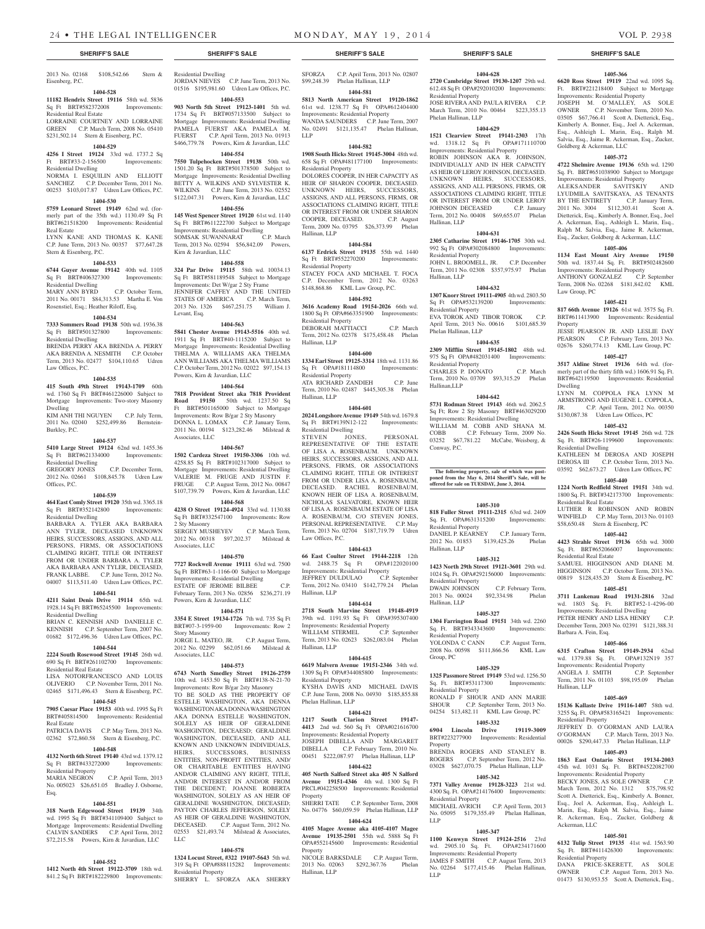2013 No. 02168 \$108,542.66 Stern & Eisenberg, P.C.

# **1404-528**

**11182 Hendrix Street 19116** 58th wd. 5836 Sq Ft BRT#582372008 Improvements:

Residential Real Estate LORRAINE COURTNEY AND LORRAINE GREEN C.P. March Term, 2008 No. 05410 \$231,502.14 Stern & Eisenberg, P.C.

# **1404-529**

**4256 I Street 19124** 33rd wd. 1737.2 Sq Ft BRT#33-2-156500 Improvements: Residential Dwelling

NORMA I. ESQUILIN AND ELLIOTT SANCHEZ C.P. December Term, 2011 No. 00253 \$103,017.87 Udren Law Offices, P.C.

# **1404-530**

**5759 Leonard Street 19149** 62nd wd. (formerly part of the 35th wd.) 1130.49 Sq Ft BRT#621518200 Improvements: Residential Real Estate LYNN KANE AND THOMAS K. KANE

C.P. June Term, 2013 No. 00357 \$77,647.28 Stern & Eisenberg, P.C.

# **1404-533**

**6744 Guyer Avenue 19142** 40th wd. 1105 Sq Ft BRT#406327300 Improvements: Residential Dwelling<br>MARY ANN BYRD C.P. October Term,

2011 No. 00171 \$84,313.53 Martha E. Von Rosenstiel, Esq.; Heather Riloff, Esq.

# **1404-534**

**7333 Sommers Road 19138** 50th wd. 1936.38 Sq Ft BRT#501327800 Improvements: Residential Dwelling

BRENDA PERRY AKA BRENDA A. PERRY AKA BRENDA A. NESMITH C.P. October Term, 2013 No. 02477 \$104,110.65 Udren Law Offices, P.C.

# **1404-535**

**415 South 49th Street 19143-1709** 60th wd. 1760 Sq Ft BRT#461226000 Subject to Mortgage Improvements: Two-story Masonry Dwelling KIM ANH THI NGUYEN C.P. July Term, 2011 No. 02040 \$252,499.86 Bernstein-

# **1404-537**

Burkley, P.C.

**5410 Large Street 19124** 62nd wd. 1455.36 Sq Ft BRT#621334000 Improvements: Residential Dwelling GREGORY JONES C.P. December Term, 2012 No. 02661 \$108,845.78 Udren Law

Offices, P.C.

# **1404-539**

**464 East Comly Street 19120** 35th wd. 3365.18 Sq Ft BRT#352142800 Improvements: Residential Dwelling

BARBARA A. TYLER AKA BARBARA ANN TYLER, DECEASED UNKNOWN HEIRS, SUCCESSORS, ASSIGNS, AND ALL PERSONS, FIRMS, OR ASSOCIATIONS CLAIMING RIGHT, TITLE OR INTEREST FROM OR UNDER BARBARA A. TYLER AKA BARBARA ANN TYLER, DECEASED, FRANK LABBE. C.P. June Term, 2012 No. 04007 \$113,511.40 Udren Law Offices, P.C.

# **1404-541**

**4211 Saint Denis Drive 19114** 65th wd. 1928.14 Sq Ft BRT#65245500 Improvements: Residential Dwelling

BRIAN C. KENNISH AND DANIELLE C. KENNISH C.P. September Term, 2007 No. 01682 \$172,496.36 Udren Law Offices, P.C.

# **1404-544**

**2224 South Rosewood Street 19145** 26th wd. 690 Sq Ft BRT#261102700 Improvements: Residential Real Estate

LISA NOTORFRANCESCO AND LOUIS OLIVERIO C.P. November Term, 2011 No. 02465 \$171,496.43 Stern & Eisenberg, P.C.

# **1404-545**

**7905 Caesar Place 19153** 40th wd. 1995 Sq Ft BRT#405814500 Improvements: Residential Real Estate

PATRICIA DAVIS C.P. May Term, 2013 No. 02362 \$72,860.58 Stern & Eisenberg, P.C.

# **1404-548**

**4132 North 6th Street 19140** 43rd wd. 1379.12 Sq Ft BRT#433272000 Improvements: Residential Property MARIA NEGRON C.P. April Term, 2013 No. 005023 \$26,651.05 Bradley J. Osborne,

Esq.

**1404-551**

**318 North Edgewood Street 19139** 34th wd. 1995 Sq Ft BRT#341109400 Subject to Mortgage Improvements: Residential Dwelling CALVIN SANDERS C.P. April Term, 2012 \$72,215.58 Powers, Kirn & Javardian, LLC

# **1404-552**

**1412 North 4th Street 19122-3709** 18th wd. 841.2 Sq Ft BRT#182229800 Improvements: Residential Dwelling JORDAN NIEVES C.P. June Term, 2013 No.

# 01516 \$195,981.60 Udren Law Offices, P.C. **1404-553**

**903 North 5th Street 19123-1401** 5th wd. 1734 Sq Ft BRT#057133500 Subject to Mortgage Improvements: Residential Dwelling PAMELA FUERST AKA PAMELA M. FUERST C.P. April Term, 2013 No. 01913 \$466,779.78 Powers, Kirn & Javardian, LLC

# **1404-554**

**7550 Tulpehocken Street 19138** 50th wd. 1501.20 Sq Ft BRT#501378500 Subject to Mortgage Improvements: Residential Dwelling BETTY A. WILKINS AND SYLVESTER K. WILKINS C.P. June Term, 2013 No. 02552 \$122,047.31 Powers, Kirn & Javardian, LLC

# **1404-556**

**145 West Spencer Street 19120** 61st wd. 1140 Sq Ft BRT#611222700 Subject to Mortgage Improvements: Residential Dwelling<br>
SOMSAK SUWANNARAT C.P. March SOMSAK SUWANNARAT Term, 2013 No. 02594 \$56,842.09 Powers, Kirn & Javardian, LLC

**1404-558**

**324 Par Drive 19115** 58th wd. 10034.13 Sq Ft BRT#581189548 Subject to Mortgage Improvements: Det W/gar 2 Sty Frame JENNIFER CAFFEY AND THE UNITED STATES OF AMERICA C.P. March Term, 2013 No. 1326 \$467,251.75 William J. Levant, Esq.

# **1404-563**

**5841 Chester Avenue 19143-5516** 40th wd. 1911 Sq Ft BRT#40-1115200 Subject to Mortgage Improvements: Residential Dwelling THELMA A. WILLIAMS AKA THELMA ANN WILLIAMS AKA THELMA WILLIAMS C.P. October Term, 2012 No. 02022 \$97,154.13 Powers, Kirn & Javardian, LLC

## **1404-564**

**7818 Provident Street aka 7818 Provident Road 19150** 50th wd. 1237.50 Sq Ft BRT#501165000 Subject to Mortgage Improvements: Row B/gar 2 Sty Masonry DONNA L. LOMAX C.P. January Term, 2011 No. 00194 \$123,282.46 Milstead & Associates, LLC

**1404-567**

**1502 Cardeza Street 19150-3306** 10th wd. 4258.85 Sq Ft BRT#102317000 Subject to Mortgage Improvements: Residential Dwelling VALERIE M. FRUGE AND JUSTIN F. FRUGE C.P. August Term, 2012 No. 00847 \$107,739.79 Powers, Kirn & Javardian, LLC

# **1404-568**

**4238 O Street 19124-4924** 33rd wd. 1130.88 Sq Ft BRT#332547100 Improvements: Row 2 Sty Masonry SERGEY MUSHEYEV C.P. March Term, 2012 No. 00318 \$97,202.37 Milstead &

# **1404-570**

Associates, LLC

**7727 Rockwell Avenue 19111** 63rd wd. 7500 Sq Ft BRT#63-1-1166-00 Subject to Mortgage Improvements: Residential Dwelling ESTATE OF JEROME BILBEE C.P. February Term, 2013 No. 02856 \$236,271.19 Powers, Kirn & Javardian, LLC

#### **1404-571**

**3354 E Street 19134-1726** 7th wd. 735 Sq Ft BRT#07-3-1959-00 Improvements: Row 2 Story Masonry JORGE L. MATEO, JR. C.P. August Term,

2012 No. 02299 \$62,051.66 Milstead & Associates, LLC

# **1404-573**

**6743 North Smedley Street 19126-2759**  10th wd. 1453.50 Sq Ft BRT#138-N-21-70 Improvements: Row B/gar 2sty Masonry

TO BE SOLD AS THE PROPERTY OF ESTELLE WASHINGTON, AKA DENNA WASHINGTON AKA DONNA WASHINGTON AKA DONNA ESTELLE WASHINGTON SOLELY AS HEIR OF GERALDINE WASHGINTON, DECEAESD; GERALDINE WASHINGTON, DECEASED, AND ALL KNOWN AND UNKNOWN INDIVIDUALS, HEIRS, SUCCESSORS, BUSINESS ENTITIES, NON-PROFIT ENTITIES, AND/ OR CHARITABLE ENTITIES HAVING CLAIMING ANY RIGHT, TITLE AND/OR INTEREST IN AND/OR FROM THE DECEDENT; JOANNE ROBERTA WASHINGTON, SOLELY AS AN HEIR OF GERALDINE WASHINGTON, DECEASED; PAYTON CHARLES JEFFERSON, SOLELY AS HEIR OF GERALDINE WASHINGTON, DECEASED. C.P. August Term, 2012 No. 02553 \$21,493.74 Milstead & Associates, LLC

# **1404-578**

**1324 Locust Street, #322 19107-5643** 5th wd. 319 Sq Ft OPA#888115282 Improvements: Residential Property SHERRY L. SFORZA AKA SHERRY

SFORZA C.P. April Term, 2013 No. 02807 \$99,248.39 Phelan Hallinan, LLP

**1404-581 5813 North American Street 19120-1862**  61st wd. 1238.77 Sq Ft OPA#612404400 Improvements: Residential Property WANDA SAUNDERS C.P. June Term, 2007 No. 02491 \$121,135.47 Phelan Hallinan, LLP

# **1404-582**

**1908 South Hicks Street 19145-3004** 48th wd. 658 Sq Ft OPA#481177100 Improvements: Residential Property

DOLORES COOPER, IN HER CAPACITY AS HEIR OF SHARON COOPER, DECEASED. UNKNOWN HEIRS, SUCCESSORS ASSIGNS, AND ALL PERSONS, FIRMS, OR ASSOCIATIONS CLAIMING RIGHT, TITLE OR INTEREST FROM OR UNDER SHARON COOPER, DECEASED. C.P. August Term, 2009 No. 03795 \$26,373.99 Phelan Hallinan, LLP

#### **1404-584**

**6137 Erdrick Street 19135** 55th wd. 1440 Sq Ft BRT#552270200 Improvements: Residential Property

STACEY FOCA AND MICHAEL T. FOCA C.P. December Term, 2012 No. 03263 \$148,868.86 KML Law Group, P.C.

**1404-592 3616 Academy Road 19154-2026** 66th wd. 1800 Sq Ft OPA#663351900 Improvements: Residential Property

DEBORAH MATTIACCI C.P. March Term, 2012 No. 02378 \$175,458.48 Phelan Hallinan, LLP

# **1404-600**

**1334 Earl Street 19125-3314** 18th wd. 1131.86 Sq Ft OPA#181114800 Improvements: Residential Property

ATA RICHARD ZANDIEH C.P. June Term, 2010 No. 02487 \$445,305.38 Phelan Hallinan, LLP **1404-601**

**2024 Longshore Avenue 19149** 54th wd. 1679.8 Sq Ft BRT#139N12-122 Improvements: Residential Dwelling<br>STEVEN JONES,

STEVEN JONES, PERSONAL REPRESENTATIVE OF THE ESTATE OF LISA A. ROSENBAUM. UNKNOWN HEIRS, SUCCESSORS, ASSIGNS, AND ALL PERSONS, FIRMS, OR ASSOCIATIONS CLAIMING RIGHT, TITLE OR INTEREST FROM OR UNDER LISA A. ROSENBAUM, DECEASED. RACHEL ROSENBAUM, KNOWN HEIR OF LISA A. ROSENBAUM, NICHOLAS SALVATORE, KNOWN HEIR OF LISA A. ROSENBAUM ESTATE OF LISA A. ROSENBAUM, C/O STEVEN JONES, PERSONAL REPRESENTATIVE. C.P. May Term, 2013 No. 02704 \$187,719.79 Udren Law Offices, P.C.

# **1404-613**

**66 East Coulter Street 19144-2218** 12th wd. 2488.75 Sq Ft OPA#122020100 Improvements: Residential Property JEFFREY DULDULAO C.P. September Term, 2012 No. 03410 \$142,779.24 Phelan Hallinan, LLP

# **1404-614**

**2718 South Marvine Street 19148-4919**  39th wd. 1191.93 Sq Ft OPA#395307400 Improvements: Residential Property<br>WILLIAM STERMEL C.P. September WILLIAM STERMEL Term, 2013 No. 02623 \$262,083.04 Phelan Hallinan, LLP

# **1404-615**

**6619 Malvern Avenue 19151-2346** 34th wd. 1309 Sq Ft OPA#344085800 Improvements: Residential Property KYSHA DAVIS AND MICHAEL DAVIS C.P. June Term, 2008 No. 04930 \$185,855.88 Phelan Hallinan, LLP

# **1404-621**

**1217 South Clarion Street 19147- 4413** 2nd wd. 560 Sq Ft OPA#021616700 Improvements: Residential Property JOSEPH DIBELLA AND MARGARET<br>DIBELLA C.P. February Term, 2010 No. C.P. February Term, 2010 No. 00451 \$222,087.97 Phelan Hallinan, LLP

# **1404-622**

**405 North Salford Street aka 405 N Salford Avenue 19151-4346** 4th wd. 1300 Sq Ft PRCL#042258500 Improvements: Residential Property<br>SHERRI TATE C.P. September Term, 2008

No. 04776 \$60,059.59 Phelan Hallinan, LLP **1404-624**

**4105 Magee Avenue aka 4105-4107 Magee Avenue 19135-2501** 55th wd. 5888 Sq Ft OPA#552145600 Improvements: Residential Property

NICOLE BARKSDALE C.P. August Term, 2013 No. 02063 \$292,367.76 Phelan Hallinan, LLP

# **SHERIFF'S SALE SHERIFF'S SALE SHERIFF'S SALE SHERIFF'S SALE SHERIFF'S SALE**

612.48 Sq Ft OPA#292010200 Improvements:

**1405-366 6620 Ross Street 19119** 22nd wd. 1095 Sq. Ft. BRT#221218400 Subject to Mortgage Improvements: Residential Property JOSEPH M. O'MALLEY, AS SOLE C.P. November Term, 2010 No. 03505 \$67,766.41 Scott A. Dietterick, Esq., Kimberly A. Bonner, Esq., Joel A. Ackerman, Esq., Ashleigh L. Marin, Esq., Ralph M. Salvia, Esq., Jaime R. Ackerman, Esq., Zucker,

**1405-372 4722 Shelmire Avenue 19136** 65th wd. 1290 Sq. Ft. BRT#651038900 Subject to Mortgage Improvements: Residential Property ALEKSANDER SAVITSKIY AND LYUDMILA SAVITSKAYA, AS TENANTS BY THE ENTIRETY C.P. January Term, C.F. January Term,<br>2011 No. 3004 \$112,303.41 Scott A. Dietterick, Esq., Kimberly A. Bonner, Esq., Joel A. Ackerman, Esq., Ashleigh L. Marin, Esq., Ralph M. Salvia, Esq., Jaime R. Ackerman, Esq., Zucker, Goldberg & Ackerman, LLC **1405-406 1134 East Mount Airy Avenue 19150**  50th wd. 1837.44 Sq. Ft. BRT#502482600 Improvements: Residential Property ANTHONY GONZALEZ C.P. September Term, 2008 No. 02268 \$181,842.02 KML

**1405-421 817 66th Avenue 19126** 61st wd. 3575 Sq. Ft. BRT#611413900 Improvements: Residential

JESSE PEARSON JR. AND LESLIE DAY PEARSON C.P. February Term, 2013 No. 02676 \$260,774.13 KML Law Group, PC **1405-427 3517 Aldine Street 19136** 64th wd. (formerly part of the thirty fifth wd.) 1606.91 Sq. Ft. BRT#642119500 Improvements: Residential

LYNN M. COPPOLA FKA LYNN M ARMSTRONG AND EUGENE L. COPPOLA, JR. C.P. April Term, 2012 No. 00350 \$130,087.38 Udren Law Offices, PC **1405-432 2426 South Hicks Street 19145** 26th wd. 728 Sq. Ft. BRT#26-1199600 Improvements:

KATHLEEN M DEROSA AND JOSEPH DEROSA III C.P. October Term, 2013 No. 03592 \$62,673.27 Udren Law Offices, PC **1405-440 1224 North Redfield Street 19151** 34th wd. 1800 Sq. Ft. BRT#342173700 Improvements:

LUTHER R ROBINSON AND ROBIN WINFIELD C.P. May Term, 2013 No. 01103 \$58,650.48 Stern & Eisenberg, PC **1405-442 4423 Strahle Street 19136** 65th wd. 3000 Sq. Ft. BRT#652066007 Improvements:

SAMUEL HIGGINSON AND DIANE M. HIGGINSON C.P. October Term, 2013 No. 00819 \$128,435.20 Stern & Eisenberg, PC **1405-451 3711 Lankenau Road 19131-2816** 32nd wd. 1803 Sq. Ft. BRT#52-1-4296-00 Improvements: Residential Dwelling PETER HENRY AND LISA HENRY C.P. December Term, 2003 No. 02391 \$121,388.31

**1405-466 6315 Crafton Street 19149-2934** 62nd wd. 1379.88 Sq. Ft. OPA#132N19 357 Improvements: Residential Property

ANGELA J. SMITH C.P. September Term, 2011 No. 01103 \$98,195.09 Phelan

**1405-469 15136 Kallaste Drive 19116-1407** 58th wd. 3255 Sq. Ft. OPA#583165421 Improvements:

JEFFREY D. O'GORMAN AND LAURA O'GORMAN C.P. March Term, 2013 No. 00026 \$290,447.33 Phelan Hallinan, LLP **1405-493 1863 East Ontario Street 19134-2003**  45th wd. 1031 Sq. Ft. BRT#4522082700 nents: Residential Property BECKY JONES, AS SOLE OWNER C.P. March Term, 2012 No. 1312 \$75,798.92 Scott A. Dietterick, Esq., Kimberly A. Bonner, Esq., Joel A. Ackerman, Esq., Ashleigh L. Marin, Esq., Ralph M. Salvia, Esq., Jaime R. Ackerman, Esq., Zucker, Goldberg &

**1405-501 6132 Tulip Street 19135** 41st wd. 1563.90 Sq. Ft. BRT#411426300 Improvements:

DANA PRICE-SKERETT, AS SOLE OWNER C.P. August Term, 2013 No. 01473 \$130,953.55 Scott A. Dietterick, Esq.,

Goldberg & Ackerman, LLC

Law Group, PC

Property

Dwelling

Residential Dwelling

Residential Real Estate

Residential Real Estate

Barbara A. Fein, Esq.

Hallinan, LLP

Residential Property

Ackerman, LLC

Residential Property

JOSE RIVERA AND PAULA RIVERA C.P. March Term, 2010 No. 00464 \$223,355.13

**1404-629 1521 Clearview Street 19141-2303** 17th wd. 1318.12 Sq Ft OPA#171110700 Improvements: Residential Property ROBIN JOHNSON AKA R. JOHNSON, INDIVIDUALLY AND IN HER CAPACITY AS HEIR OF LEROY JOHNSON, DECEASED. UNKNOWN HEIRS, SUCCESSORS ASSIGNS, AND ALL PERSONS, FIRMS, OR ASSOCIATIONS CLAIMING RIGHT, TITLE OR INTEREST FROM OR UNDER LEROY JOHNSON DECEASED C.P. January Term, 2012 No. 00408 \$69,655.07 Phelan

**1404-631 2305 Catharine Street 19146-1705** 30th wd. 992 Sq Ft OPA#302084800 Improvements:

JOHN L. BROOMELL, JR. C.P. December Term, 2011 No. 02308 \$357,975.97 Phelan

**1404-632 1307 Knorr Street 19111-4905** 4th wd. 2803.50 Sq Ft OPA#532139200 Improvements:

EVA TOROK AND TIBOR TOROK C.P. April Term, 2013 No. 00616 \$101,685.39

**1404-635 2309 Mifflin Street 19145-1802** 48th wd. 975 Sq Ft OPA#482031400 Improvements:

CHARLES P. DONATO C.P. March Term, 2010 No. 03709 \$93,315.29 Phelan

**1404-642 5731 Rodman Street 19143** 46th wd. 2062.5 Sq Ft; Row 2 Sty Masonry BRT#463029200 Improvements: Residential Dwelling WILLIAM M. COBB AND SHANA M. COBB C.P. February Term, 2009 No. 03252 \$67,781.22 McCabe, Weisberg, &

**The following property, sale of which was post-poned from the May 6, 2014 Sheriff's Sale, will be offered for sale on TUESDAY, June 3, 2014.**

**1405-310 818 Fuller Street 19111-2315** 63rd wd. 2409 Sq. Ft. OPA#631315200 Improvements:

DANIEL P. KEARNEY C.P. January Term, 2012 No. 01853 \$139,425.26 Phelan

**1405-312 1423 North 29th Street 19121-3601** 29th wd. 1024 Sq. Ft. OPA#292156000 Improvements:

DWAIN JOHNSON C.P. February Term, 2013 No. 00024 \$92,334.98 Phelan

**1405-327 1304 Farrington Road 19151** 34th wd. 2260 Sq. Ft. BRT#343343600 Improvements:

YOLONDA C CANN C.P. August Term, 2008 No. 00598 \$111,866.56 KML Law

**1405-329 1325 Passmore Street 19149** 53rd wd. 1256.50 Sq. Ft. BRT#53117300 Improvements:

RONALD F SHOUR AND ANN MARIE SHOUR C.P. September Term, 2013 No. 04254 \$13,482.11 KML Law Group, PC **1405-332 6904 Lincoln Drive 19119-3009**  BRT#223277900 Improvements: Residential

BRENDA ROGERS AND STANLEY B.<br>ROGERS C.P. September Term, 2012 No.

03028 \$627,070.75 Phelan Hallinan, LLP **1405-342 7371 Valley Avenue 19128-3223** 21st wd. 4300 Sq. Ft. OPA#214176400 Improvements:

MICHAEL AVRICH C.P. April Term, 2013 No. 05095 \$179,355.49 Phelan Hallinan,

**1405-347 1100 Kenwyn Street 19124-2516** 23rd wd. 2905.10 Sq. Ft. OPA#234171600 Improvements: Residential Property JAMES F SMITH C.P. August Term, 2013 No. 02264 \$177,415.46 Phelan Hallinan,

C.P. September Term, 2012 No.

#### **1404-628 2720 Cambridge Street 19130-1207** 29th wd.

Residential Property

Phelan Hallinan, LLP

Hallinan, LLP

Hallinan, LLP

Residential Property

Residential Property

Phelan Hallinan, LLP

Residential Property

Hallinan LLP

Conway, P.C.

Residential Property

Residential Property

Residential Property

Residential Property

Residential Property

Hallinan, LLP

Group, PC

**Property** 

LLP

LLP

Hallinan, LLP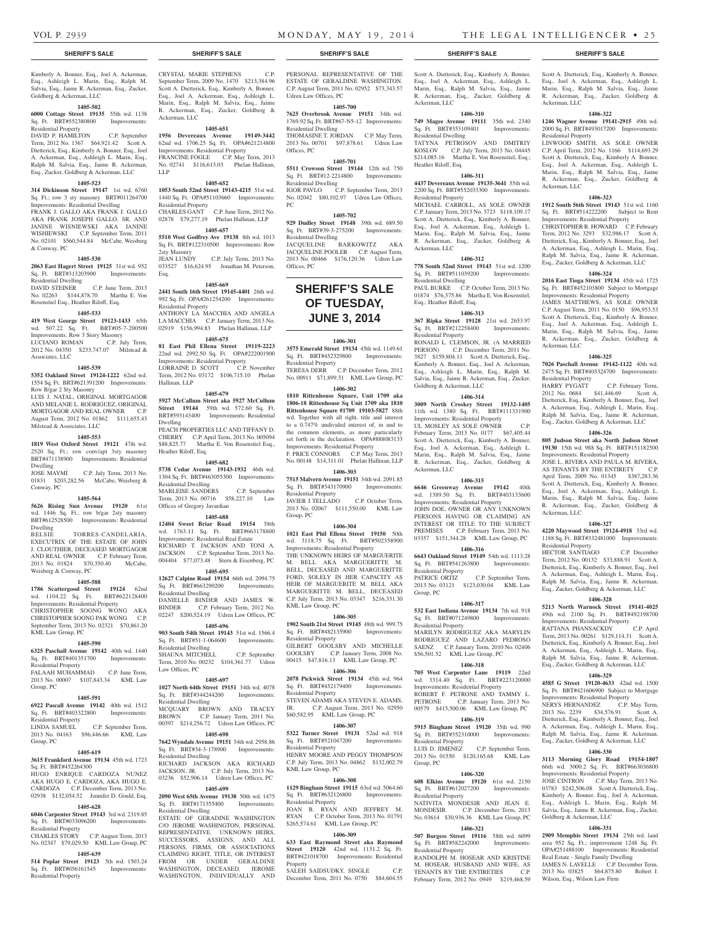Ackerman, LLC

Residential Property

Ackerman, LLC

Ackerman, LLC

Residential Property<br>HARRY PYGATT

Ackerman, LLC

Residential Property

Scott A. Dietterick, Esq., Kimberly A. Bonner, Esq., Joel A. Ackerman, Esq., Ashleigh L. Marin, Esq., Ralph M. Salvia, Esq., Jaime R. Ackerman, Esq., Zucker, Goldberg &

**1406-322 1246 Wagner Avenue 19141-2915** 49th wd. 2000 Sq. Ft. BRT#493017200 Improvements:

LINWOOD SMITH, AS SOLE OWNER C.P. April Term, 2012 No. 1166 \$114,693.29 Scott A. Dietterick, Esq., Kimberly A. Bonner, Esq., Joel A. Ackerman, Esq., Ashleigh L. Marin, Esq., Ralph M. Salvia, Esq., Jaime R. Ackerman, Esq., Zucker, Goldberg &

**1406-323 1912 South 56th Street 19143** 51st wd. 1160 Sq. Ft. BRT#514222200 Subject to Rent Improvements: Residential Property CHRISTOPHER R. HOWARD C.P. February Term, 2012 No. 3293 \$32,986.17 Scott A. Dietterick, Esq., Kimberly A. Bonner, Esq., Joel A. Ackerman, Esq., Ashleigh L. Marin, Esq., Ralph M. Salvia, Esq., Jaime R. Ackerman, Esq., Zucker, Goldberg & Ackerman, LLC **1406-324 2016 East Tioga Street 19134** 45th wd. 1725 Sq. Ft. BRT#452103800 Subject to Mortgage Improvements: Residential Property JAMES MATTHEWS, AS SOLE OWNER C.P. August Term, 2011 No. 0150 \$96,953.53 Scott A. Dietterick, Esq., Kimberly A. Bonner, Esq., Joel A. Ackerman, Esq., Ashleigh L. Marin, Esq., Ralph M. Salvia, Esq., Jaime R. Ackerman, Esq., Zucker, Goldberg &

**1406-325 7026 Paschall Avenue 19142-1122** 40th wd. 2475 Sq. Ft. BRT#403324700 Improvements:

2012 No. 0684 \$41,446.69 Scott A. Dietterick, Esq., Kimberly A. Bonner, Esq., Joel A. Ackerman, Esq., Ashleigh L. Marin, Esq., Ralph M. Salvia, Esq., Jaime R. Ackerman, Esq., Zucker, Goldberg & Ackerman, LLC **1406-326 805 Judson Street aka North Judson Street 19130** 15th wd. 988 Sq. Ft. BRT#151182500 Improvements: Residential Property JOSE L. RIVERA AND PAULA M. RIVERA, AS TENANTS BY THE ENTIRETY C.P. April Term, 2009 No. 01345 \$387,283.36 Scott A. Dietterick, Esq., Kimberly A. Bonner, Esq., Joel A. Ackerman, Esq., Ashleigh L. Marin, Esq., Ralph M. Salvia, Esq., Jaime R. Ackerman, Esq., Zucker, Goldberg &

**1406-327 4220 Maywood Street 19124-4918** 33rd wd. 1188 Sq. Ft. BRT#332481000 Improvements:

HECTOR SANTIAGO C.P. December Term, 2012 No. 00132 \$33,888.91 Scott A. Dietterick, Esq., Kimberly A. Bonner, Esq., Joel A. Ackerman, Esq., Ashleigh L. Marin, Esq., Ralph M. Salvia, Esq., Jaime R. Ackerman, Esq., Zucker, Goldberg & Ackerman, LLC **1406-328 5213 North Warnock Street 19141-4025**  49th wd. 2100 Sq. Ft. BRT#492198700 Improvements: Residential Property RATTANA PHANSACKDY C.P. April Term, 2013 No. 00261 \$129,114.31 Scott A. Dietterick, Esq., Kimberly A. Bonner, Esq., Joel A. Ackerman, Esq., Ashleigh L. Marin, Esq., Ralph M. Salvia, Esq., Jaime R. Ackerman, Esq., Zucker, Goldberg & Ackerman, LLC **1406-329 4585 G Street 19120-4633** 42nd wd. 1500 Sq. Ft. BRT#421606900 Subject to Mortgage Improvements: Residential Property NERYS HERNANDEZ C.P. May Term, 2013 No. 2239 \$34,576.91 Scott A. Dietterick, Esq., Kimberly A. Bonner, Esq., Joel A. Ackerman, Esq., Ashleigh L. Marin, Esq., Ralph M. Salvia, Esq., Jaime R. Ackerman, Esq., Zucker, Goldberg & Ackerman, LLC **1406-330 3113 Morning Glory Road 19154-1807**  66th wd. 3000.2 Sq. Ft. BRT#663036800 Improvements: Residential Property

JOSE CINTRON C.P. May Term, 2013 No. 03783 \$242,506.08 Scott A. Dietterick, Esq., Kimberly A. Bonner, Esq., Joel A. Ackerman, Esq., Ashleigh L. Marin, Esq., Ralph M. Salvia, Esq., Jaime R. Ackerman, Esq., Zucker,

**1406-331 2909 Memphis Street 19134** 25th wd. land area 952 Sq. Ft.; improvement 1248 Sq. Ft. OPA#251488100 Improvements: Residential Real Estate - Single Family Dwelling JAMES N. LAVELLE C.P. December Term, 2013 No. 03825 \$64,875.80 Robert J.

Goldberg & Ackerman, LLC

Wilson, Esq., Wilson Law Firm

C.P. February Term,

Kimberly A. Bonner, Esq., Joel A. Ackerman, Esq., Ashleigh L. Marin, Esq., Ralph M. Salvia, Esq., Jaime R. Ackerman, Esq., Zucker, Goldberg & Ackerman, LLC

### **1405-502**

**6000 Cottage Street 19135** 55th wd. 1138 Sq. Ft. BRT#552380800 Improvements: Residential Property

DAVID P. HAMILTON C.P. September Term, 2012 No. 1367 \$64,921.42 Scott A. Dietterick, Esq., Kimberly A. Bonner, Esq., Joel A. Ackerman, Esq., Ashleigh L. Marin, Esq., Ralph M. Salvia, Esq., Jaime R. Ackerman, Esq., Zucker, Goldberg & Ackerman, LLC

### **1405-523**

**314 Dickinson Street 19147** 1st wd. 6760 Sq. Ft.; row 3 sty masonry BRT#011264700 Improvements: Residential Dwelling FRANK J. GALLO AKA FRANK J. GALLO AKA FRANK JOSEPH GALLO, SR. AND JANINE WISNIEWSKI AKA JANINE WISHIEWSKI C.P. September Term, 2011 No. 02101 \$560,544.84 McCabe, Weisberg & Conway, PC

#### **1405-530**

**2063 East Hagert Street 19125** 31st wd. 952 Sq. Ft. BRT#313203900 Improvements: Residential Dwelling

DAVID STEINER C.P. June Term, 2013 No. 02263 \$144,878.70 Martha E. Von Rosenstiel Esq., Heather Riloff, Esq.

#### **1405-533**

**419 West George Street 19123-1433** 65th wd. 507.22 Sq. Ft. BRT#05-7-200500 Improvements: Row 3 Story Masonry LUCIANO ROMAN C.P. July Term, 2012 No. 04350 \$233,747.07 Milstead & Associates, LLC

### **1405-539**

**5352 Oakland Street 19124-1222** 62nd wd. 1554 Sq. Ft. BRT#621391200 Improvements: Row B/gar 2 Sty Masonry LUIS J. NATAL, ORIGINAL MORTGAGOR AND MELANIE L. RODRIGUEZ, ORIGINAL MORTGAGOR AND REAL OWNER C.P. August Term, 2012 No. 01862 \$111,655.43 Milstead & Associates, LLC

#### **1405-553**

**1819 West Oxford Street 19121** 47th wd. 2520 Sq. Ft.; row conv/apt 3sty masonry BRT#471138900 Improvements: Residential Dwelling<br>JOSE MAYMI C.P. July Term, 2013 No.

01831 \$203,282.56 McCabe, Weisberg & Conway, PC

# **1405-564**

**5626 Rising Sun Avenue 19120** 61st wd. 1446 Sq. Ft.; row b/gar 2sty masonry BRT#612528500 Improvements: Residential

Dwelling<br>BELSIE TORRES-CANDELARIA. EXECUTRIX OF THE ESTATE OF JOHN J. CLOUTHIER, DECEASED MORTGAGOR AND REAL OWNER C.P. February Term, 2013 No. 01824 \$70,350.40 McCabe, Weisberg & Conway, PC

#### **1405-588**

**1786 Scattergood Street 19124** 62nd wd. 1104.22 Sq. Ft. BRT#622128400 Improvements: Residential Property CHRISTOPHER SOONG WONG AKA CHRISTOPHER SOONG PAK WONG C.P. September Term, 2013 No. 02321 \$70,861.20 KML Law Group, PC

#### **1405-590**

**6325 Paschall Avenue 19142** 40th wd. 1440 Sq. Ft. BRT#401351700 Improvements:

#### Residential Property FALAAH MUHAMMAD C.P. June Term

2013 No. 00007 \$107,843.34 KML Law Group, PC

# **1405-591**

**6922 Pascall Avenue 19142** 40th wd. 1512 Sq. Ft. BRT#403322800 Residential Property LINDA SAMUEL C.P. September Term, 2013 No. 04163 \$96,446.66 KML Law

# Group, PC **1405-619**

**3615 Frankford Avenue 19134** 45th wd. 1723 Sq. Ft. BRT#452264300<br>HUGO ENRIQUE C. CARDOZA NUNEZ AKA HUGO E. CARDOZA, AKA HUGO E. CARDOZA C.P. December Term, 2013 No. 02938 \$132,054.52 Jennifer D. Gould, Esq.

# **1405-628**

**6046 Carpenter Street 19143** 3rd wd. 2319.85 Sq. Ft. BRT#033096200 Improvements: Residential Property

CHARLES STORY C.P. August Term, 2013 No. 02347 \$79,029.50 KML Law Group, PC

# **1405-639**

**514 Poplar Street 19123** 5th wd. 1503.24 Sq. Ft. BRT#056161545 Improvements: Residential Property

CRYSTAL MARIE STEPHENS C.P. September Term, 2009 No. 1470 \$213,384.96 Scott A. Dietterick, Esq., Kimberly A. Bonner, Esq., Joel A. Ackerman, Esq., Ashleigh L. Marin, Esq., Ralph M. Salvia, Esq., Jaime R. Ackerman, Esq., Zucker, Goldberg & Ackerman, LLC

#### **1405-651**

**1956 Devereaux Avenue 19149-3442**  62nd wd. 1706.25 Sq. Ft. OPA#621214800 Improvements: Residential Property FRANCINE FOGLE C.P. May Term, 2013 No. 02741 \$116,613.03 Phelan Hallinan, LLP

# **1405-652**

**1053 South 52nd Street 19143-4215** 51st wd. 1440 Sq. Ft. OPA#51103660 Improvements: Residential Property CHARLES GANT C.P. June Term, 2012 No. 02878 \$79,277.19 Phelan Hallinan, LLP

# **1405-657**

**5510 West Godfrey Ave 19138** 8th wd. 1013 Sq. Ft. BRT#122310500 Improvements: Row 2sty Masonry C.P. July Term, 2013 No. 033527 \$16,624.95 Jonathan M. Peterson,

Esq.

#### **1405-669**

**2441 South 16th Street 19145-4401** 26th wd. 992 Sq. Ft. OPA#261254200 Improvements: Residential Property ANTHONY LA MACCHIA AND ANGELA LA MACCHIA C.P. January Term, 2013 No. 02919 \$156,994.83 Phelan Hallinan, LLP

#### **1405-675**

**81 East Phil Ellena Street 19119-2223**  22nd wd. 2992.50 Sq. Ft. OPA#222001900 Improvements: Residential Property LORRAINE D. SCOTT C.P. November Term, 2012 No. 03172 \$106,715.10 Phelan Hallinan, LLP

#### **1405-679**

**5927 McCallum Street aka 5927 McCullum Street 19144** 59th wd. 572.60 Sq. Ft. BRT#593143400 Improvements: Residential Dwelling PEACH PROPERTIES LLC AND TIFFANY D.

CHERRY C.P. April Term, 2013 No. 005094<br>\$88,825.77 Martha E. Von Rosenstiel Esq., Martha E. Von Rosenstiel Esq., Heather Riloff, Esq.

### **1405-682**

**5738 Cedar Avenue 19143-1932** 46th wd. 1304 Sq. Ft. BRT#463055300 Improvements: Residential Dwelling MARLEISE SANDERS C.P. September MARLEISE SANDERS C.P. September<br>Term, 2013 No. 00716 \$58,227.10 Law

# Offices of Gregory Javardian

**1405-688 12404 Sweet Briar Road 19154** 58th

wd. 1763.11 Sq. Ft. BRT#663178800 Improvements: Residential Real Estate RICHARD T. JACKSON AND TONI A. JACKSON C.P. September Term, 2013 No. 004404 \$77,073.48 Stern & Eisenberg, PC

#### **1405-695**

**12627 Calpine Road 19154** 66th wd. 2094.75 Sq. Ft. BRT#663290200 Improvements: Residential Dwelling DANIELLE BINDER AND JAMES W. BINDER C.P. February Term, 2012 No. 02247 \$200,524.19 Udren Law Offices, PC

# **1405-696**

**903 South 54th Street 19143** 51st wd. 1566.4 Sq. Ft. BRT#51-1-064600 Improvements: Residential Dwelling SHAUNA MITCHELL C.P. September Term, 2010 No. 00232 \$104,361.77 Udren Law Offices, PC

### **1405-697**

**1027 North 64th Street 19151** 34th wd. 4078 Sq. Ft. BRT#344244200 Improvements: Residential Dwelling MCQUARY BROWN AND TRACEY BROWN C.P. January Term, 2011 No. 00397 \$214,256.72 Udren Law Offices, PC

#### **1405-698**

**7642 Wyndale Avenue 19151** 34th wd. 2958.86 Sq. Ft. BRT#34-3-178900 Improvements: Residential Dwelling RICHARD JACKSON AKA RICHARD JACKSON, JR. C.P. July Term, 2013 No. 03236 \$52,906.14 Udren Law Offices, PC

# **1405-699**

**2090 West 65th Avenue 19138** 50th wd. 1475 Sq. Ft. BRT#171355400 Improvements: Residential Dwelling

ESTATE OF GERADINE WASHINGTON C/O JEROME WASHINGTON, PERSONAL REPRESENTATIVE. UNKNOWN HEIRS, SUCCESSORS, ASSIGNS, AND ALL PERSONS, FIRMS, OR ASSOCIATIONS CLAIMING RIGHT, TITLE, OR INTEREST FROM OR UNDER GERALDINE WASHINGTON, DECEASED. JEROME WASHINGTON, INDIVIDUALLY AND

PERSONAL REPRESENTATIVE OF THE ESTATE OF GERALDINE WASHINGTON. C.P. August Term, 2011 No. 02952 \$73,343.57 Udren Law Offices, PC

# **1405-700**

**7625 Overbrook Avenue 19151** 34th wd. 1769.92 Sq. Ft. BRT#67-N5-12 Improvements: Residential Dwelling THOMASINE T. JORDAN C.P. May Term,

2013 No. 00701 \$97,878.61 Udren Law Offices, PC **1405-701**

**5511 Crowson Street 19144** 12th wd. 750 Sq. Ft. BRT#12-2214800 Improvements: Residential Dwelling IGOR PAVLO C.P. September Term, 2013 No. 02042 \$80,102.97 Udren Law Offices,

# **1405-702**

PC

**929 Dudley Street 19148** 39th wd. 689.50 Sq. Ft. BRT#39-3-275200 Improvements: Residential Dwelling JACQUELINE BARKOWITZ AKA JACQUELINE POOLER C.P. August Term, 2013 No. 00466 \$176,120.36 Udren Law Offices, PC

**SHERIFF'S SALE OF TUESDAY, June 3, 2014**

# **1406-301**

**3575 Emerald Street 19134** 45th wd. 1149.61 Sq. Ft. BRT#452329800 Improvements: Residential Property TERESA DERR C.P. December Term, 2012

No. 00911 \$71,899.31 KML Law Group, PC **1406-302**

**1810 Rittenhouse Square, Unit 1709 aka 1806-18 Rittenhouse Sq Unit 1709 aka 1810 Rittenhouse Square #1709 19103-5827** 88th wd. Together with all right, title and interest to a 0.747% undivided interest of, in and to the common elements, as more particularly set forth in the declaration. OPA#888083133 Improvements: Residential Property F. PRICE CONNORS C.P. May Term, 2013 No. 00148 \$14,311.01 Phelan Hallinan, LLP

**1406-303 7515 Malvern Avenue 19151** 34th wd. 2091.85 Sq. Ft. BRT#343170900 Improvements: Residential Property JAVIER I TELLADO C.P. October Term, 2013 No. 02067 \$111,550.00 KML Law

Group, PC **1406-304**

**1021 East Phil Ellena Street 19150** 50th wd. 3118.75 Sq. Ft. BRT#502358900 Improvements: Residential Property THE UNKNOWN HEIRS OF MARGUERITE M. BELL AKA MARGUERITTE M. BELL, DECEASED AND MARGUERITTE FORD, SOLELY IN HER CAPACITY AS HEIR OF MARGUERITE M. BELL AKA MARGUERITTE M. BELL, DECEASED C.P. July Term, 2013 No. 03347 \$216,331.30 KML Law Group, PC

# **1406-305**

**1902 South 21st Street 19145** 48th wd. 999.75 Sq. Ft. BRT#482135900 Improvements: Residential Property GILBERT GOOLSBY AND MICHELLE<br>GOOLSBY C.P. January Term. 2008 No. C.P. January Term, 2008 No. 00415 \$47,816.13 KML Law Group, PC

# **1406-306**

**2078 Pickwick Street 19134** 45th wd. 964 Sq. Ft. BRT#452179400 Improvements: Residential Property STEVEN ADAMS AKA STEVEN E. ADAMS,

JR. C.P. August Term, 2013 No. 02950 \$60,582.95 KML Law Group, PC **1406-307**

# **5322 Turner Street 19131** 52nd wd. 918 Sq. Ft. BRT#521047200 Improvements: Residential Property HENRY MOORE AND PEGGY THOMPSON C.P. July Term, 2013 No. 04862 \$132,002.79

KML Law Group, PC **1406-308**

**1129 Bingham Street 19115** 63rd wd. 5064.60<br> **Sq. Ft. BRT#632126800** Improvements: Sq. Ft. BRT#632126800 Residential Property JOAN B. RYAN AND JEFFREY M. RYAN C.P. October Term, 2013 No. 01791 \$265,574.61 KML Law Group, PC

# **1406-309**

**633 East Raymond Street aka Raymond Street 19120** 42nd wd. 1131.2 Sq. Ft. BRT#421018700 Improvements: Residential Property SALEH SAIDSUDKY, SINGLE C.P.

December Term, 2011 No. 0750 \$84,604.55

# **SHERIFF'S SALE SHERIFF'S SALE SHERIFF'S SALE SHERIFF'S SALE SHERIFF'S SALE**

Scott A. Dietterick, Esq., Kimberly A. Bonner, Esq., Joel A. Ackerman, Esq., Ashleigh L. Marin, Esq., Ralph M. Salvia, Esq., Jaime R. Ackerman, Esq., Zucker, Goldberg & Ackerman, LLC

# **1406-310**

Heather Riloff, Esq.

Residential Property

Ackerman, LLC

Sq. Ft. BRT#511039200 Residential Dwelling

Esq.; Heather Riloff, Esq.

Residential Property

Ackerman, LLC

Residential Property<br>PATRICE ORTIZ

Residential Property

Residential Property<br>LUIS D. JIMENEZ

Residential Property

Residential Property

Group, PC

Group, PC

Goldberg & Ackerman, LLC

**749 Magee Avenue 19111** 35th wd. 2340 Sq. Ft. BRT#353109401 Improvements: Residential Dwelling TATYNA PETROSOV AND DMITRIY KOSLOV C.P. July Term, 2013 No. 04445

 $$214,085.16$  Martha E. Von Rosenstiel, Esq.;

**1406-311 4437 Devereaux Avenue 19135-3641** 55th wd. 2200 Sq. Ft. BRT#552033300 Improvements:

MICHAEL CARROLL, AS SOLE OWNER C.P. January Term, 2013 No. 3723 \$118,109.17 Scott A. Dietterick, Esq., Kimberly A. Bonner, Esq., Joel A. Ackerman, Esq., Ashleigh L. Marin, Esq., Ralph M. Salvia, Esq., Jaime R. Ackerman, Esq., Zucker, Goldberg &

**1406-312 778 South 52nd Street 19143** 51st wd. 1200<br>Sq. Ft. BRT#511039200 Improvements:

PAUL BURKE C.P. October Term, 2013 No. 01874 \$76,375.86 Martha E. Von Rosenstiel,

**1406-313 367 Ripka Street 19128** 21st wd. 2653.97 Sq. Ft. BRT#212258400 Improvements:

RONALD L. CLEMSON, JR. (A MARRIED PERSON) C.P. December Term, 2011 No. 3827 \$159,804.11 Scott A. Dietterick, Esq., Kimberly A. Bonner, Esq., Joel A. Ackerman, Esq., Ashleigh L. Marin, Esq., Ralph M. Salvia, Esq., Jaime R. Ackerman, Esq., Zucker,

**1406-314 3009 North Croskey Street 19132-1405**  11th wd. 1380 Sq. Ft. BRT#111331900 Improvements: Residential Property UL MOSLEY AS SOLE OWNER C.P. February Term, 2013 No. 0177 \$67,405.44 Scott A. Dietterick, Esq., Kimberly A. Bonner, Esq., Joel A. Ackerman, Esq., Ashleigh L. Marin, Esq., Ralph M. Salvia, Esq., Jaime R. Ackerman, Esq., Zucker, Goldberg &

**1406-315 6646 Greenway Avenue 19142** 40th wd. 1389.50 Sq. Ft. BRT#403133600 Improvements: Residential Property JOHN DOE, OWNER OR ANY UNKNOWN PERSONS HAVING OR CLAIMING AN INTEREST OR TITLE TO THE SUBJECT PREMISES C.P. February Term, 2013 No. 03357 \$151,344.28 KML Law Group, PC **1406-316 6643 Oakland Street 19149** 54th wd. 1113.28 Sq. Ft. BRT#541263800 Improvements:

2013 No. 03121 \$123,030.04 KML Law

**1406-317 532 East Indiana Avenue 19134** 7th wd. 918 Sq. Ft. BRT#071249800 Improvements:

MARILYN RODRIGUEZ AKA MARYLIN RODRIGUEZ AND LAZARO PEDROSO SAENZ C.P. January Term, 2010 No. 02406 \$56,501.52 KML Law Group, PC **1406-318 705 West Carpenter Lane 19119** 22nd wd. 3314.40 Sq. Ft. BRT#223120000 Improvements: Residential Property ROBERT F. PETRONE AND TAMMY L. PETRONE C.P. January Term, 2013 No. 00579 \$415,500.06 KML Law Group, PC **1406-319 5915 Bingham Street 19120** 35th wd. 990 Sq. Ft. BRT#352310000 Improvements:

2013 No. 01550 \$120,165.68 KML Law

**1406-320 608 Elkins Avenue 19120** 61st wd. 2150 Sq. Ft. BRT#612027200 Improvements:

NATIVITA MONDESIR AND JEAN E. MONDESIR C.P. December Term, 2013 No. 03614 \$30,936.36 KML Law Group, PC **1406-321 507 Burgess Street 19116** 58th wd. 6099 Sq. Ft. BRT#582242000 Improvements:

RANDOLPH M. HOSEAR AND KRISTINE M. HOSEAR, HUSBAND AND WIFE, AS TENANTS BY THE ENTIRETIES C.P. February Term, 2012 No. 0949 \$219,468.59

C.P. September Term,

C.P. September Term,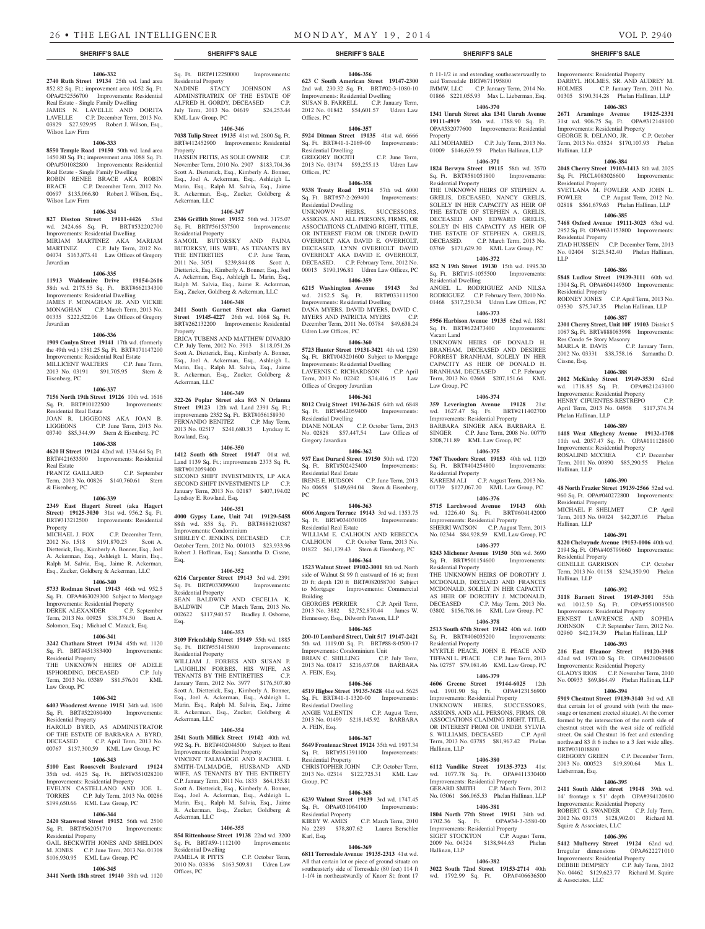# **1406-332**

**2740 Ruth Street 19134** 25th wd. land area 852.82 Sq. Ft.; improvement area 1052 Sq. Ft. OPA#252556700 Improvements: Residential Real Estate - Single Family Dwelling JAMES N. LAVELLE AND DORITA

LAVELLE C.P. December Term, 2013 No. 03829 \$27,929.95 Robert J. Wilson, Esq., Wilson Law Firm

# **1406-333**

**8550 Temple Road 19150** 50th wd. land area 1450.80 Sq. Ft.; improvement area 1088 Sq. Ft. OPA#501082800 Improvements: Residential Real Estate - Single Family Dwelling ROBIN RENEE BRACE AKA ROBIN BRACE C.P. December Term, 2012 No. 00697 \$135,066.80 Robert J. Wilson, Esq., Wilson Law Firm

# **1406-334**

**827 Disston Street 19111-4426** 53rd wd. 2424.66 Sq. Ft. BRT#532202700 Improvements: Residential Dwelling MIRIAM MARTINEZ AKA MARIAM<br>MARTINEZ C.P. July Term. 2012 No. C.P. July Term, 2012 No. 04074 \$163,873.41 Law Offices of Gregory Javardian

### **1406-335**

**11913 Waldemire Drive 19154-2616**  58th wd. 2175.55 Sq. Ft. BRT#662134300 Improvements: Residential Dwelling JAMES F. MONAGHAN JR. AND VICKIE MONAGHAN C.P. March Term, 2013 No. 01335 \$222,522.06 Law Offices of Gregory

# **1406-336**

**1909 Conlyn Street 19141** 17th wd. (formerly the 49th wd.) 1381.25 Sq. Ft. BRT#171147200 Improvements: Residential Real Estate

MILLICENT WALTERS C.P. June Term, 2013 No. 03191 \$91,705.95 Stern & Eisenberg, PC

# **1406-337**

Javardian

**7156 North 19th Street 19126** 10th wd. 1616 Sq. Ft. BRT#10122500 Improvements: Residential Real Estate

JOAN R. LIGGEONS AKA JOAN B. LIGGEONS C.P. June Term, 2013 No. 03740 \$85,344.99 Stern & Eisenberg, PC

# **1406-338**

**4620 H Street 19124** 42nd wd. 1334.64 Sq. Ft. BRT#421633500 Improvements: Residential Real Estate FRANTZ GAILLARD C.P. September

Term, 2013 No. 00826 \$140,760.61 Stern & Eisenberg, PC

# **1406-339**

**2349 East Hagert Street (aka Hagert Street) 19125-3030** 31st wd. 956.2 Sq. Ft. BRT#313212500 Improvements: Residential Property<br>MICHAEL J. FOX

C.P. December Term, 2012 No. 1518 \$191,870.23 Scott A. Dietterick, Esq., Kimberly A. Bonner, Esq., Joel A. Ackerman, Esq., Ashleigh L. Marin, Esq., Ralph M. Salvia, Esq., Jaime R. Ackerman, Esq., Zucker, Goldberg & Ackerman, LLC

# **1406-340**

**5733 Rodman Street 19143** 46th wd. 952.5 Sq. Ft. OPA#463029300 Subject to Mortgage Improvements: Residential Property DEREK ALEXANDER C.P. September Term, 2013 No. 00925 \$38,374.50 Brett A. Solomon, Esq.; Michael C. Mazack, Esq.

# **1406-341**

**3242 Chatham Street 19134** 45th wd. 1120 Sq. Ft. BRT#451383400 Improvements:

Residential Property THE UNKNOWN HEIRS OF ADELE ISPHORDING, DECEASED C.P. July

# Term, 2013 No. 03389 \$81,576.01 KML Law Group, PC **1406-342**

**6403 Woodcrest Avenue 19151** 34th wd. 1600 Sq. Ft. BRT#522080400 Improvements:

Residential Property HAROLD BYRD, AS ADMINISTRATOR OF THE ESTATE OF BARBARA A. BYRD, DECEASED C.P. April Term, 2013 No. 00767 \$137,300.59 KML Law Group, PC

# **1406-343**

**5100 East Roosevelt Boulevard 19124**  35th wd. 4625 Sq. Ft. BRT#351028200 Improvements: Residential Property EVELYN CASTELLANO AND JOE L.

# TORRES C.P. July Term, 2013 No. 00286 \$199,650.66 KML Law Group, PC **1406-344**

**2420 Stanwood Street 19152** 56th wd. 2500 Sq. Ft. BRT#562051710 Improvements: Residential Property GAIL BECKWITH JONES AND SHELDON

\$106,930.95 KML Law Group, PC **1406-345 3441 North 18th street 19140** 38th wd. 1120

#### M. JONES C.P. June Term, 2013 No. 01308 Sq. Ft. BRT#59-1112100 Improvements:

Residential Dwelling PAMELA R PITTS C.P. October Term, 2010 No. 03836 \$163,509.81 Udren Law Offices, PC

**1406-355 854 Rittenhouse Street 19138** 22nd wd. 3200

Sq. Ft. BRT#112250000 Improvements:

NADINE STACY JOHNSON AS ADMINSTRATRIX OF THE ESTATE OF ALFRED H. GORDY, DECEASED C.P. July Term, 2013 No. 04619 \$24,253.44

**1406-346 7038 Tulip Street 19135** 41st wd. 2800 Sq. Ft. BRT#412452900 Improvements: Residential

HASSEN FRITIS, AS SOLE OWNER C.P. November Term, 2010 No. 2907 \$183,704.36 Scott A. Dietterick, Esq., Kimberly A. Bonner, Esq., Joel A. Ackerman, Esq., Ashleigh L. Marin, Esq., Ralph M. Salvia, Esq., Jaime R. Ackerman, Esq., Zucker, Goldberg &

**1406-347 2346 Griffith Street 19152** 56th wd. 3175.07 Sq. Ft. BRT#561537500 Improvements:

SAMOIL BUTORSKY AND FAINA BUTORKSY, HIS WIFE, AS TENANTS BY THE ENTIRETIES C.P. June Term, 2011 No. 3051 \$239,844.08 Scott A. Dietterick, Esq., Kimberly A. Bonner, Esq., Joel A. Ackerman, Esq., Ashleigh L. Marin, Esq., Ralph M. Salvia, Esq., Jaime R. Ackerman, Esq., Zucker, Goldberg & Ackerman, LLC **1406-348 2411 South Garnet Street aka Garnet Street 19145-4227** 26th wd. 1068 Sq. Ft. BRT#262132200 Improvements: Residential

ERICA TUBENS AND MATTHEW DIVARIO C.P. July Term, 2012 No. 3913 \$118,051.26 Scott A. Dietterick, Esq., Kimberly A. Bonner, Esq., Joel A. Ackerman, Esq., Ashleigh L. Marin, Esq., Ralph M. Salvia, Esq., Jaime R. Ackerman, Esq., Zucker, Goldberg &

**1406-349 322-26 Poplar Street aka 863 N Orianna Street 19123** 12th wd. Land 2391 Sq. Ft.; improvements 2352 Sq. Ft. BRT#056158930 FERNANDO BENITEZ C.P. May Term, 2013 No. 02517 \$241,680.35 Lyndsay E.

**1406-350 1412 South 6th Street 19147** 01st wd. Land 1139 Sq. Ft.; improvements 2373 Sq. Ft.

SECOND SHIFT INVESTMENTS, LP AKA SECOND SHIFT INVESTMENTS LP C.P. January Term, 2013 No. 02187 \$407,194.02

**1406-351 4000 Gypsy Lane, Unit 741 19129-5458**  88th wd. 858 Sq. Ft. BRT#888210387

SHIRLEY C. JENKINS, DECEASED C.P. October Term, 2012 No. 001013 \$23,933.96 Robert J. Hoffman, Esq.; Samantha D. Cissne,

**1406-352 6216 Carpenter Street 19143** 3rd wd. 2391 Sq. Ft. BRT#033099600 Improvements:

SEAN BALDWIN AND CECELIA K. BALDWIN C.P. March Term, 2013 No. 002622 \$117,940.57 Bradley J. Osborne,

**1406-353 3109 Friendship Street 19149** 55th wd. 1885 Sq. Ft. BRT#551415800 Improvements:

WILLIAM J. FORBES AND SUSAN P. LAUGHLIN FORBES, HIS WIFE, AS TENANTS BY THE ENTIRETIES C.P. January Term, 2012 No. 3977 \$176,507.80 Scott A. Dietterick, Esq., Kimberly A. Bonner, Esq., Joel A. Ackerman, Esq., Ashleigh L. Marin, Esq., Ralph M. Salvia, Esq., Jaime R. Ackerman, Esq., Zucker, Goldberg &

**1406-354 2541 South Millick Street 19142** 40th wd. 992 Sq. Ft. BRT#402044500 Subject to Rent Improvements: Residential Property VINCENT TALMADGE AND RACHEL I. SMITH-TALMADGE, HUSBAND AND WIFE, AS TENANTS BY THE ENTIRETY C.P. January Term, 2011 No. 1833 \$64,135.81 Scott A. Dietterick, Esq., Kimberly A. Bonner, Esq., Joel A. Ackerman, Esq., Ashleigh L. Marin, Esq., Ralph M. Salvia, Esq., Jaime R. Ackerman, Esq., Zucker, Goldberg &

Residential Property

KML Law Group, PC

**Property** 

Ackerman, LLC

Residential Property

Property

Ackerman, LLC

Rowland, Esq.

BRT#012059400

Esq.

Esq.

Lyndsay E. Rowland, Esq.

Improvements: Condominium

Residential Property

Residential Property

Ackerman, LLC

Ackerman, LLC

**1406-356 623 C South American Street 19147-2300**  2nd wd. 230.32 Sq. Ft. BRT#02-3-1080-10 Improvements: Residential Dwelling SUSAN B. FARRELL C.P. January Term, 2012 No. 01842 \$54,601.57 Udren Law Offices, PC

### **1406-357**

**5924 Ditman Street 19135** 41st wd. 6666 Sq. Ft. BRT#41-1-2169-00 Improvements: Residential Dwelling GREGORY BOOTH C.P. June Term,

2013 No. 03174 \$93,255.13 Udren Law Offices, PC **1406-358**

**9338 Treaty Road 19114** 57th wd. 6000 Sq. Ft. BRT#57-2-269400 Improvements: Residential Dwelling

UNKNOWN HEIRS, SUCCESSORS, ASSIGNS, AND ALL PERSONS, FIRMS, OR ASSOCIATIONS CLAIMING RIGHT, TITLE, OR INTEREST FROM OR UNDER DAVID OVERHOLT AKA DAVID E. OVERHOLT, DECEASED, LYNN OVERHOLT DAVID OVERHOLT AKA DAVID E. OVERHOLT, DECEASED. C.P. February Term, 2012 No. 00013 \$190,196.81 Udren Law Offices, PC

# **1406-359**

**6215 Washington Avenue 19143** 3rd wd. 2152.5 Sq. Ft. BRT#033111500 Improvements: Residential Dwelling DANA MYERS, DAVID MYERS, DAVID C. MYERS AND PATRICIA MYERS C.P. December Term, 2011 No. 03784 \$49,638.24 Udren Law Offices, PC

# **1406-360**

**5723 Hunter Street 19131-3421** 4th wd. 1280 Sq. Ft. BRT#043201600 Subject to Mortgage Improvements: Residential Dwelling LAVERNIS C. RICHARDSON C.P. April Term, 2013 No. 02242 \$74,416.15 Law Offices of Gregory Javardian

# **1406-361**

**8012 Craig Street 19136-2615** 64th wd. 6848 Sq. Ft. BRT#642059400 Improvements: Residential Dwelling DIANE NOLAN C.P. October Term, 2013 No. 02828 \$57,447.54 Law Offices of Gregory Javardian

# **1406-362**

**937 East Durard Street 19150** 50th wd. 1720 Sq. Ft. BRT#502425400 Improvements: Residential Real Estate IRENE E. HUDSON C.P. June Term, 2013

No. 00658 \$149,694.04 Stern & Eisenberg, PC **1406-363**

**6006 Angora Terrace 19143** 3rd wd. 1353.75 Sq. Ft. BRT#034030105 Improvements: Residential Real Estate

WILLIAM E. CALHOUN AND REBECCA CALHOUN C.P. October Term, 2013 No. 01822 \$61,139.43 Stern & Eisenberg, PC **1406-364**

# **1523 Walnut Street 19102-3001** 8th wd. North

side of Walnut St 99 ft eastward of 16 st; front 20 ft; depth 120 ft BRT#082058700 Subject to Mortgage Improvements: Commercial Building<br>GEORGES PERRIER

GEORGES PERRIER C.P. April Term, 2013 No. 3882 \$2,752,870.44 James W. Hennessey, Esq., Dilworth Paxson, LLP

# **1406-365**

**200-10 Lombard Street, Unit 517 19147-2421**  5th wd. 1119.00 Sq. Ft. BRT#88-8-0500-17 Improvements: Condominium Unit BRIAN C. SHILLING C.P. July Term, 2013 No. 03817 \$216,637.08 BARBARA A. FEIN, Esq.

# **1406-366**

**4519 Higbee Street 19135-3628** 41st wd. 5625 Sq. Ft. BRT#41-1-1320-00 Improvements: Residential Dwelling ANGIE VALENTIN C.P. August Term, 2013 No. 01499 \$218,145.92 BARBARA A. FEIN, Esq.

# **1406-367**

**5649 Frontenac Street 19124** 35th wd. 1937.34 Sq. Ft. BRT#351391100 Improvements: Residential Property CHRISTOPHER JOHN C.P. October Term, **6112 Vandike Street 19135-3723** 41st

# 2013 No. 02314 \$122,725.31 Group, PC

**1406-368 6239 Walnut Street 19139** 3rd wd. 1747.45 Sq. Ft. OPA#031064100 Improvements: Residential Property<br>KIRBY W. AMES C.P. March Term, 2010 No. 2289 \$78,807.62 Lauren Berschler

# **1406-369**

Karl, Esq.

**6811 Torresdale Avenue 19135-2313** 41st wd. All that certain lot or piece of ground situate on southeasterly side of Torresdale (80 feet) 114 ft 1-1/4 in northeastwardly of Knorr St; front 17

### **SHERIFF'S SALE SHERIFF'S SALE SHERIFF'S SALE SHERIFF'S SALE SHERIFF'S SALE**

ft 11-1/2 in and extending southeasterwardly to said Torresdale BRT#871195800 JMMW, LLC C.P. January Term, 2014 No. 01866 \$221,055.93 Max L. Lieberman, Esq. Improvements: Residential Property

Hallinan, LLP

Residential Property

Residential Property

Residential Property

Cissne, Esq.

Phelan Hallinan, LLP

ROSALIND MCCREA

Hallinan, LLP

Residential Property

Residential Property

wd. 1012.50 Sq. Ft. Improvements: Residential Property ERNEST LAWRENCE AND SOPHIA JOHNSON C.P. September Term, 2012 No. 02960 \$42,174.39 Phelan Hallinan, LLP **1406-393 216 East Eleanor Street 19120-3908**  42nd wd. 1970.10 Sq. Ft. OPA#421094600 Improvements: Residential Property GLADYS RIOS C.P. November Term, 2010 No. 00933 \$69,864.49 Phelan Hallinan, LLP **1406-394 5919 Chestnut Street 19139-3140** 3rd wd. All that certain lot of ground with (with the messuage or tenement erected situate). At the corner formed by the intersection of the north side of chestnut street with the west side of redfield street. On said Chestnut 16 feet and extending northward 83 ft 6 inches to a 3 feet wide alley.

Hallinan, LLP

BRT#031018800

Lieberman, Esq.

ROBERT G. SWANDER

Squire & Associates, LLC

& Associates, LLC

Hallinan, LLP

Res Condo 5+ Story Masonry

LLP

DARRYL HOLMES, SR. AND AUDREY M. HOLMES C.P. January Term, 2011 No. 01305 \$190,314.28 Phelan Hallinan, LLP **1406-383 2671 Aramingo Avenue 19125-2331**  31st wd. 906.75 Sq. Ft. OPA#312148100 Improvements: Residential Property GEORGE R. DELANO, JR. C.P. October Term, 2013 No. 03524 \$170,107.93 Phelan

**1406-384 2048 Cherry Street 19103-1413** 8th wd. 2025 Sq. Ft. PRCL#083026600 Improvements:

SVETLANA M. FOWLER AND JOHN L. FOWLER C.P. August Term, 2012 No. 02818 \$561,679.63 Phelan Hallinan, LLP **1406-385 7468 Oxford Avenue 19111-3023** 63rd wd. 2952 Sq. Ft. OPA#631153800 Improvements:

ZIAD HUSSEIN C.P. December Term, 2013 No. 02404 \$125,542.40 Phelan Hallinan,

**1406-386 5848 Ludlow Street 19139-3111** 60th wd. 1304 Sq. Ft. OPA#604149300 Improvements:

RODNEY JONES C.P. April Term, 2013 No. 03530 \$75,747.35 Phelan Hallinan, LLP **1406-387 2301 Cherry Street, Unit 10F 19103** District 5 1087 Sq. Ft. BRT#888083998 Improvements:

MARLA R. DAVIS C.P. January Term, 2012 No. 03331 \$38,758.16 Samantha D.

**1406-388 2012 McKinley Street 19149-3530** 62nd wd. 1718.85 Sq. Ft. OPA#621243100 Improvements: Residential Property HENRY CIFUENTES-RESTREPO C.P. April Term, 2013 No. 04958 \$117,374.34

**1406-389 1418 West Allegheny Avenue 19132-1708**  11th wd. 2057.47 Sq. Ft. OPA#111128600 Improvements: Residential Property<br>ROSALIND MCCREA C.P. December

Term, 2011 No. 00890 \$85,290.55 Phelan

**1406-390 48 North Frazier Street 19139-2566** 52nd wd. 960 Sq. Ft. OPA#040272800 Improvements:

MICHAEL F. SHELMET C.P. April Term, 2013 No. 04024 \$42,207.05 Phelan

**1406-391 8220 Chelwynde Avenue 19153-1006** 40th wd. 2194 Sq. Ft. OPA#405799660 Improvements:

GENELLE GARRISON C.P. October Term, 2013 No. 01158 \$234,350.90 Phelan

**1406-392 3118 Barnett Street 19149-3101** 55th

GREGORY GREEN C.P. December Term, 2013 No. 000523 \$19,890.64 Max L.

**1406-395 2411 South Alder street 19148** 39th wd. 14' frontage x 51' depth OPA#394120800 Improvements: Residential Property<br>ROBERT G. SWANDER C.P. July Term,

2012 No. 03175 \$128,902.01 Richard M.

**1406-396 5412 Mulberry Street 19124** 62nd wd. Irregular dimensions OPA#622271010 Improvements: Residential Property DEBBIE DEMPSEY C.P. July Term, 2012 No. 04462 \$129,623.77 Richard M. Squire

### **1406-370 1341 Unruh Street aka 1341 Unruh Avenue 19111-4919** 35th wd. 1788.90 Sq. Ft. OPA#532077600 Improvements: Residential

Property ALI MOHAMED C.P. July Term, 2013 No. 01009 \$146,639.59 Phelan Hallinan, LLP

# **1406-371**

**1824 Berwyn Street 19115** 58th wd. 3570 Sq. Ft. BRT#581051800 Improvements: Residential Property

THE UNKNOWN HEIRS OF STEPHEN A. GRELIS, DECEASED, NANCY GRELIS, SOLELY IN HER CAPACITY AS HEIR OF THE ESTATE OF STEPHEN A. GRELIS, DECEASED AND EDWARD GRELIS, SOLEY IN HIS CAPACITY AS HEIR OF THE ESTATE OF STEPHEN A. GRELIS, DECEASED. C.P. March Term, 2013 No. 03769 \$171,629.30 KML Law Group, PC

### **1406-372 852 N 19th Street 19130** 15th wd. 1995.30

Sq. Ft. BRT#15-1055500 Improvements: Residential Dwelling

ANGEL L. RODRIGUEZ AND NILSA RODRIGUEZ C.P. February Term, 2010 No. 01468 \$317,250.34 Udren Law Offices, PC **1406-373**

# **5956 Harbison Avenue 19135** 62nd wd. 1881

Sq. Ft. BRT#622473400 Improvements: Vacant Land UNKNOWN HEIRS OF DONALD H.

BRANHAM, DECEASED AND DESIREE FORREST BRANHAM, SOLELY IN HER CAPACITY AS HEIR OF DONALD H. BRANHAM, DECEASED C.P. February Term, 2013 No. 02668 \$207,151.64 KML Law Group, PC

# **1406-374**

**359 Leverington Avenue 19128** 21st wd. 1627.47 Sq. Ft. BRT#211402700 Improvements: Residential Property BARBARA SINGER AKA BARBARA E. SINGER C.P. June Term, 2008 No. 00770 \$208,711.89 KML Law Group, PC **1406-375**

# **7367 Theodore Street 19153** 40th wd. 1120

Sq. Ft. BRT#404254800 Improvements: Residential Property KAREEM ALI C.P. August Term, 2013 No. 01739 \$127,067.20 KML Law Group, PC

# **1406-376 5715 Larchwood Avenue 19143** 60th

wd. 1226.40 Sq. Ft. BRT#604142000 Improvements: Residential Property SHERRI WATSON C.P. August Term, 2013 No. 02344 \$84,928.59 KML Law Group, PC

# **1406-377**

**8243 Michener Avenue 19150** 50th wd. 3690 Sq. Ft. BRT#501154600 Improvements: Residential Property THE UNKNOWN HEIRS OF DOROTHY J. MCDONALD, DECEAED AND FRANCES MCDONALD, SOLELY IN HER CAPACITY AS HEIR OF DOROTHY J. MCDONALD,

DECEASED C.P. May Term, 2013 No. 03802 \$156,708.16 KML Law Group, PC **1406-378**

# **2513 South 67th Street 19142** 40th wd. 1600

Sq. Ft. BRT#406035200 Improvements: Residential Property MYRTLE PEACE, JOHN E. PEACE AND

TIFFANI L. PEACE C.P. June Term, 2013 No. 02757 \$79,081.46 KML Law Group, PC **1406-379 4606 Greene Street 19144-6025** 12th

wd. 1901.90 Sq. Ft. OPA#123156900 Improvements: Residential Property UNKNOWN HEIRS, SUCCESSORS, ASSIGNS, AND ALL PERSONS, FIRMS, OR

ASSOCIATIONS CLAIMING RIGHT, TITLE, OR INTEREST FROM OR UNDER SYLVIA S. WILLIAMS, DECEASED C.P. April Term, 2013 No. 03785 \$81,967.42 Phelan Hallinan, LLP

# **1406-380**

1077.78 Sq. Ft. OPA#411330400 Improvements: Residential Property GERARD SMITH C.P. March Term, 2012 No. 03061 \$66,065.53 Phelan Hallinan, LLP

**1406-381 1804 North 77th Street 19151** 34th wd. 1702.36 Sq. Ft. OPA#34-3-3580-00 Improvements: Residential Property SIGET STOCKTON C.P. August Term,

2009 No. 04324 \$138,944.63 Phelan Hallinan, LLP **1406-382**

**3022 South 72nd Street 19153-2714** 40th wd. 1792.99 Sq. Ft. OPA#406636500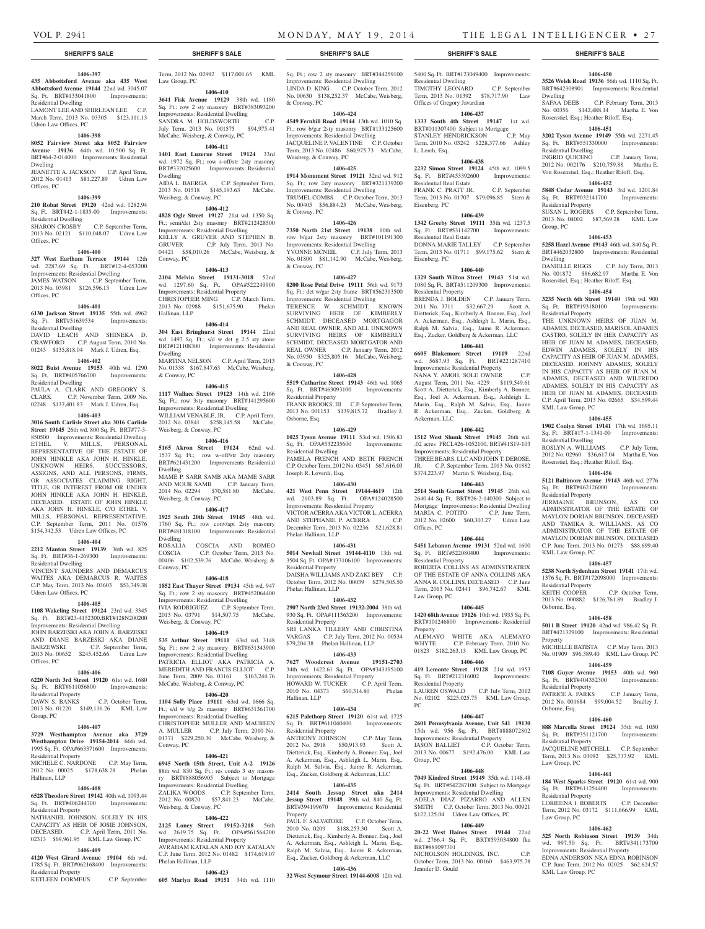Dwelling

Residential Dwelling

Residential Property

Residential Property

KML Law Group, PC

Residential Dwelling

Residential Property

KML Law Group, PC

Residential Property

Residential Property

Residential Property

Residential Property

KML Law Group, PC

Law Group, PC

Law Group, PC

Osborne, Esq.

Osborne, Esq.

Property

Group, PC

Dwelling

**1406-450 3526 Welsh Road 19136** 56th wd. 1110 Sq. Ft. BRT#642308901 Improvements: Residential

SAFAA DEEB C.P. February Term, 2013 No. 00356 \$142,488.14 Martha E. Von Rosenstiel, Esq.; Heather Riloff, Esq. **1406-451 3202 Tyson Avenue 19149** 55th wd. 2271.45 Sq. Ft. BRT#551330000 Improvements:

INGRID QUICENO C.P. January Term, 2012 No. 002176 \$210,759.88 Martha E. Von Rosenstiel, Esq.; Heather Riloff, Esq. **1406-452 5848 Cedar Avenue 19143** 3rd wd. 1201.84 Sq. Ft. BRT#032141700 Improvements:

SUSAN L. ROGERS C.P. September Term, 2013 No. 04002 \$87,569.28 KML Law

**1406-453 5258 Hazel Avenue 19143** 46th wd. 840 Sq. Ft. BRT#462032800 Improvements: Residential

DANIELLE RIGGS C.P. July Term, 2013 No. 001872 \$86,682.97 Martha E. Von Rosenstiel, Esq.; Heather Riloff, Esq. **1406-454 3235 North 6th Street 19140** 19th wd. 900 Sq. Ft. BRT#193180100 Improvements:

THE UNKNOWN HEIRS OF JUAN M. ADAMES, DECEASED, MARISOL ADAMES CASTRO, SOLELY IN HER CAPACITY AS HEIR OF JUAN M. ADAMES, DECEASED, EDWIN ADAMES, SOLELY IN HIS CAPACITY AS HEIR OF JUAN M. ADAMES, DECEASED, JOHNNY ADAMES, SOLELY IN HIS CAPACITY AS HEIR OF JUAN M. ADAMES, DECEASED AND WILFREDO ADAMES, SOLELY IN HIS CAPACITY AS HEIR OF JUAN M. ADAMES, DECEASED. C.P. April Term, 2013 No. 02665 \$34,599.44

**1406-455 1902 Conlyn Street 19141** 17th wd. 1695.11 Sq. Ft. BRT#17-1-1341-00 Improvements:

ROSLYN A. WILLIAMS C.P. July Term, 2012 No. 02960 \$36,617.04 Martha E. Von Rosenstiel, Esq.; Heather Riloff, Esq. **1406-456 5121 Baltimore Avenue 19143** 46th wd. 2776 Sq. Ft. BRT#462126000 Improvements:

JERMAINE BRUNSON, AS CO ADMINSTRATOR OF THE ESTATE OF MAYLON DORIAN BRUNSON, DECEASED AND TAMIKA R. WILLIAMS, AS CO ADMINISTRATOR OF THE ESTATE OF MAYLON DORIAN BRUNSON, DECEASED C.P. June Term, 2013 No. 01273 \$88,699.40

**1406-457 5238 North Sydenham Street 19141** 17th wd. 1376 Sq. Ft. BRT#172098000 Improvements:

KEITH COOPER C.P. October Term, 2013 No. 000882 \$126,761.89 Bradley J.

**1406-458 5011 B Street 19120** 42nd wd. 986.42 Sq. Ft. BRT#421329100 Improvements: Residential

MICHELLE BATISTA C.P. May Term, 2013 No. 01909 \$96,389.40 KML Law Group, PC **1406-459 7108 Guyer Avenue 19153** 40th wd. 960 Sq. Ft. BRT#404352300 Improvements:

PATRICE A. PARKS C.P. January Term, 2012 No. 001684 \$99,004.52 Bradley J.

**1406-460 888 Marcella Street 19124** 35th wd. 1050 Sq. Ft. BRT#351121700 Improvements:

JACQUELINE MITCHELL C.P. September Term, 2013 No. 03092 \$25,737.92 KML

**1406-461 184 West Sparks Street 19120** 61st wd. 900 Sq. Ft. BRT#611254400 Improvements:

LORRIENA I. ROBERTS C.P. December Term, 2012 No. 03172 \$111,666.99 KML

**1406-462 325 North Robinson Street 19139** 34th wd. 997.50 Sq. Ft. BRT#341173700 Improvements: Residential Property EDNA ANDERSON NKA EDNA ROBINSON C.P. June Term, 2012 No. 02025 \$62,624.57

#### **1406-397**

**435 Abbottsford Avenue aka 435 West Abbottsford Avenue 19144** 22nd wd. 3045.07 Sq. Ft. BRT#133041800 Improvements:

Residential Dwelling LAMONT LEE AND SHIRLEAN LEE C.P. March Term, 2013 No. 03305 \$123,111.13 Udren Law Offices, PC

#### **1406-398**

**8052 Fairview Street aka 8052 Fairview Avenue 19136** 64th wd. 10,500 Sq. Ft. BRT#64-2-014000 Improvements: Residential Dwelling

JEANETTE A. JACKSON C.P. April Term, 2012 No. 01413 \$81,227.89 Udren Law Offices, PC

#### **1406-399**

**210 Robat Street 19120** 42nd wd. 1282.94 Sq. Ft. BRT#42-1-1835-00 Improvements: Residential Dwelling SHARON CROSBY C.P. September Term, 2013 No. 02121 \$110,048.07 Udren Law

# **1406-400**

Offices, PC

**327 West Earlham Terrace 19144** 12th wd. 2287.69 Sq. Ft. BRT#12-4-053200 Improvements: Residential Dwelling JAMES WATSON C.P. September Term, 2013 No. 03981 \$126,596.13 Udren Law Offices, PC

#### **1406-401**

**6130 Jackson Street 19135** 55th wd. 4962 Sq. Ft. BRT#51639534 Improvements: Residential Dwelling

DAVID LEACH AND SHINEKA D. CRAWFORD C.P. August Term, 2010 No. 01243 \$135,818.04 Mark J. Udren, Esq.

# **1406-402**

**8022 Buist Avenue 19153** 40th wd. 1290 Sq. Ft. BRT#405766700 Improvements: Residential Dwelling

PAULA A. CLARK AND GREGORY S. CLARK C.P. November Term, 2009 No. 02248 \$137,401.83 Mark J. Udren, Esq.

**1406-403 3016 South Carlisle Street aka 3016 Carlisle Street 19145** 26th wd. 800 Sq. Ft. BRT#77-3- 850500 Improvements: Residential Dwelling ETHEL V. MILLS, PERSONAL REPRESENTATIVE OF THE ESTATE OF JOHN HINKLE AKA JOHN H. HINKLE. UNKNOWN HEIRS, SUCCESSORS, ASSIGNS, AND ALL PERSONS, FIRMS, OR ASSOCIATES CLAIMING RIGHT, TITLE, OR INTEREST FROM OR UNDER JOHN HINKLE AKA JOHN H. HINKLE, DECEASED. ESTATE OF JOHN HINKLE AKA JOHN H. HINKLE, C/O ETHEL V. MILLS, PERSONAL REPRESENTATIVE.

# \$154,342.53 Udren Law Offices, PC **1406-404**

**2212 Manton Street 19139** 36th wd. 825

Sq. Ft. BRT#36-1-269300 Improvements: Residential Dwelling VINCENT SAUNDERS AND DEMARCUS WAITES AKA DEMARCUS R. WAITES C.P. May Term, 2013 No. 03603 \$53,749.38 Udren Law Offices, PC

C.P. September Term, 2011 No. 01576

# **1406-405**

**1108 Wakeling Street 19124** 23rd wd. 3345 Sq. Ft. BRT#23-4152300,BRT#128N200200 Improvements: Residential Dwelling JOHN BARZESKI AKA JOHN A. BARZESKI AND DIANE BARZESKI AKA DIANE

BARZEWSKI C.P. September Term, 2013 No. 00652 \$245,452.66 Udren Law Offices, PC

# **1406-406**

**6220 North 3rd Street 19120** 61st wd. 1680 Sq. Ft. BRT#611056800 Improvements: Residential Property<br>DAWN S. BANKS C.P. October Term,

2013 No. 01220 \$149,116.26 KML Law Group, PC

#### **1406-407**

**3729 Westhampton Avenue aka 3729 Westhampton Drive 19154-2014** 66th wd. 1995 Sq. Ft. OPA#663371600 Improvements: Residential Property MICHELE C. NARDONE C.P. May Term,

2012 No. 00025 \$178,638.28 Phelan Hallinan, LLP

# **1406-408**

**6528 Theodore Street 19142** 40th wd. 1093.44 Sq. Ft. BRT#406244700 Improvements: Residential Property

NATHANIEL JOHNSON, SOLELY IN HIS CAPACITY AS HEIR OF JOSIE JOHNSON,<br>DECEASED CP April Term 2011 No C.P. April Term, 2011 No. 02313 \$69,961.95 KML Law Group, PC

# **1406-409**

**4120 West Girard Avenue 19104** 6th wd. 1785 Sq. Ft. BRT#062168400 Improvements: Residential Property

KETLEEN DORMEUS C.P. September

Term, 2012 No. 02992 \$117,001.65 KML

# **1406-410**

Law Group, PC

**3641 Fisk Avenue 19129** 38th wd. 1180 Sq. Ft.; row 2 sty masonry BRT#383093200 Improvements: Residential Dwelling SANDRA M. HOLDSWORTH C.P. July Term, 2013 No. 001575 \$94,975.41 McCabe, Weisberg, & Conway, PC

# **1406-411**

**1401 East Luzerne Street 19124** 33rd wd. 1972 Sq. Ft.; row s-off/str 2sty masonry BRT#332025600 Improvements: Residential Dwelling AIDA L. BAERGA C.P. September Term, 2013 No. 01518 \$145,193.63 McCabe, Weisberg, & Conway, PC

**1406-412 4828 Ogle Street 19127** 21st wd. 1350 Sq. Ft.; semi/det 2sty masonry BRT#212428500 Improvements: Residential Dwelling KELLY A. GRUVER AND STEPHEN B.<br>GRUVER C.P. July Term, 2013 No. C.P. July Term, 2013 No. 04421 \$58,010.26 McCabe, Weisberg, & Conway, PC

#### **1406-413**

**2104 Melvin Street 19131-3018** 52nd wd. 1297.60 Sq. Ft. OPA#522249900 Improvements: Residential Property CHRISTOPHER MING C.P. March Term, 2013 No. 02988 \$151,675.90 Phelan Hallinan, LLP

#### **1406-414**

**304 East Bringhurst Street 19144** 22nd wd. 1497 Sq. Ft.; s/d w det g 2.5 sty stone BRT#121108300 Improvements: Residential Dwelling MARTINA NELSON C.P. April Term, 2013

No. 01338 \$167,847.63 McCabe, Weisberg, & Conway, PC

# **1406-415**

**1117 Wallace Street 19123** 14th wd. 2166 Sq. Ft.; row 3sty masonry BRT#141295600 Improvements: Residential Dwelling WILLIAM VENABLE, JR. C.P. April Term, 2012 No. 03841 \$258,145.58 McCabe, Weisberg, & Conway, PC

# **1406-416**

**5165 Akron Street 19124** 62nd wd. 1537 Sq. Ft.; row w-off/str 2sty masonry BRT#621431200 Improvements: Residential Dwelling

MAME P. SARR SAMB AKA MAME SARR AND MOUR SAMB C.P. January Term, 2014 No. 02294 \$70,581.80 McCabe, Weisberg, & Conway, PC

# **1406-417**

**1925 South 20th Street 19145** 48th wd. 1760 Sq. Ft.; row conv/apt 2sty masonry BRT#481318100 Improvements: Residential Dwelling ROSALIA COSCIA AND ROMEO COSCIA C.P. October Term, 2013 No. 00406 \$102,539.76 McCabe, Weisberg, &

# **1406-418**

Conway, PC

**1852 East Thayer Street 19134** 45th wd. 947 Sq. Ft.; row 2 sty masonry BRT#452064400 Improvements: Residential Dwelling IVIA RODRIGUEZ C.P. September Term, 2013 No. 03791 \$14,507.75 McCabe, Weisberg, & Conway, PC

### **1406-419**

**535 Arthur Street 19111** 63rd wd. 3148 Sq. Ft.; row 2 sty masonry BRT#631343900 Improvements: Residential Dwelling PATRICIA ELLIOT AKA PATRICIA A. MEREDITH AND FRANCIS ELLIOT C.P. June Term, 2009 No. 03161 \$163,244.76 McCabe, Weisberg, & Conway, PC

#### **1406-420**

**1104 Solly Place 19111** 63rd wd. 1666 Sq. Ft.; s/d w b/g 2s masonry BRT#631361700 Improvements: Residential Dwelling CHRISTOPHER MULLER AND MAUREEN A. MULLER C.P. July Term, 2010 No. 01771 \$229,250.30 McCabe, Weisberg, & Conway, PC

#### **1406-421**

**6945 North 15th Street, Unit A-2 19126**  88th wd. 830 Sq. Ft.; res condo 3 sty masonry BRT#888056905 Subject to Mortgage Improvements: Residential Dwelling ZALIKA WOODS C.P. September Term, 2012 No. 00870 \$57,841.23 McCabe,

# Weisberg, & Conway, PC

**1406-422 2125 Loney Street 19152-3218** 56th wd. 2619.75 Sq. Ft. OPA#561564200 Improvements: Residential Property AVRAHAM KATALAN AND JOY KATALAN C.P. June Term, 2012 No. 01482 \$174,619.07 Phelan Hallinan, LLP

# **1406-423**

**605 Marlyn Road 19151** 34th wd. 1110

# **SHERIFF'S SALE SHERIFF'S SALE SHERIFF'S SALE SHERIFF'S SALE SHERIFF'S SALE**

Sq. Ft.; row 2 sty masonry BRT#344259100 Improvements: Residential Dwelling LINDA D. KING C.P. October Term, 2012 No. 00630 \$138,252.37 McCabe, Weisberg, & Conway, PC

# **1406-424**

**4549 Fernhill Road 19144** 13th wd. 1010 Sq. Ft.; row b/gar 2sty masonry BRT#133125600 Improvements: Residential Dwelling JACQUELINE P. VALENTINE C.P. October Term, 2013 No. 02486 \$60,975.73 McCabe, Weisberg, & Conway, PC

# **1406-425**

**1914 Monument Street 19121** 32nd wd. 912 Sq. Ft.; row 2sty masonry BRT#321139200 Improvements: Residential Dwelling TRUMEL COMBS C.P. October Term, 2013 No. 00405 \$56,884.25 McCabe, Weisberg, & Conway, PC

#### **1406-426**

**7350 North 21st Street 19138** 10th wd. row b/gar 2sty masonry BRT#101191300 Improvements: Residential Dwelling YVONNE MCNEIL C.P. July Term, 2013 No. 01800 \$81,142.90 McCabe, Weisberg, & Conway, PC

#### **1406-427**

**8200 Rose Petal Drive 19111** 56th wd. 9173 Sq. Ft.; det w/gar 2sty frame BRT#562313500 Improvements: Residential Dwelling TERENCE W. SCHMIDT, KNOWN SURVIVING HEIR OF KIMBERLY SCHMIDT, DECEASED MORTGAGOR AND REAL OWNER, AND ALL UNKNOWN SURVIVING HEIRS OF KIMBERLY SCHMIDT, DECEASED MORTGATOR AND REAL OWNER C.P. January Term, 2012 No. 03950 \$325,805.16 McCabe, Weisberg, & Conway, PC

#### **1406-428**

**5519 Catharine Street 19143** 46th wd. 1065 Sq. Ft. BRT#463093100 Improvements: Residential Property FRANK BROOKS, III C.P. September Term, 2013 No. 001153 \$139,815.72 Bradley J. Osborne, Esq.

#### **1406-429**

**1025 Tyson Avenue 19111** 53rd wd. 1506.83 Sq. Ft. OPA#532235600 Improvements: Residential Dwelling PAMELA FRENCH AND BETH FRENCH C.P. October Term, 2012 No. 03451 \$67,616.03 Joseph R. Loverdi, Esq.

#### **1406-430**

**421 West Penn Street 19144-4619** 12th wd. 2103.89 Sq. Ft. OPA#124028500 Improvements: Residential Property VICTOR ACERRA AKA VICTOR L. ACERRA AND STEPHANIE P. ACERRA C.P. December Term, 2013 No. 02236 \$21,628.81 Phelan Hallinan, LLP

### **1406-431**

**5014 Newhall Street 19144-4110** 13th wd. 3504 Sq. Ft. OPA#133106100 Improvements: Residential Property DAISHA WILLIAMS AND ZAKI BEY C.P. October Term, 2012 No. 00039 \$279,505.50 Phelan Hallinan, LLP

#### **1406-432**

**2907 North 23rd Street 19132-2004** 38th wd. 930 Sq. Ft. OPA#111363200 Improvements: Residential Property SRI LANKA TILLERY AND CHRISTINA VARGAS C.P. July Term, 2012 No. 00534 \$79,204.38 Phelan Hallinan, LLP

# **1406-433**

**7627 Woodcrest Avenue 19151-2703**  34th wd. 1422.61 Sq. Ft. OPA#343195100 Improvements: Residential Property HOWARD W. TUCKER C.P. April Term, 2010 No. 04373 \$60,314.80 Phelan Hallinan, LLP

# **1406-434**

**6215 Palethorp Street 19120** 61st wd. 1725 Sq. Ft. BRT#611040400 Improvements: Residential Property ANTHONY JOHNSON C.P. May Term, 2012 No. 2918 \$50,913.93 Scott A. Dietterick, Esq., Kimberly A. Bonner, Esq., Joel A. Ackerman, Esq., Ashleigh L. Marin, Esq., Ralph M. Salvia, Esq., Jaime R. Ackerman, Esq., Zucker, Goldberg & Ackerman, LLC

# **1406-435**

**2414 South Jessup Street aka 2414 Jessup Street 19148** 39th wd. 840 Sq. Ft. BRT#394199670 Improvements: Residential **Property** 

PAUL F. SALVATORE C.P. October Term, 2010 No. 0209 \$188,253.30 Scott A. Dietterick, Esq., Kimberly A. Bonner, Esq., Joel A. Ackerman, Esq., Ashleigh L. Marin, Esq., Ralph M. Salvia, Esq., Jaime R. Ackerman, Esq., Zucker, Goldberg & Ackerman, LLC

# **1406-436**

**32 West Seymour Street 19144-6008** 12th wd.

5400 Sq. Ft. BRT#123049400 Improvements:

TIMOTHY LEONARD C.P. September Term, 2013 No. 01392 \$78,717.90 Law

**1406-437 1333 South 4th Street 19147** 1st wd. BRT#011307400 Subject to Mortgage STANLEY HENDRICKSON C.P. May Term, 2010 No. 03242 \$228,377.66 Ashley

**1406-438 2232 Simon Street 19124** 45th wd. 1099.5<br> **Sq. Ft. BRT#453392600** Improvements:

FRANK C. PRATT JR. C.P. September Term, 2013 No. 01707 \$79,096.85 Stern &

**1406-439 1342 Greeby Street 19111** 35th wd. 1237.5 Sq. Ft. BRT#531142700 Improvements:

DONNA MARIE TALLEY C.P. September Term, 2013 No. 01711 \$99,175.62 Stern &

**1406-440 1329 South Wilton Street 19143** 51st wd. 1080 Sq. Ft. BRT#511209300 Improvements:

BRENDA J. BOLDEN C.P. January Term, 2011 No. 3711 \$32,667.29 Scott A. Dietterick, Esq., Kimberly A. Bonner, Esq., Joel A. Ackerman, Esq., Ashleigh L. Marin, Esq., Ralph M. Salvia, Esq., Jaime R. Ackerman, Esq., Zucker, Goldberg & Ackerman, LLC **1406-441 6605 Blakemore Street 19119** 22nd wd. 5687.93 Sq. Ft. BRT#221287410 Improvements: Residential Property NANA Y. AMOH, SOLE OWNER C.P. August Term, 2011 No. 4229 \$119,549.61 Scott A. Dietterick, Esq., Kimberly A. Bonner, Esq., Joel A. Ackerman, Esq., Ashleigh L. Marin, Esq., Ralph M. Salvia, Esq., Jaime R. Ackerman, Esq., Zucker, Goldberg &

**1406-442 1512 West Shunk Street 19145** 26th wd. .02 acres PRCL#26-1052100, BRT#41S19-103 Improvements: Residential Property THREE BEARS, LLC AND JOHN T. DEROSE, JR. C.P. September Term, 2013 No. 01882 \$374,223.97 Martin S. Weisberg, Esq. **1406-443 2514 South Garnet Street 19145** 26th wd. 2640.44 Sq. Ft. BRT#26-2-140300 Subject to Mortgage Improvements: Residential Dwelling MARIA C. POTITO C.P. June Term, 2012 No. 02600 \$60,303.27 Udren Law

**1406-444 5451 Lebanon Avenue 19131** 52nd wd. 1600 Sq. Ft. BRT#522080400 Improvements:

ROBERTA COLLINS AS ADMINSTRATRIX OF THE ESTATE OF ANNA COLLINS AKA ANNA R. COLLINS, DECEASED C.P. June Term, 2013 No. 02441 \$96,742.67 KML

**1406-445 1420 68th Avenue 19126** 10th wd. 1935 Sq. Ft. BRT#101246800 Improvements: Residential

ALEMAYO WHITE AKA ALEMAYO WHYTE C.P. February Term, 2010 No. 01823 \$182,263.13 KML Law Group, PC **1406-446 419 Lemonte Street 19128** 21st wd. 1953 Sq. Ft. BRT#212316002 Improvements:

LAUREN OSWALD C.P. July Term, 2012 No. 02102 \$225,025.75 KML Law Group,

**1406-447 2601 Pennsylvania Avenue, Unit 541 19130**  15th wd. 956 Sq. Ft. BRT#888072802 Improvements: Residential Property JASON BALLIET C.P. October Term, 2013 No. 00677 \$192,476.00 KML Law

**1406-448 7049 Kindred Street 19149** 35th wd. 1148.48 Sq. Ft. BRT#542287100 Subject to Mortgage Improvements: Residential Dwelling ADELA DIAZ PIZARRO AND ALLEN SMITH C.P. October Term, 2013 No. 00921 \$122,125.04 Udren Law Offices, PC **1406-449 20-22 West Haines Street 19144** 22nd wd. 2766.4 Sq. Ft. BRT#593034800 fka

NICHOLSON HOLDINGS, INC. C.P. October Term, 2013 No. 00160 \$463,975.78

Residential Dwelling

L. Lerch, Esq.

Eisenberg, PC

Eisenberg, PC

Residential Real Estate

Residential Property

Ackerman, LLC

Offices, PC

Residential Property

Law Group, PC

Residential Property

Property

PC

Group, PC

BRT#881097301

Jennifer D. Gould

Offices of Gregory Javardian

Sq. Ft. BRT#453392600 Residential Real Estate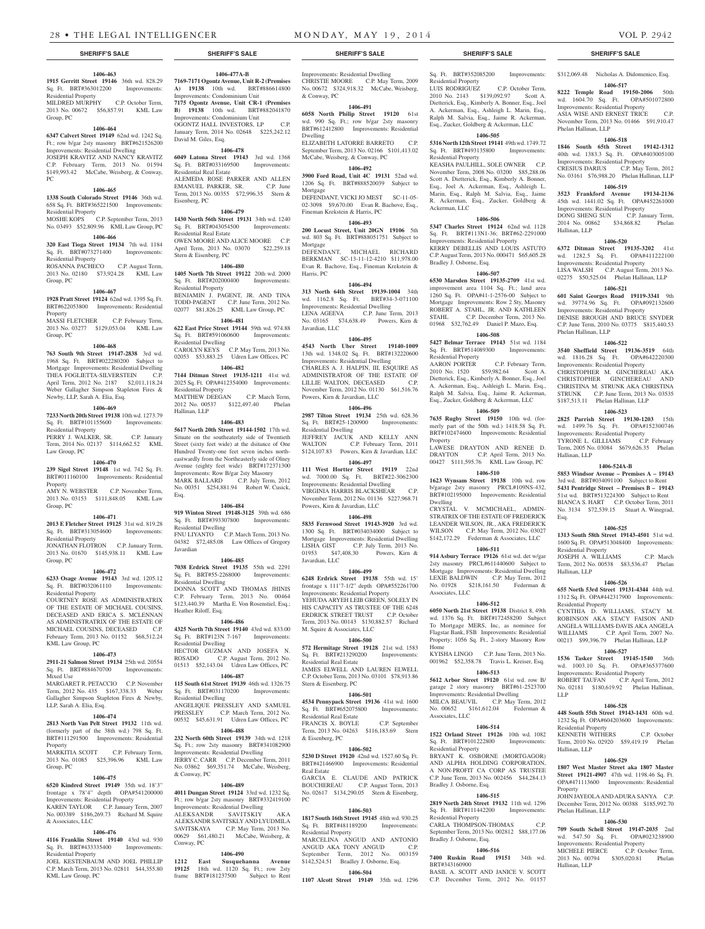# **1406-463**

**1915 Gerritt Street 19146** 36th wd. 828.29 Sq. Ft. BRT#363012200 Improvements: Residential Property MILDRED MURPHY C.P. October Term,

2013 No. 00672 \$56,857.91 KML Law Group, PC

# **1406-464**

**6347 Calvert Street 19149** 62nd wd. 1242 Sq. Ft.; row b/gar 2sty masonry BRT#621526200 Improvements: Residential Dwelling JOSEPH KRAVITZ AND NANCY KRAVITZ C.P. February Term, 2013 No. 01594 \$149,993.42 McCabe, Weisberg, & Conway, PC

#### **1406-465**

**1338 South Colorado Street 19146** 36th wd. 658 Sq. Ft. BRT#365221500 Improvements: Residential Property

#### MOSHE KOPS C.P. September Term, 2013 No. 03493 \$52,809.96 KML Law Group, PC

**1406-466**

# **320 East Tioga Street 19134** 7th wd. 1184

Sq. Ft. BRT#073271400 Improvements: Residential Property ROSANNA PACHECO C.P. August Term,

2013 No. 02180 \$73,924.28 KML Law Group, PC

# **1406-467**

**1928 Pratt Street 19124** 62nd wd. 1395 Sq. Ft. BRT#622053800 Improvements: Residential **Property** 

### MASSI FLETCHER C.P. February Term, 2013 No. 03277 \$129,053.04 KML Law Group, PC

# **1406-468**

**763 South 9th Street 19147-2838** 3rd wd. 1968 Sq. Ft. BRT#022280200 Subject to Mortgage Improvements: Residential Dwelling THEA FOGLIETTA-SILVERSTEIN C.P. April Term, 2012 No. 2187 \$2,011,118.24 Weber Gallagher Simpson Stapleton Fires & Newby, LLP, Sarah A. Elia, Esq.

# **1406-469**

**7233 North 20th Street 19138** 10th wd. 1273.79 Sq. Ft. BRT#101155600 Improvements: Residential Property

PERRY J. WALKER, SR. C.P. January Term, 2014 No. 02137 \$114,662.52 KML Law Group, PC

### **1406-470**

**239 Sigel Street 19148** 1st wd. 742 Sq. Ft. BRT#011160100 Improvements: Residential Property AMY N. WEBSTER C.P. November Term,

2013 No. 03153 \$111,848.05 KML Law Group, PC

# **1406-471**

**2013 E Fletcher Street 19125** 31st wd. 819.28 Sq. Ft. BRT#313054600 Improvements: Residential Property JONATHAN FLOTRON C.P. January Term, 2013 No. 01670 \$145,938.11 KML Law Group, PC

#### **1406-472**

**6233 Osage Avenue 19143** 3rd wd. 1205.12 Sq. Ft. BRT#032061110 Improvements: Residential Property

COURTNEY ROSE AS ADMINISTRATRIX OF THE ESTATE OF MICHAEL COUSINS, DECEASED AND ERICA S. MCLENNAN AS ADMINISTRATRIX OF THE ESTATE OF MICHAEL COUSINS, DECEASED C.P. February Term, 2013 No. 01152 \$68,512.24 KML Law Group, PC

#### **1406-473 2911-21 Salmon Street 19134** 25th wd. 20554

Sq. Ft. BRT#884670700 Improvements: Mixed Use MARGARET R. PETACCIO C.P. November

Term, 2012 No. 435 \$167,338.33 Weber Gallagher Simpson Stapleton Fires & Newby LLP, Sarah A. Elia, Esq.

# **1406-474**

**2813 North Van Pelt Street 19132** 11th wd. (formerly part of the 38th wd.) 798 Sq. Ft. BRT#111291500 Improvements: Residential Property

MARKITIA SCOTT C.P. February Term, 2013 No. 01085 \$25,396.96 KML Law Group, PC

#### **1406-475**

**6520 Kindred Street 19149** 35th wd. 18'3" frontage x 78'4" depth OPA#541200000 Improvements: Residential Property KAREN TAYLOR C.P. January Term, 2007 No. 003389 \$186,269.73 Richard M. Squire & Associates, LLC

# **1406-476**

**4116 Franklin Street 19140** 43rd wd. 930 Sq. Ft. BRT#433335400 Residential Property

JOEL KESTENBAUM AND JOEL PHILLIP C.P. March Term, 2013 No. 02811 \$44,355.80 KML Law Group, PC

Mortgage

Mortgage

Harris, PC

Javardian, LLC

Improvements: Residential Dwelling CHRISTIE MOORE C.P. May Term, 2009 No. 00672 \$324,918.32 McCabe, Weisberg, & Conway, PC

### **1406-491**

**6058 North Philip Street 19120** 61st wd. 990 Sq. Ft.; row b/gar 2sty masonry BRT#612412800 Improvements: Residential Dwelling

ELIZABETH LATORRE BARRETO C.P. September Term, 2013 No. 02166 \$101,413.02 McCabe, Weisberg, & Conway, PC **1406-492 3900 Ford Road, Unit 4C 19131** 52nd wd. 1206 Sq. Ft. BRT#888520039 Subject to

DEFENDANT, VICKI JO MEST SC-11-05-02-3098 \$9,670.00 Evan R. Bachove, Esq.,

**1406-493 200 Locust Street, Unit 20GN 19106** 5th wd. 803 Sq. Ft. BRT#888051751 Subject to

DEFENDANT, MICHAEL RICHARD BERKMAN SC-13-11-12-4210 \$11,978.00 Evan R. Bachove, Esq., Fineman Krekstein &

**1406-494 313 North 64th Street 19139-1004** 34th wd. 1162.8 Sq. Ft. BRT#34-3-071100 Improvements: Residential Dwelling LENA AGEEVA C.P. June Term, 2013 No. 03165 \$74,638.49 Powers, Kirn &

**1406-495 4543 North Uber Street 19140-1009**  13th wd. 1348.02 Sq. Ft. BRT#132220600 Improvements: Residential Dwelling CHARLES A. J. HALPIN, III, ESQUIRE AS ADMINISTRATOR OF THE ESTATE OF LILLIE WALTON, DECEASED C.P. November Term, 2012 No. 01130 \$61,516.76

**1406-496 2987 Tilton Street 19134** 25th wd. 628.36 Sq. Ft. BRT#25-1200900 Improvements:

**JEFFREY JACUK AND KELLY ANN**<br>WALTON CP February Term 2011

\$124,107.83 Powers, Kirn & Javardian, LLC **1406-497 111 West Hortter Street 19119** 22nd wd. 7000.00 Sq. Ft. BRT#22-3062300 Improvements: Residential Dwelling VIRGINIA HARRIS BLACKSHEAR C.P. November Term, 2012 No. 01136 \$227,968.71

**1406-498 5835 Fernwood Street 19143-3920** 3rd wd. 1300 Sq. Ft. BRT#034034000 Subject to Mortgage Improvements: Residential Dwelling LISHA GIST C.P. July Term, 2013 No. 01953 \$47,408.30 Powers, Kirn &

**1406-499 6248 Erdrick Street 19138** 55th wd. 15' frontage x 111'7-1/2" depth OPA#552261700 Improvements: Residential Property YEHUDA ARYEH LEIB GREEN, SOLELY IN HIS CAPACITY AS TRUSTEE OF THE 6248 ERDRICK STREET TRUST C.P. October Term, 2013 No. 00143 \$130,882.57 Richard

**1406-500 572 Hermitage Street 19128** 21st wd. 1583 Sq. Ft. BRT#213290200 Improvements:

JAMES ELWELL AND LAUREN ELWELL C.P. October Term, 2013 No. 03101 \$78,913.86

**1406-501 4534 Pennypack Street 19136** 41st wd. 1600 Sq. Ft. BRT#652075800 Improvements:

FRANCIS X. BOYLE C.P. September Term, 2013 No. 04263 \$116,183.69 Stern

**1406-502 5230 D Street 19120** 42nd wd. 1527.60 Sq. Ft. BRT#421466900 Improvements: Residential

GARCIA E. CLAUDE AND PATRICK BOUCHEREAU C.P. August Term, 2013 No. 02617 \$134,290.05 Stern & Eisenberg,

**1406-503 1817 South 16th Street 19145** 48th wd. 930.25 Sq. Ft. BRT#481189200 Improvements:

MARCELINA ANGUD AND ANTONIO ANGUD AKA TONY ANGUD C.P. September Term, 2012 No. 003159 \$142,524.51 Bradley J. Osborne, Esq. **1406-504**

C.P. February Term, 2011

Powers, Kirn & Javardian, LLC

Powers, Kirn & Javardian, LLC

M. Squire & Associates, LLC

Residential Real Estate

Stern & Eisenberg, PC

Residential Real Estate

& Eisenberg, PC

Residential Property

Real Estate

PC

Javardian, LLC

Residential Dwelling

Fineman Krekstein & Harris, PC

**1406-478 6049 Latona Street 19143** 3rd wd. 1368 Sq. Ft. BRT#033169500 Improvements: Residential Real Estate ALEMEDA ROSE PARKER AND ALLEN<br>EMANUEL PARKER, SR. C.P. June EMANUEL PARKER, SR. C.P. June Term, 2013 No. 00355 \$72,996.35 Stern &

**1406-477A-B 7169-7171 Ogontz Avenue, Unit R-2 (Premises A) 19138** 10th wd. BRT#886614800

Improvements: Condominium Unit **7175 Ogontz Avenue, Unit CR-1 (Premises B) 19138** 10th wd. BRT#882041870 Improvements: Condominium Unit OGONTZ HALL INVESTORS, LP C.P. January Term, 2014 No. 02648 \$225,242.12

David M. Giles, Esq.

Eisenberg, PC

# **1406-479**

**1430 North 56th Street 19131** 34th wd. 1240 Sq. Ft. BRT#043054500 Improvements: Residential Real Estate OWEN MOORE AND ALICE MOORE C.P. April Term, 2013 No. 03070 \$22,259.18 Stern & Eisenberg, PC

### **1406-480**

**1405 North 7th Street 19122** 20th wd. 2000 Sq. Ft. BRT#202000400 Improvements: Residential Property BENJAMIN J. PAGENT, JR. AND TINA TODD-PAGENT C.P. June Term, 2012 No. 02077 \$81,826.25 KML Law Group, PC

### **1406-481**

**622 East Price Street 19144** 59th wd. 974.88 Sq. Ft. BRT#591060600 Improvements: Residential Dwelling CAROLYN KEYS C.P. May Term, 2013 No. 02053 \$53,883.25 Udren Law Offices, PC

#### **1406-482**

**7144 Ditman Street 19135-1211** 41st wd. 2025 Sq. Ft. OPA#412354000 Improvements: Residential Property MATTHEW DEEGAN C.P. March Term, 2012 No. 00537 \$122,497.40 Phelan Hallinan, LLP

### **1406-483**

**5617 North 20th Street 19144-1502** 17th wd. Situate on the southeaterly side of Twentieth Street (sixty feet wide) at the dsitance of One Hundred Twenty-one feet seven inches northeastwardly from the Northeasterly side of Olney Avenue (eighty feet wide) BRT#172371300 Improvements: Row B/gar 2sty Masonry MARK BALLARD C.P. July Term, 2012 No. 00351 \$254,881.94 Robert W. Cusick, Esq.

#### **1406-484**

**919 Winton Street 19148-3125** 39th wd. 686 Sq. Ft. BRT#393307800 Improvements: Residential Dwelling FNU LIYANTO C.P. March Term, 2013 No. 04382 \$72,485.08 Law Offices of Gregory

# **1406-485**

Javardian

**7038 Erdrick Street 19135** 55th wd. 2291 Sq. Ft. BRT#55-2268000 Improvements: Residential Dwelling DONNA SCOTT AND THOMAS JHINIS C.P. February Term, 2013 No. 00464 \$123,440.39 Martha E. Von Rosenstiel, Esq.; Heather Riloff, Esq.

# **1406-486**

**4325 North 7th Street 19140** 43rd wd. 833.00 Sq. Ft. BRT#123N 7-167 Improvements: Residential Dwelling HECTOR GUZMAN AND JOSEFA N.<br>ROSADO C.P. August Term, 2012 No. C.P. August Term, 2012 No.

# 01513 \$52,143.04 Udren Law Offices, PC

**1406-487 115 South 61st Street 19139** 46th wd. 1326.75

Sq. Ft. BRT#031170200 Improvements: Residential Dwelling ANGELIQUE PRESSLEY AND SAMUEL<br>PRESSLEY C.P. March Term. 2012 No. C.P. March Term, 2012 No. 00532 \$45,631.91 Udren Law Offices, PC

## **1406-488**

**232 North 60th Street 19139** 34th wd. 1218 Sq. Ft.; row 2sty masonry BRT#341082900 Improvements: Residential Dwelling JERRY C. CARR C.P. December Term, 2011 No. 03862 \$69,351.74 McCabe, Weisberg, & Conway, PC

#### **1406-489**

**4011 Dungan Street 19124** 33rd wd. 1232 Sq. Ft.; row b/gar 2sty masonry BRT#332419100 Improvements: Residential Dwelling ALEKSANDR SAVITSKIY AKA ALEKSANDR SAVITSKLY AND LYUDMILA SAVITSKAYA C.P. May Term, 2013 No. 00629 \$61,480.21 McCabe, Weisberg, & Conway, PC

#### **1406-490**

**1212 East Susquehanna Avenue 19125** 18th wd. 1120 Sq. Ft.; row 2sty frame BRT#181237500 Subject to Rent

**1107 Alcott Street 19149** 35th wd. 1296

# **SHERIFF'S SALE SHERIFF'S SALE SHERIFF'S SALE SHERIFF'S SALE SHERIFF'S SALE**

Sq. Ft. BRT#352085200 Improvements: Residential Property

\$312,069.48 Nicholas A. Didomenico, Esq. **1406-517 8222 Temple Road 19150-2006** 50th wd. 1604.70 Sq. Ft. OPA#501072800 Improvements: Residential Property ASIA WISE AND ERNEST TRICE November Term, 2013 No. 01466 \$91,910.47

**1406-518 1846 South 65th Street 19142-1312**  40th wd. 1383.3 Sq. Ft. OPA#403005100 Improvements: Residential Property CRESIUS DARIUS C.P. May Term, 2012 No. 03161 \$76,988.20 Phelan Hallinan, LLP **1406-519 3523 Frankford Avenue 19134-2136**  45th wd. 1441.02 Sq. Ft. OPA#452261000 Improvements: Residential Property DONG SHENG SUN C.P. January Term, 2014 No. 00862 \$34,868.82 Phelan

**1406-520 6372 Ditman Street 19135-3202** 41st

**1406-522 3540 Sheffield Street 19136-3519** 64th wd. 1816.28 Sq. Ft. OPA#642220300 Improvements: Residential Property CHRISTOPHER M. GINCHEREAU AKA CHRISTOPHER GINCHEREAU AND CHRISTINA M. STRUNK AKA CHRISTINA STRUNK C.P. June Term, 2013 No. 03535 \$187,513.11 Phelan Hallinan, LLP **1406-523 2825 Parrish Street 19130-1203** 15th wd. 1499.76 Sq. Ft. OPA#152300746 Improvements: Residential Property<br>TYRONE L. GILLIAMS C.P. February

Term, 2005 No. 03084 \$679,626.35 Phelan

**1406-524A-B 5853 Windsor Avenue – Premises A – 19143**  3rd wd. BRT#034091100 Subject to Rent **5431 Pentridge Street – Premises B – 19143**  51st wd. BRT#513224300 Subject to Rent BIANCA S. HART C.P. October Term, 2011 No. 3134 \$72,539.15 Stuart A. Winegrad,

**1406-525 1313 South 58th Street 19143-4501** 51st wd. 1600 Sq. Ft. OPA#513048400 Improvements:

JOSEPH A. WILLIAMS C.P. March Term, 2012 No. 00538 \$83,536.47 Phelan

**1406-526 655 North 53rd Street 19131-4344** 44th wd. 1312 Sq. Ft. OPA#442317900 Improvements:

CYNTHIA D. WILLIAMS, STACY M. ROBINSON AKA STACY FAISON AND ANGELA WILLIAMS-DAVIS AKA ANGELA WILLIAMS C.P. April Term, 2007 No. 00213 \$99,396.79 Phelan Hallinan, LLP **1406-527 1536 Tasker Street 19145-1540** 36th wd. 1003.10 Sq. Ft. OPA#365377600 Improvements: Residential Property ROBERT TAUFAN C.P. April Term, 2012 No. 02181 \$180,619.92 Phelan Hallinan,

**1406-528 448 South 55th Street 19143-1431** 60th wd. 1232 Sq. Ft. OPA#604203600 Improvements:

KENNETH WITHERS C.P. October Term, 2010 No. 02920 \$59,419.19 Phelan

**1406-529 1807 West Master Street aka 1807 Master Street 19121-4907** 47th wd. 1198.46 Sq. Ft. OPA#471113600 Improvements: Residential

JOHN JAYEOLA AND ADURA SANYA C.P. December Term, 2012 No. 00388 \$185,992.70

**1406-530 709 South Schell Street 19147-2035** 2nd

Phelan Hallinan, LLP

Hallinan, LLP

wd. 1282.5 Sq. Ft. Improvements: Residential Property LISA WALSH C.P. August Term, 2013 No. 02275 \$50,525.04 Phelan Hallinan, LLP **1406-521 601 Saint Georges Road 19119-3341** 9th wd. 39774.96 Sq. Ft. OPA#092132600 Improvements: Residential Property DENISE BROUGH AND BRUCE SNYDER C.P. June Term, 2010 No. 03775 \$815,440.53

Phelan Hallinan, LLP

TYRONE L. GILLIAMS

Hallinan, LLP

Esq.

LLP

Residential Property

Residential Property

Residential Property

Phelan Hallinan, LLP

Hallinan, LLP

wd. 547.50 Sq. Ft. Improvements: Residential Property MICHELE PIERCE C.P. October Term, 2013 No. 00794 \$305,020.81 Phelan

Hallinan, LLP

Property

Hallinan, LLP

LUIS RODRIGUEZ C.P. October Term, 2010 No. 2143 \$139,092.97 Scott A. Dietterick, Esq., Kimberly A. Bonner, Esq., Joel A. Ackerman, Esq., Ashleigh L. Marin, Esq., Ralph M. Salvia, Esq., Jaime R. Ackerman, Esq., Zucker, Goldberg & Ackerman, LLC

#### **1406-505 5316 North 12th Street 19141** 49th wd. 1749.72

Sq. Ft. BRT#493135800 Improvements: Residential Property KEASHA PAULHILL, SOLE OWNER C.P.

November Term, 2008 No. 03200 \$85,288.06 Scott A. Dietterick, Esq., Kimberly A. Bonner, Esq., Joel A. Ackerman, Esq., Ashleigh L. Marin, Esq., Ralph M. Salvia, Esq., Jaime R. Ackerman, Esq., Zucker, Goldberg & Ackerman, LLC

# **1406-506**

**5347 Charles Street 19124** 62nd wd. 1128 Sq. Ft. BRT#113N1-36; BRT#62-2291000 Improvements: Residential Property KERRY DEBELLIS AND LOUIS ASTUTO C.P. August Term, 2013 No. 000471 \$65,605.28 Bradley J. Osborne, Esq.

# **1406-507**

**6530 Marsden Street 19135-2709** 41st wd. improvement area 1104 Sq. Ft.; land area 1260 Sq. Ft. OPA#41-1-2576-00 Subject to Mortgage Improvements: Row 2 Sty, Masonry ROBERT A. STAHL, JR. AND KATHLEEN STAHL C.P. December Term, 2013 No. 01968 \$32,762.49 Daniel P. Mazo, Esq.

# **1406-508**

**5427 Belmar Terrace 19143** 51st wd. 1184 Sq. Ft. BRT#514089300 Improvements: Residential Property

AARON PORTER C.P. February Term, 2010 No. 1520 \$59,982.64 Scott A. Dietterick, Esq., Kimberly A. Bonner, Esq., Joel A. Ackerman, Esq., Ashleigh L. Marin, Esq., Ralph M. Salvia, Esq., Jaime R. Ackerman, Esq., Zucker, Goldberg & Ackerman, LLC

# **1406-509**

**7635 Rugby Street 19150** 10th wd. (formerly part of the 50th wd.) 1418.58 Sq. Ft. BRT#102474600 Improvements: Residential Property LAWESE DRAYTON AND RENEE D.

DRAYTON C.P. April Term, 2013 No. 00427 \$111,595.76 KML Law Group, PC **1406-510**

# **1623 Wynsam Street 19138** 10th wd. row

b/garage 2sty masonry PRCL#109NS-432, BRT#102195000 Improvements: Residential Dwelling CRYSTAL V. MCMICHAEL, ADMIN-STRATRIX OF THE ESTATE OF FREDERICK

LEANDER WILSON, JR., AKA FREDERICK WILSON C.P. May Term, 2012 No. 03027 \$142,172.29 Federman & Associates, LLC **1406-511**

# **914 Asbury Terrace 19126** 61st wd. det w/gar

2sty masonry PRCL#611440600 Subject to Mortgage Improvements: Residential Dwelling LEXIE BALDWIN C.P. May Term, 2012 No. 01928 \$218,161.50 Federman & Associates, LLC

### **1406-512**

**6050 North 21st Street 19138** District 8, 49th wd. 1376 Sq. Ft. BRT#172458200 Subject To Mortgage MERS, Inc, as nominee for Flagstar Bank, FSB Improvements: Residential Property; 1056 Sq. Ft., 2-story Masonry Row Home KYISHA LINGO C.P. June Term, 2013 No.

# 001962 \$52,358.78 Travis L. Kreiser, Esq.

Associates, LLC

Residential Property

Bradley J. Osborne, Esq.

Residential Property

Bradley J. Osborne, Esq.

BRT#343160900

**1406-513 5612 Arbor Street 19120** 61st wd. row B/

# garage 2 story masonry BRT#61-2523700 Improvements: Residential Dwelling MILCA BEAUVIL C.P. May Term, 2012

No. 00652 \$161,612.04 Federman &

**1406-514 1522 Orland Street 19126** 10th wd. 1082 Sq. Ft. BRT#101222800 Improvements:

BRYANT K. OSBORNE (MORTGAGOR) AND ALPHA HOLDING CORPORATION, A NON-PROFIT CA CORP AS TRUSTEE C.P. June Term, 2013 No. 002456 \$44,284.13

**1406-515 2819 North 24th Street 19132** 11th wd. 1296 Sq. Ft. BRT#111442200 Improvements:

CARLA THOMPSON-THOMAS C.P. September Term, 2013 No. 002812 \$88,177.06

**1406-516 7400 Ruskin Road 19151** 34th wd.

BASIL A. SCOTT AND JANICE V. SCOTT C.P. December Term, 2012 No. 01157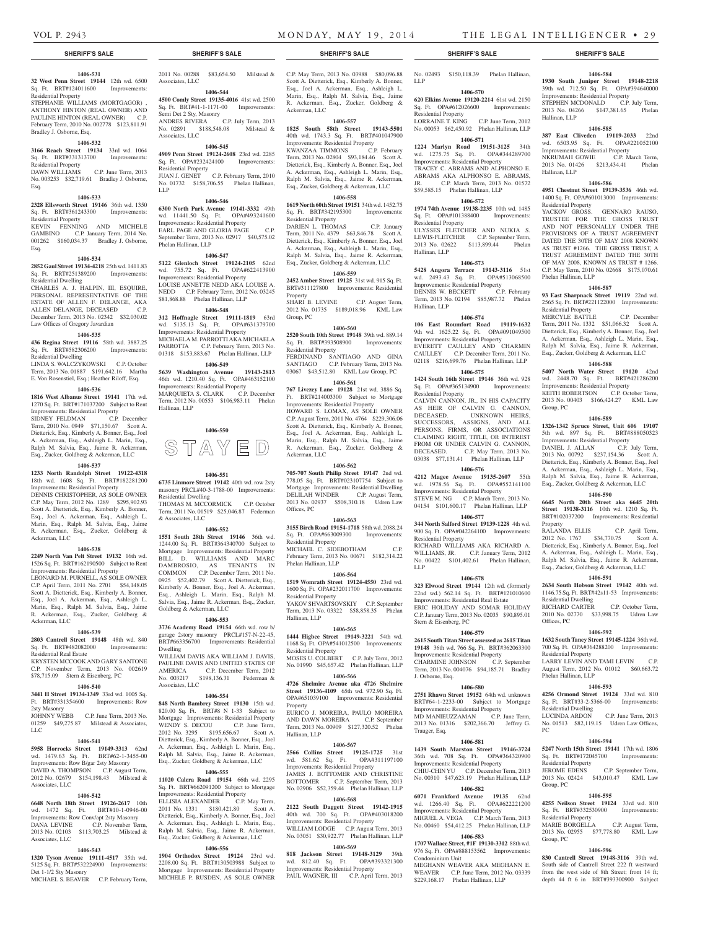Hallinan, LLP

Hallinan, LLP

Residential Property

Phelan Hallinan, LLP

Residential Property

Group, PC

Property

Residential Dwelling<br>RICHARD CARTER

Residential Property

Phelan Hallinan, LLP

Residential Dwelling

Residential Property

Sq. Ft. BRT#332530900 Residential Property

Group, PC

Group, PC

PC

Offices, PC

#### **1406-531 32 West Penn Street 19144** 12th wd. 6500 Sq. Ft. BRT#124011600 Improvements:

Residential Property STEPHANIE WILLIAMS (MORTGAGOR)

ANTHONY HINTON (REAL OWNER) AND PAULINE HINTON (REAL OWNER) C.P. February Term, 2010 No. 002778 \$123,811.91 Bradley J. Osborne, Esq.

#### **1406-532**

**3166 Reach Street 19134** 33rd wd. 1064 Sq. Ft. BRT#331313700 Improvements: Residential Property DAWN WILLIAMS C.P. June Term, 2013

No. 003253 \$32,719.61 Bradley J. Osborne, Esq.

# **1406-533**

**2328 Ellsworth Street 19146** 36th wd. 1350 Sq. Ft. BRT#361243300 Improvements: Residential Property

KEVIN FENNING AND MICHELE GAMBINO C.P. January Term, 2014 No. 001262 \$160,034.37 Bradley J. Osborne, Esq.

#### **1406-534**

**2852 Gaul Street 19134-4218** 25th wd. 1411.83 Sq. Ft. BRT#251389200 Improvements: Residential Dwelling

CHARLES A. J. HALPIN, III, ESQUIRE, PERSONAL REPRESENTATIVE OF THE ESTATE OF ALLEN F. DELANGE, AKA<br>ALLEN DELANGE. DECEASED C.P. ALLEN DELANGE, DECEASED December Term, 2013 No. 02342 \$32,030.02 Law Offices of Gregory Javardian

# **1406-535**

**436 Regina Street 19116** 58th wd. 3887.25 Sq. Ft. BRT#582306200 Improvements: Residential Dwelling

LINDA S. WALCZYKOWSKI C.P. October Term, 2013 No. 01887 \$191,642.16 Martha E. Von Rosenstiel, Esq.; Heather Riloff, Esq.

# **1406-536**

**1816 West Albanus Street 19141** 17th wd. 1270 Sq. Ft. BRT#171037200 Subject to Rent Improvements: Residential Property SIDNEY FELDMAN C.P. December Term, 2010 No. 0949 \$71,150.67 Scott A. Dietterick, Esq., Kimberly A. Bonner, Esq., Joel A. Ackerman, Esq., Ashleigh L. Marin, Esq., Ralph M. Salvia, Esq., Jaime R. Ackerman, Esq., Zucker, Goldberg & Ackerman, LLC

# **1406-537**

**1233 North Randolph Street 19122-4318**  18th wd. 1608 Sq. Ft. BRT#182281200 Improvements: Residential Property DENNIS CHRISTOPHER, AS SOLE OWNER

C.P. May Term, 2012 No. 1289 \$295,902.93 Scott A. Dietterick, Esq., Kimberly A. Bonner, Esq., Joel A. Ackerman, Esq., Ashleigh L. Marin, Esq., Ralph M. Salvia, Esq., Jaime R. Ackerman, Esq., Zucker, Goldberg & Ackerman, LLC

# **1406-538**

**2249 North Van Pelt Street 19132** 16th wd. 1526 Sq. Ft. BRT#162190500 Subject to Rent Improvements: Residential Property LEONARD M. PURNELL, AS SOLE OWNER C.P. April Term, 2011 No. 2701 \$54,148.05 Scott A. Dietterick, Esq., Kimberly A. Bonner, Esq., Joel A. Ackerman, Esq., Ashleigh L. Marin, Esq., Ralph M. Salvia, Esq., Jaime R. Ackerman, Esq., Zucker, Goldberg &

# **1406-539**

Ackerman, LLC

LLC

# **2803 Cantrell Street 19148** 48th wd. 840 Sq. Ft. BRT#482082000 Improvements:

Residential Real Estate KRYSTEN MCCOOK AND GARY SANTONE C.P. November Term, 2013 No. 002619 \$78,715.09 Stern & Eisenberg, PC

#### **1406-540**

**3441 H Street 19134-1349** 33rd wd. 1005 Sq. Ft. BRT#331354600 Improvements: Row

2sty Masonry JOHNNY WEBB C.P. June Term, 2013 No. 01259 \$49,275.87 Milstead & Associates,

# **1406-541**

**5958 Horrocks Street 19149-3313** 62nd wd. 1479.63 Sq. Ft. BRT#62-1-3455-00 Improvements: Row B/gar 2sty Masonry DAVID A. THOMPSON C.P. August Term, 2012 No. 02679 \$154,198.43 Milstead & Associates, LLC

### **1406-542**

**6648 North 18th Street 19126-2617** 10th wd. 1472 Sq. Ft. BRT#10-1-0946-00 Improvements: Row Conv/apt 2sty Masonry DANA LEVINE C.P. November Term, 2013 No. 02103 \$113,703.25 Milstead & Associates, LLC

#### **1406-543**

**1320 Tyson Avenue 19111-4517** 35th wd. 5125 Sq. Ft. BRT#532224900 Improvements: Det 1-1/2 Sty Masonry

MICHAEL S. BEAVER C.P. February Term, Mortgage Improvements: Residential Property MICHELE P. RUSDEN, AS SOLE OWNER

**SHERIFF'S SALE SHERIFF'S SALE SHERIFF'S SALE SHERIFF'S SALE SHERIFF'S SALE**

2011 No. 00288 \$83,654.50 Milstead &

**1406-544 4500 Comly Street 19135-4016** 41st wd. 2500 Sq. Ft. BRT#41-1-1171-00 Improvements: Sq. Ft. BRT#41-1-1171-00 Improvements:

ANDRES RIVERA C.P. July Term, 2013 No. 02891 \$188,548.08 Milstead &

**1406-545 4909 Penn Street 19124-2608** 23rd wd. 2285 Sq. Ft. OPA#232424100 Improvements:

JUAN J. GENET C.P. February Term, 2010 No. 01732 \$158,706.55 Phelan Hallinan,

**1406-546 6300 North Park Avenue 19141-3332** 49th wd. 11441.50 Sq. Ft. OPA#493241600 Improvements: Residential Property EARL PAGE AND GLORIA PAGE C.P. September Term, 2013 No. 02917 \$40,575.02

**1406-547 5122 Glenloch Street 19124-2105** 62nd wd. 755.72 Sq. Ft. OPA#622413900 Improvements: Residential Property LOUISE ANNETTE NEDD AKA LOUISE A. NEDD C.P. February Term, 2012 No. 03245 \$81,868.88 Phelan Hallinan, LLP **1406-548 312 Hoffnagle Street 19111-1819** 63rd wd. 5135.13 Sq. Ft. OPA#631379700 Improvements: Residential Property MICHAELA M. PARROTTI AKA MICHAELA PARROTTA C.P. February Term, 2013 No. 01318 \$153,883.67 Phelan Hallinan, LLP **1406-549 5639 Washington Avenue 19143-2813**  46th wd. 1210.40 Sq. Ft. OPA#463152100 Improvements: Residential Property<br>MAROUIFTA S CLARK CP December

Associates, LLC

Associates, LLC

Residential Property

Phelan Hallinan, LLP

MARQUIETA S. CLARK

Hallinan, LLP

Residential Dwelling

& Associates, LLC

Goldberg & Ackerman, LLC

Dwelling

Associates, LLC

Term, 2012 No. 00553 \$106,983.11 Phelan

**1406-550**

STAYED

**1406-551 6735 Linmore Street 19142** 40th wd. row 2sty masonry PRCL#40-3-1788-00 Improvements:

THOMAS M. MCCORMICK C.P. October Term, 2011 No. 01519 \$25,046.87 Federman

**1406-552 1551 South 28th Street 19146** 36th wd. 1244.00 Sq. Ft. BRT#364340700 Subject to Mortgage Improvements: Residential Property BILL D. WILLIAMS AND MARC DAMBROSIO, AS TENANTS IN COMMON C.P. December Term, 2011 No. 0925 \$52,402.79 Scott A. Dietterick, Esq., Kimberly A. Bonner, Esq., Joel A. Ackerman, Esq., Ashleigh L. Marin, Esq., Ralph M. Salvia, Esq., Jaime R. Ackerman, Esq., Zucker,

**1406-553 3736 Academy Road 19154** 66th wd. row b/ garage 2story masonry PRCL#157-N-22-45, BRT#663356700 Improvements: Residential

WILLIAM DAVIS AKA WILLIAM J. DAVIS, PAULINE DAVIS AND UNITED STATES OF AMERICA C.P. December Term, 2012 AMERICA C.P. December Term, 2012 No. 003217 \$198,136.31 Federman &

**1406-554 848 North Bambrey Street 19130** 15th wd. 820.00 Sq. Ft. BRT#8 N 1-33 Subject to Mortgage Improvements: Residential Property WENDY S. DECOU C.P. June Term, 2012 No. 3295 \$195,656.67 Scott A. Dietterick, Esq., Kimberly A. Bonner, Esq., Joel A. Ackerman, Esq., Ashleigh L. Marin, Esq., Ralph M. Salvia, Esq., Jaime R. Ackerman, Esq., Zucker, Goldberg & Ackerman, LLC **1406-555 11020 Calera Road 19154** 66th wd. 2295 Sq. Ft. BRT#662091200 Subject to Mortgage Improvements: Residential Property ELLISIA ALEXANDER C.P. May Term, 2011 No. 1331 \$180,421.80 Scott A. Dietterick, Esq., Kimberly A. Bonner, Esq., Joel A. Ackerman, Esq., Ashleigh L. Marin, Esq., Ralph M. Salvia, Esq., Jaime R. Ackerman, Esq., Zucker, Goldberg & Ackerman, LLC **1406-556 1904 Orthodox Street 19124** 23rd wd. 2208.00 Sq. Ft. BRT#130503988 Subject to

LLP

Semi Det 2 Sty, Masonry

C.P. May Term, 2013 No. 03988 \$80,096.88 Scott A. Dietterick, Esq., Kimberly A. Bonner, Esq., Joel A. Ackerman, Esq., Ashleigh L. Marin, Esq., Ralph M. Salvia, Esq., Jaime R. Ackerman, Esq., Zucker, Goldberg & Ackerman, LLC

# **1406-557**

**1825 South 58th Street 19143-5501**  40th wd. 1743.3 Sq. Ft. BRT#401047900 Improvements: Residential Property<br>KWANZAA TIMMONS C.P. February KWANZAA TIMMONS Term, 2013 No. 02804 \$93,184.46 Scott A. Dietterick, Esq., Kimberly A. Bonner, Esq., Joel A. Ackerman, Esq., Ashleigh L. Marin, Esq., Ralph M. Salvia, Esq., Jaime R. Ackerman, Esq., Zucker, Goldberg & Ackerman, LLC

# **1406-558**

**1619 North 60th Street 19151** 34th wd. 1452.75 Sq. Ft. BRT#342195300 Improvements: Residential Property DARIEN L. THOMAS C.P. January

Term, 2011 No. 4379 \$63,846.78 Scott A. Dietterick, Esq., Kimberly A. Bonner, Esq., Joel A. Ackerman, Esq., Ashleigh L. Marin, Esq., Ralph M. Salvia, Esq., Jaime R. Ackerman, Esq., Zucker, Goldberg & Ackerman, LLC

# **1406-559**

**2452 Amber Street 19125** 31st wd. 915 Sq. Ft. BRT#311127800 Improvements: Residential **Property** SHARI B. LEVINE C.P. August Term, 2012 No. 01735 \$189,018.96 KML Law

Group, PC **1406-560**

**2520 South 10th Street 19148** 39th wd. 889.14 Sq. Ft. BRT#393508900 Improvements: Residential Property FERDINAND SANTIAGO AND GINA SANTIAGO C.P. February Term, 2013 No. 03067 \$43,512.80 KML Law Group, PC

# **1406-561**

**767 Livezey Lane 19128** 21st wd. 3886 Sq. Ft. BRT#214003300 Subject to Mortgage Improvements: Residential Property HOWARD S. LOMAX, AS SOLE OWNER C.P. August Term, 2011 No. 4764 \$229,306.06 Scott A. Dietterick, Esq., Kimberly A. Bonner, Esq., Joel A. Ackerman, Esq., Ashleigh L. Marin, Esq., Ralph M. Salvia, Esq., Jaime R. Ackerman, Esq., Zucker, Goldberg & Ackerman, LLC

## **1406-562**

**705-707 South Philip Street 19147** 2nd wd. 778.05 Sq. Ft. BRT#023107754 Subject to Mortgage Improvements: Residential Dwelling DELILAH WINDER C.P. August Term, 2013 No. 02937 \$508,310.18 Udren Law Offices, PC

# **1406-563**

**3155 Birch Road 19154-1718** 58th wd. 2088.24 Sq. Ft. OPA#663009300 Improvements: Residential Property MICHAEL C. SIDEBOTHAM C.P. February Term, 2013 No. 00671 \$182,314.22 Phelan Hallinan, LLP

# **1406-564**

**1519 Womrath Street 19124-4550** 23rd wd. 1600 Sq. Ft. OPA#232011700 Improvements: Residential Property YAKOV SHVARTSOVSKIY C.P. September Term, 2013 No. 03322 \$58,858.35 Phelan

Hallinan, LLP **1406-565**

**1444 Higbee Street 19149-3221** 54th wd. 1168 Sq. Ft. OPA#541012500 Improvements: Residential Property MOSES U. COLBERT C.P. July Term, 2012 No. 01990 \$45,657.42 Phelan Hallinan, LLP

# **1406-566**

**4726 Shelmire Avenue aka 4726 Shelmire Street 19136-4109** 65th wd. 972.90 Sq. Ft. OPA#651039100 Improvements: Residential Property EURICO J. MOREIRA, PAULO MOREIRA

AND DAWN MOREIRA C.P. September Term, 2013 No. 00909 \$127,320.52 Phelan Hallinan, LLP

# **1406-567**

**2566 Collins Street 19125-1725** 31st wd. 581.62 Sq. Ft. OPA#311197100 Improvements: Residential Property AMES J. BOTTOMER AND CHRISTINE BOTTOMER C.P. September Term, 2013 No. 02906 \$52,359.44 Phelan Hallinan, LLP **1406-568**

### **2122 South Daggett Street 19142-1915**  40th wd. 700 Sq. Ft. OPA#403018200 Improvements: Residential Property WILLIAM LODGE C.P. August Term, 2013 No. 03051 \$30,922.77 Phelan Hallinan, LLP

#### **1406-569**

**818 Jackson Street 19148-3129** 39th wd. 812.40 Sq. Ft. OPA#393321300 Improvements: Residential Property PAUL WAGNER, III C.P. April Term, 2013

LLP **1406-570 620 Elkins Avenue 19120-2214** 61st wd. 2150 Sq. Ft. OPA#612026600 Improvements: Residential Property

No. 02493 \$150,118.39 Phelan Hallinan,

LORRAINE T. KING C.P. June Term, 2012 No. 00053 \$62,450.92 Phelan Hallinan, LLP **1406-571**

**1224 Marlyn Road 19151-3125** 34th

wd. 1275.75 Sq. Ft. OPA#344289700 Improvements: Residential Property TRACEY C. ABRAMS AND ALPHONSO E. ABRAMS AKA ALPHONSO E. ABRAMS, JR. C.P. March Term, 2013 No. 01572 \$59,585.15 Phelan Hallinan, LLP

# **1406-572**

**1974 74th Avenue 19138-2235** 10th wd. 1485<br>Sq. Ft. OPA#101388400 Improvements: Sq. Ft. OPA#101388400 Residential Property ULYSSES FLETCHER AND NUKIA S. LEWIS-FLETCHER C.P. September Term,

2013 No. 02622 \$113,899.44 Phelan Hallinan, LLP

# **1406-573**

**5428 Angora Terrace 19143-3116** 51st wd. 2493.43 Sq. Ft. OPA#513068500 Improvements: Residential Property<br>DENNIS W. BECKETT C.P. February DENNIS W. BECKETT Term, 2013 No. 02194 \$85,987.72 Phelan Hallinan, LLP

# **1406-574**

**106 East Roumfort Road 19119-1632**  9th wd. 1625.22 Sq. Ft. OPA#091049500 Improvements: Residential Property EVERETT CAULLEY AND CHARMIN CAULLEY C.P. December Term, 2011 No. 02118 \$216,699.76 Phelan Hallinan, LLP

# **1406-575**

**1424 South 16th Street 19146** 36th wd. 928 Sq. Ft. OPA#365134900 Improvements: Residential Property CALVIN CANNON, JR., IN HIS CAPACITY AS HEIR OF CALVIN G. CANNON, DECEASED. UNKNOWN HEIRS, UNKNOWN HEIRS, SUCCESSORS, ASSIGNS, AND ALL PERSONS, FIRMS, OR ASSOCIATIONS CLAIMING RIGHT, TITLE, OR INTEREST FROM OR UNDER CALVIN G. CANNON, DECEASED. C.P. May Term, 2013 No. 03038 \$77,131.41 Phelan Hallinan, LLP

# **1406-576**

**4212 Magee Avenue 19135-2607** 55th wd. 1978.56 Sq. Ft. OPA#552141100 Improvements: Residential Property STEVE M. NG C.P. March Term, 2013 No. 04154 \$101,600.17 Phelan Hallinan, LLP

# **1406-577**

**344 North Salford Street 19139-1228** 4th wd. 900 Sq. Ft. OPA#042264100 Improvements: Residential Property RICHARD WILLIAMS AKA RICHARD A. WILLIAMS, JR. C.P. January Term, 2012 No. 00422 \$101,402.61 Phelan Hallinan, LLP

# **1406-578**

**323 Elwood Street 19144** 12th wd. (formerly 22nd wd.) 562.14 Sq. Ft. BRT#121010600 Improvements: Residential Real Estate ERIC HOLIDAY AND SOMAR HOLIDAY C.P. January Term, 2013 No. 02035 \$90,895.01 Stern & Eisenberg, PC

# **1406-579**

**2615 South Titan Street assessed as 2615 Titan 19148** 36th wd. 766 Sq. Ft. BRT#362063300 Improvements: Residential Property CHARMINE JOHNSON C.P. September Term, 2013 No. 004076 \$94,185.71 Bradley J. Osborne, Esq.

#### **1406-580**

**2751 Rhawn Street 19152** 64th wd. unknown BRT#64-1-2233-00 Subject to Mortgage Improvements: Residential Property MD MANIEUZZAMAN C.P. June Term, 2013 No. 01316 \$202,366.70 Jeffrey G. Trauger, Esq.

#### **1406-581**

**1439 South Marston Street 19146-3724**  36th wd. 708 Sq. Ft. OPA#364320900 Improvements: Residential Property CHIU-CHIN YU C.P. December Term, 2013 No. 00310 \$47,623.19 Phelan Hallinan, LLP

### **1406-582**

**6071 Frankford Avenue 19135** 62nd wd. 1266.40 Sq. Ft. OPA#622221200 Improvements: Residential Property MIGUEL A. VEGA C.P. March Term, 2013 No. 00460 \$54,412.25 Phelan Hallinan, LLP

# **1406-583**

**1707 Wallace Street, #1F 19130-3312** 88th wd. 976 Sq. Ft. OPA#888153562 Improvements: Condominium Unit MEGHANN WEAVER AKA MEGHANN E. WEAVER C.P. June Term, 2012 No. 03339 \$229,168.17 Phelan Hallinan, LLP

# **1406-584 1930 South Juniper Street 19148-2218**

39th wd. 712.50 Sq. Ft. OPA#394640000 Improvements: Residential Property STEPHEN MCDONALD C.P. July Term, 2013 No. 04266 \$147,381.65 Phelan

**1406-585 387 East Cliveden 19119-2033** 22nd wd. 6503.95 Sq. Ft. OPA#221052100 Improvements: Residential Property NKRUMAH GOWIE C.P. March Term, 2013 No. 01426 \$213,434.41 Phelan

**1406-586 4951 Chestnut Street 19139-3536** 46th wd. 1400 Sq. Ft. OPA#601013000 Improvements:

YACKOV GROSS. GENNARO RAUSO, TRUSTEE FOR THE GROSS TRUST AND NOT PERSONALLY UNDER THE PROVISIONS OF A TRUST AGREEMENT DATED THE 30TH OF MAY 2008 KNOWN AS TRUST #1266. THE GROSS TRUST, A TRUST AGREEMENT DATED THE 30TH OF MAY 2008, KNOWN AS TRUST # 1266. C.P. May Term, 2010 No. 02668 \$175,070.61

**1406-587 93 East Sharpnack Street 19119** 22nd wd. 2565 Sq. Ft. BRT#221122000 Improvements:

MERCYLE BATTLE C.P. December Term, 2011 No. 1332 \$51,066.32 Scott A. Dietterick, Esq., Kimberly A. Bonner, Esq., Joel A. Ackerman, Esq., Ashleigh L. Marin, Esq., Ralph M. Salvia, Esq., Jaime R. Ackerman, Esq., Zucker, Goldberg & Ackerman, LLC **1406-588 5407 North Water Street 19120** 42nd wd. 2448.70 Sq. Ft. BRT#421286200 Improvements: Residential Property KEITH ROBERTSON C.P. October Term, 2013 No. 00403 \$166,424.27 KML Law

**1406-589 1326-1342 Spruce Street, Unit 606 19107**  5th wd. 897 Sq. Ft. BRT#888050323 Improvements: Residential Property DANIEL J. ALLAN C.P. July Term, 2013 No. 00792 \$237,154.36 Scott A. Dietterick, Esq., Kimberly A. Bonner, Esq., Joel A. Ackerman, Esq., Ashleigh L. Marin, Esq., Ralph M. Salvia, Esq., Jaime R. Ackerman, Esq., Zucker, Goldberg & Ackerman, LLC **1406-590 6645 North 20th Street aka 6645 20th Street 19138-3116** 10th wd. 1210 Sq. Ft. BRT#102037200 Improvements: Residential

RALANDA ELLIS C.P. April Term, 2012 No. 1767 \$34,770.75 Scott A. Dietterick, Esq., Kimberly A. Bonner, Esq., Joel A. Ackerman, Esq., Ashleigh L. Marin, Esq., Ralph M. Salvia, Esq., Jaime R. Ackerman, Esq., Zucker, Goldberg & Ackerman, LLC **1406-591 2634 South Hobson Street 19142** 40th wd. 1146.75 Sq. Ft. BRT#42s11-53 Improvements:

2010 No. 02770 \$33,998.75 Udren Law

**1406-592 1632 South Taney Street 19145-1224** 36th wd. 700 Sq. Ft. OPA#364288200 Improvements:

LARRY LEVIN AND TAMI LEVIN C.P. August Term, 2012 No. 01012 \$60,663.72

**1406-593 4256 Ormond Street 19124** 33rd wd. 810 Sq. Ft. BRT#33-2-5366-00 Improvements:

LUCINDA ARDON C.P. June Term, 2013 No. 01513 \$82,119.15 Udren Law Offices,

**1406-594 5247 North 15th Street 19141** 17th wd. 1806 Sq. Ft. BRT#172045700 Improvements:

JEROME EDENS C.P. September Term, 2013 No. 02424 \$43,010.47 KML Law

**1406-595 4255 Neilson Street 19124** 33rd wd. 810

MARIE BORGELLA C.P. August Term, 2013 No. 02955 \$77,778.80 KML Law

**1406-596 830 Cantrell Street 19148-3116** 39th wd. South side of Cantrell Street 222 ft westward from the west side of 8th Street; front 14 ft; depth 44 ft 6 in BRT#393300900 Subject

C.P. October Term,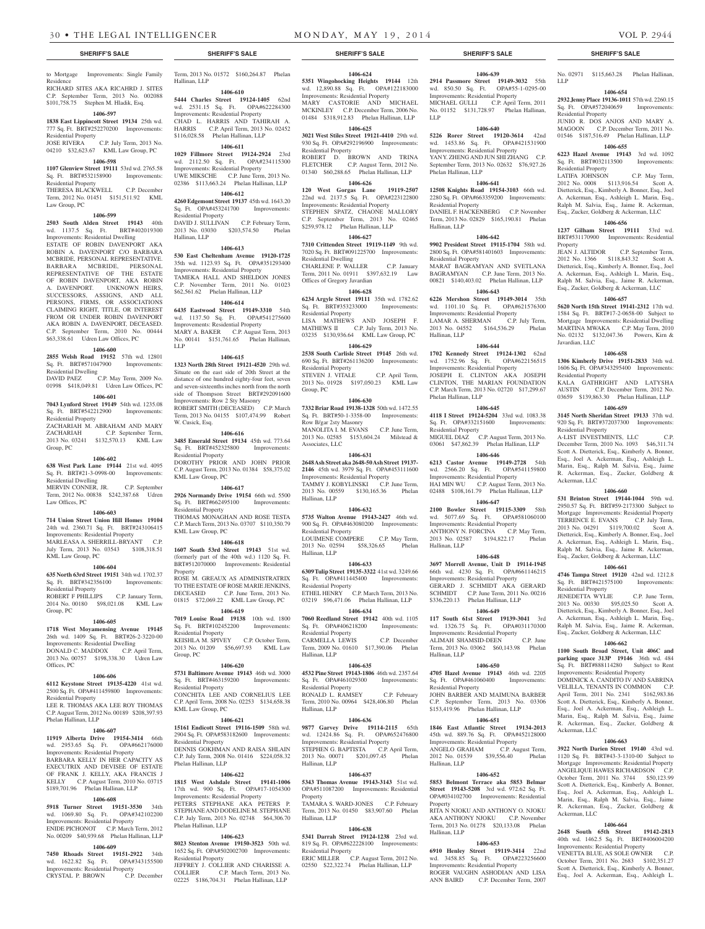to Mortgage Improvements: Single Family Residence RICHARD SITES AKA RICAHRD J. SITES C.P. September Term, 2013 No. 002088 \$101,758.75 Stephen M. Hladik, Esq.

#### **1406-597 1838 East Lippincott Street 19134** 25th wd.

777 Sq. Ft. BRT#252270200 Improvements: Residential Property JOSE RIVERA C.P. July Term, 2013 No.

# 04210 \$32,623.67 KML Law Group, PC **1406-598**

### **1107 Glenview Street 19111** 53rd wd. 2765.58 Sq. Ft. BRT#532158900 Improvements: Residential Property THERESA BLACKWELL C.P. December Term, 2012 No. 01451 \$151,511.92 KML

Law Group, PC **1406-599**

## **2503 South Alden Street 19143** 40th wd. 1137.5 Sq. Ft. BRT#402019300 Improvements: Residential Dwelling

ESTATE OF ROBIN DAVENPORT AKA ROBIN A. DAVENPORT C/O BARBARA MCBRIDE, PERSONAL REPRESENTATIVE. BARBARA MCBRIDE, PERSONAL REPRESENTATIVE OF THE ESTATE OF ROBIN DAVENPORT, AKA ROBIN A. DAVENPORT. UNKNOWN HEIRS, SUCCESSORS, ASSIGNS, AND ALL PERSONS, FIRMS, OR ASSOCIATIONS CLAIMING RIGHT, TITLE, OR INTEREST FROM OR UNDER ROBIN DAVENPORT AKA ROBIN A. DAVENPORT, DECEASED. C.P. September Term, 2010 No. 00444 \$63,338.61 Udren Law Offices, PC

# **1406-600**

**2855 Welsh Road 19152** 57th wd. 12801 Sq. Ft. BRT#571047900 Improvements: Residential Dwelling

DAVID PAEZ C.P. May Term, 2009 No. 01998 \$418,049.81 Udren Law Offices, PC

# **1406-601**

**7043 Lynford Street 19149** 54th wd. 1235.08 Sq. Ft. BRT#542212900 Improvements: Residential Property ZACHARIAH M. ABRAHAM AND MARY ZACHARIAH C.P. September Term, 2013 No. 03241 \$132,570.13 KML Law Group, PC

### **1406-602**

**638 West Park Lane 19144** 21st wd. 4095 Sq. Ft. BRT#21-3-0998-00 Improvements: Residential Dwelling

# MERVIN CONNER, JR. C.P. September Term, 2012 No. 00838 \$242,387.68 Udren Law Offices, PC

# **1406-603**

**714 Union Street Union Hill Homes 19104**  24th wd. 2360.71 Sq. Ft. BRT#243106415 Improvements: Residential Property MARLEASA A. SHERRILL-BRYANT C.P. July Term, 2013 No. 03543 \$108,318.51 KML Law Group, PC

# **1406-604**

**635 North 63rd Street 19151** 34th wd. 1702.37 Sq. Ft. BRT#342356100 Improvements: Residential Property ROBERT F PHILLIPS C.P. January Term,

2014 No. 00180 \$98,021.08 KML Law Group, PC

# **1406-605**

**1718 West Moyamensing Avenue 19145**  26th wd. 1409 Sq. Ft. BRT#26-2-3220-00 Improvements: Residential Dwelling<br>DONALD C. MADDOX C.P. April Term, DONALD C. MADDOX 2013 No. 00757 \$198,338.30 Udren Law Offices, PC

# **1406-606**

**6112 Keystone Street 19135-4220** 41st wd. 2500 Sq. Ft. OPA#411459800 Improvements:

Residential Property LEE R. THOMAS AKA LEE ROY THOMAS C.P. August Term, 2012 No. 00189 \$208,397.93 Phelan Hallinan, LLP

# **1406-607**

**11919 Alberta Drive 19154-3414** 66th wd. 2953.65 Sq. Ft. OPA#662176000 Improvements: Residential Property BARBARA KELLY IN HER CAPACITY AS EXECUTRIX AND DEVISEE OF ESTATE FRANK J. KELLY, AKA FRANCIS KELLY C.P. August Term, 2010 No. 03715 \$189,701.96 Phelan Hallinan, LLP

# **1406-608**

**5918 Turner Street 19151-3530** 34th wd. 1069.80 Sq. Ft. OPA#342102200 Improvements: Residential Property ENIDE PICHONOT C.P. March Term, 2012 No. 00209 \$40,939.68 Phelan Hallinan, LLP

# **1406-609**

**7450 Rhoads Street 19151-2922** 34th wd. 1622.82 Sq. Ft. OPA#343155500 Improvements: Residential Property CRYSTAL P. BROWN C.P. December

Term, 2013 No. 01572 \$160,264.87 Phelan Hallinan, LLP

**1406-610 5444 Charles Street 19124-1405** 62nd wd. 2531.15 Sq. Ft. OPA#622284300 Improvements: Residential Property CHAD L. HARRIS AND TAHIRAH A. HARRIS C.P. April Term, 2013 No. 02452 \$116,028.58 Phelan Hallinan, LLP

# **1406-611**

**1029 Fillmore Street 19124-2924** 23rd wd. 2112.50 Sq. Ft. OPA#234115300 Improvements: Residential Property UWE MIKSCHE C.P. June Term, 2013 No. 02386 \$113,663.24 Phelan Hallinan, LLP

# **1406-612**

**4260 Edgemont Street 19137** 45th wd. 1643.20 Sq. Ft. OPA#453241700 Improvements: Residential Property DAVID J. SULLIVAN C.P. February Term, 2013 No. 03030 \$203,574.50 Phelan Hallinan, LLP

#### **1406-613**

**530 East Cheltenham Avenue 19120-1725**  35th wd. 1123.93 Sq. Ft. OPA#351293400 Improvements: Residential Property TAMEKA HALL AND SHELDON JONES C.P. November Term, 2011 No. 01023 \$62,561.62 Phelan Hallinan, LLP

# **1406-614**

**6435 Eastwood Street 19149-3310** 54th wd. 1137.50 Sq. Ft. OPA#541275600 Improvements: Residential Property MARY A. BAKER C.P. August Term, 2013 No. 00141 \$151,761.65 Phelan Hallinan, LLP

# **1406-615**

**1323 North 28th Street 19121-4520** 29th wd. Situate on the east side of 20th Street at the distance of one hundred eighty-four feet, seven and seven-sixteenths inches north from the north side of Thompson Street BRT#292091600 Improvements: Row 2 Sty Masonry ROBERT SMITH (DECEASED) C.P. March Term, 2013 No. 04155 \$107,474.99 Robert W. Cusick, Esq.

#### **1406-616**

**3485 Emerald Street 19134** 45th wd. 773.64 Sq. Ft. BRT#452325800 Improvements: Residential Property DOROTHY PRIOR AND JOHN PRIOR C.P. August Term, 2013 No. 01384 \$58,375.02 KML Law Group, PC

# **1406-617**

**2926 Normandy Drive 19154** 66th wd. 5500<br>Sq. Ft. BRT#662495100 Improvements: Sq. Ft. BRT#662495100 Residential Property THOMAS MONAGHAN AND ROSE TESTA C.P. March Term, 2013 No. 03707 \$110,350.79 KML Law Group, PC

### **1406-618**

**1607 South 53rd Street 19143** 51st wd. (formerly part of the 40th wd.) 1120 Sq. Ft. BRT#512070000 Improvements: Residential Property ROSE M. GREAUX AS ADMINISTRATRIX TO THE ESTATE OF ROSE MARIE JENKINS,

DECEASED C.P. June Term, 2013 No. 01815 \$72,069.22 KML Law Group, PC **1406-619**

# **7019 Louise Road 19138** 10th wd. 1800 Sq. Ft. BRT#102452200 Improvements:

Residential Property KEISHLA M. SPIVEY C.P. October Term, 2013 No. 01209 \$56,697.93 KML Law Group, PC

# **1406-620**

**5731 Baltimore Avenue 19143** 46th wd. 3000 Sq. Ft. BRT#463159200 Improvements: Residential Property CONCHITA LEE AND CORNELIUS LEE

C.P. April Term, 2008 No. 02253 \$134,658.38 KML Law Group, PC

# **1406-621**

**15161 Endicott Street 19116-1509** 58th wd. 2904 Sq. Ft. OPA#583182600 Improvements: Residential Property DENNIS GOKHMAN AND RAISA SHLAIN C.P. July Term, 2008 No. 01416 \$224,058.32 Phelan Hallinan, LLP

# **1406-622**

**1815 West Ashdale Street 19141-1006**  17th wd. 900 Sq. Ft. OPA#17-1054300 Improvements: Residential Property PETERS STEPHANE AKA PETERS P. STEPHANE AND DODELINE M. STEPHANE C.P. July Term, 2013 No. 02748 \$64,306.70 Phelan Hallinan, LLP

# **1406-623**

**8023 Stenton Avenue 19150-3523** 50th wd. 1652 Sq. Ft. OPA#502002700 Improvements: Residential Property JEFFREY J. COLLIER AND CHARISSE A.

COLLIER C.P. March Term, 2013 No. 02225 \$186,704.31 Phelan Hallinan, LLP

# **1406-624**

**1406-639 2914 Passmore Street 19149-3032** 55th wd. 850.50 Sq. Ft. OPA#55-1-0295-00 Improvements: Residential Property MICHAEL GULLI C.P. April Term, 2011 No. 01152 \$131,728.97 Phelan Hallinan, No. 02971 \$115,663.28 Phelan Hallinan,

**1406-654 2932 Jenny Place 19136-1011** 57th wd. 2260.15 Sq. Ft. OPA#572040659 Improvements:

JUNIO R. DOS ANJOS AND MARY A. MAGOON C.P. December Term, 2011 No. 01546 \$187,516.49 Phelan Hallinan, LLP **1406-655 6223 Hazel Avenue 19143** 3rd wd. 1092 Sq. Ft. BRT#032113500 Improvements:

LATIFA JOHNSON C.P. May Term, 2012 No. 0008 \$113,916.54 Scott A. Dietterick, Esq., Kimberly A. Bonner, Esq., Joel A. Ackerman, Esq., Ashleigh L. Marin, Esq., Ralph M. Salvia, Esq., Jaime R. Ackerman, Esq., Zucker, Goldberg & Ackerman, LLC **1406-656 1237 Gilham Street 19111** 53rd wd. BRT#531170900 Improvements: Residential

JEAN J. ALTIDOR C.P. September Term, 2012 No. 1366 \$118,843.32 Scott A. Dietterick, Esq., Kimberly A. Bonner, Esq., Joel A. Ackerman, Esq., Ashleigh L. Marin, Esq., Ralph M. Salvia, Esq., Jaime R. Ackerman, Esq., Zucker, Goldberg & Ackerman, LLC **1406-657 5620 North 15th Street 19141-2312** 17th wd. 1584 Sq. Ft. BRT#17-2-0658-00 Subject to Mortgage Improvements: Residential Dwelling MARTINA MWAKA C.P. May Term, 2010 No. 02132 \$132,047.36 Powers, Kirn &

**1406-658 1306 Kimberly Drive 19151-2833** 34th wd. 1606 Sq. Ft. OPA#343295400 Improvements:

KALA GATHRIGHT AND LATYSHA<br>AUSTIN C.P. December Term. 2012 No. C.P. December Term, 2012 No.

03659 \$139,863.30 Phelan Hallinan, LLP **1406-659 3145 North Sheridan Street 19133** 37th wd. 920 Sq. Ft. BRT#372037300 Improvements:

A-LIST INVESTMENTS, LLC C.P. December Term, 2010 No. 1093 \$46,311.74 Scott A. Dietterick, Esq., Kimberly A. Bonner, Esq., Joel A. Ackerman, Esq., Ashleigh L. Marin, Esq., Ralph M. Salvia, Esq., Jaime R. Ackerman, Esq., Zucker, Goldberg &

**1406-660 531 Brinton Street 19144-1044** 59th wd. 2950.57 Sq. Ft. BRT#59-2173300 Subject to Mortgage Improvements: Residential Property TERRENCE E. EVANS C.P. July Term, 2013 No. 04291 \$119,700.02 Scott A. Dietterick, Esq., Kimberly A. Bonner, Esq., Joel A. Ackerman, Esq., Ashleigh L. Marin, Esq., Ralph M. Salvia, Esq., Jaime R. Ackerman, Esq., Zucker, Goldberg & Ackerman, LLC **1406-661 4746 Tampa Street 19120** 42nd wd. 1212.8 Sq. Ft. BRT#421575100 Improvements:

JENEDETTA WYLIE C.P. June Term, 2013 No. 00330 \$95,025.50 Scott A. Dietterick, Esq., Kimberly A. Bonner, Esq., Joel A. Ackerman, Esq., Ashleigh L. Marin, Esq., Ralph M. Salvia, Esq., Jaime R. Ackerman, Esq., Zucker, Goldberg & Ackerman, LLC **1406-662 1100 South Broad Street, Unit 406C and parking space 313P 19146** 36th wd. 484 Sq. Ft. BRT#888114280 Subject to Rent Improvements: Residential Property DOMINICK A. CANDITO IV AND SABRINA VELILLA, TENANTS IN COMMON C.P. April Term, 2011 No. 2341 \$162,983.86 Scott A. Dietterick, Esq., Kimberly A. Bonner, Esq., Joel A. Ackerman, Esq., Ashleigh L. Marin, Esq., Ralph M. Salvia, Esq., Jaime R. Ackerman, Esq., Zucker, Goldberg &

**1406-663 3922 North Darien Street 19140** 43rd wd. 1120 Sq. Ft. BRT#43-3-1310-00 Subject to Mortgage Improvements: Residential Property ANGELIQUE HAWES RICHARDSON C.P. October Term, 2011 No. 3744 \$50,123.99 Scott A. Dietterick, Esq., Kimberly A. Bonner, Esq., Joel A. Ackerman, Esq., Ashleigh L. Marin, Esq., Ralph M. Salvia, Esq., Jaime R. Ackerman, Esq., Zucker, Goldberg &

**1406-664 2648 South 65th Street 19142-2813**  40th wd. 1462.5 Sq. Ft. BRT#406004200 Improvements: Residential Property VENETTA BLUE, AS SOLE OWNER October Term, 2011 No. 2683 \$102,351.27 Scott A. Dietterick, Esq., Kimberly A. Bonner, Esq., Joel A. Ackerman, Esq., Ashleigh L.

LLP

Residential Property

Residential Property

Property

Javardian, LLC

Residential Property

Residential Property

Ackerman, LLC

Residential Property

Ackerman, LLC

Ackerman, LLC

**1406-640 5226 Rorer Street 19120-3614** 42nd wd. 1453.86 Sq. Ft. OPA#421531900 Improvements: Residential Property YAN Y. ZHENG AND JUN SHI ZHANG C.P. September Term, 2013 No. 02632 \$76,927.26

**1406-641 12508 Knights Road 19154-3103** 66th wd. 2280 Sq. Ft. OPA#663359200 Improvements:

DANIEL F. HACKENBERG C.P. November Term, 2013 No. 02829 \$165,190.81 Phelan

**1406-642 9902 President Street 19115-1704** 58th wd. 2800 Sq. Ft. OPA#581401603 Improvements:

MARAT BAGRAMYAN AND SVETLANA BAGRAMYAN C.P. June Term, 2013 No. 00821 \$140,403.02 Phelan Hallinan, LLP **1406-643 6226 Mershon Street 19149-3014** 35th wd. 1101.10 Sq. Ft. OPA#621576300 Improvements: Residential Property<br>LAMAR A. SHERMAN C.P. July Term, LAMAR A. SHERMAN C.P. July Term,<br>2013 No. 04552 \$164.536.29 Phelan 2013 No. 04552 \$164,536.29

**1406-644 1702 Kennedy Street 19124-1302** 62nd

**1406-645 4118 I Street 19124-5204** 33rd wd. 1083.38 Sq. Ft. OPA#332151600 Improvements:

MIGUEL DIAZ C.P. August Term, 2013 No. 03061 \$47,862.39 Phelan Hallinan, LLP **1406-646 6213 Castor Avenue 19149-2728** 54th

**1406-648 3697 Morrell Avenue, Unit D 19114-1945**  66th wd. 4230 Sq. Ft. OPA#661146215 Improvements: Residential Property GERARD J. SCHMIDT AKA GERARD SCHMIDT C.P. June Term, 2011 No. 00216 \$336,220.13 Phelan Hallinan, LLP **1406-649 117 South 61st Street 19139-3041** 3rd wd. 1326.75 Sq. Ft. OPA#031170300 Improvements: Residential Property ALIMAH SHAMSID-DEEN C.P. June Term, 2013 No. 03062 \$60,143.98 Phelan

**1406-650 4705 Hazel Avenue 19143** 46th wd. 2205 Sq. Ft. OPA#461060400 Improvements:

JOHN BARBER AND MAIMUNA BARBER C.P. September Term, 2013 No. 03306 \$153,419.96 Phelan Hallinan, LLP **1406-651 1846 East Atlantic Street 19134-2013**  45th wd. 889.76 Sq. Ft. OPA#452128000 Improvements: Residential Property ANGELO GRAHAM C.P. August Term, 2012 No. 01539 \$39,556.40 Phelan

**1406-652 5853 Belmont Terrace aka 5853 Belmar Street 19143-5208** 3rd wd. 972.62 Sq. Ft. OPA#034102700 Improvements: Residential

RITA N NJOKU AND ANTHONY O. NJOKU AKA ANTHONY NJOKU C.P. November Term, 2013 No. 01278 \$20,133.08 Phelan

**1406-653 6910 Henley Street 19119-3414** 22nd wd. 3458.85 Sq. Ft. OPA#223256600 Improvements: Residential Property ROGER VAUGHN ASHODIAN AND LISA ANN BAIRD C.P. December Term, 2007

LLP

Phelan Hallinan, LLP

Residential Property

Residential Property

Hallinan, LLP

Hallinan, LLP

wd.  $1752.96$  Sq. Ft. Improvements: Residential Property JOSEPH E. CLINTON AKA JOSEPH CLINTON, THE MARIAN FOUNDATION C.P. March Term, 2013 No. 02720 \$17,299.67

Phelan Hallinan, LLP

Residential Property

wd. 2566.20 Sq. Ft. Improvements: Residential Property HAI MIN WU C.P. August Term, 2013 No. 02488 \$108,161.79 Phelan Hallinan, LLP **1406-647 2100 Bowler Street 19115-3309** 58th wd. 5077.69 Sq. Ft. OPA#581060100 Improvements: Residential Property ANTHONY N. FORCINA C.P. May Term, 2013 No. 02587 \$194,822.17 Phelan

Hallinan, LLP

Hallinan, LLP

Residential Property

Hallinan, LLP

Property

Hallinan, LLP

**5351 Wingohocking Heights 19144** 12th wd. 12,890.88 Sq. Ft. OPA#122183000 Improvements: Residential Property MARY CASTORIE AND MICHAEL MCKINLEY C.P. December Term, 2006 No. 01484 \$318,912.83 Phelan Hallinan, LLP

### **1406-625 3021 West Stiles Street 19121-4410** 29th wd. 930 Sq. Ft. OPA#292196900 Improvements:

Residential Property ROBERT D. BROWN AND TRINA FLETCHER C.P. August Term, 2012 No. 01340 \$60,288.65 Phelan Hallinan, LLP

# **1406-626**

**120 West Gorgas Lane 19119-2507**  22nd wd. 2137.5 Sq. Ft. OPA#223122800 Improvements: Residential Property STEPHEN SPATZ, CHAONE MALLORY C.P. September Term, 2013 No. 02465 \$259,978.12 Phelan Hallinan, LLP

# **1406-627**

**7310 Crittenden Street 19119-1149** 9th wd. 7020 Sq. Ft. BRT#091225700 Improvements: Residential Dwelling

CHARLENE P. WALLER C.P. January Term, 2011 No. 01911 \$397,632.19 Law Offices of Gregory Javardian

### **1406-628**

**6234 Argyle Street 19111** 35th wd. 1782.62 Sq. Ft. BRT#353233000 Improvements: Residential Property LISA MATHEWS AND JOSEPH F.

MATHEWS II C.P. July Term, 2013 No. 03235 \$130,936.64 KML Law Group, PC **1406-629**

# **2538 South Carlisle Street 19145** 26th wd.

690 Sq. Ft. BRT#261136200 Improvements: Residential Property STEVEN J. VITALE C.P. April Term.

2013 No. 01928 \$197,050.23 KML Law Group, PC

# **1406-630**

**7332 Briar Road 19138-1328** 50th wd. 1472.55 Sq. Ft. BRT#50-1-3358-00 Improvements: Row B/gar 2sty Masonry MANOLITA I. M. EVANS C.P. June Term, 2013 No. 02585 \$153,604.24 Milstead & Associates, LLC

# **1406-631**

**2648 Ash Street aka 2648-50 Ash Street 19137- 2146** 45th wd. 3979 Sq. Ft. OPA#453111600 Improvements: Residential Property TAMMY J. KOBYLINSKI C.P. June Term,

2013 No. 00559 \$130,165.36 Phelan Hallinan, LLP **1406-632**

# **5735 Walton Avenue 19143-2427** 46th wd.

900 Sq. Ft. OPA#463080200 Improvements: Residential Property LOUIMENE COMPERE C.P. May Term,

2013 No. 02594 \$58,326.65 Phelan Hallinan, LLP **1406-633**

**6309 Tulip Street 19135-3322** 41st wd. 3249.66 Sq. Ft. OPA#411445400 Improvements: Residential Property ETHEL HENRY C.P. March Term, 2013 No.

03219 \$96,471.06 Phelan Hallinan, LLP **1406-634**

# **7060 Reedland Street 19142** 40th wd. 1105 Sq. Ft. OPA#406218200 Improvements:

Residential Property CARMELLA LEWIS C.P. December Term, 2009 No. 01610 \$17,390.06 Phelan Hallinan, LLP

#### **1406-635**

**4532 Pine Street 19143-1806** 46th wd. 2357.64 Sq. Ft. OPA#461029300 Improvements: Residential Property

RONALD L. RAMSEY C.P. February Term, 2010 No. 00964 \$428,406.80 Phelan Hallinan, LLP

# **1406-636**

**9877 Garvey Drive 19114-2115** 65th wd. 12424.86 Sq. Ft. OPA#652476800 Improvements: Residential Property STEPHEN G. BAPTISTA C.P. April Term, 2013 No. 00071 \$201,097.45 Phelan Hallinan, LLP

OPA#511087200 Improvements: Residential

TAMARA S. WARD-JONES C.P. February Term, 2013 No. 01450 \$83,907.60 Phelan

**1406-638 5341 Darrah Street 19124-1238** 23rd wd. 819 Sq. Ft. OPA#622228100 Improvements:

ERIC MILLER C.P. August Term, 2012 No. 02550 \$22,322.74 Phelan Hallinan, LLP

# **1406-637 5343 Thomas Avenue 19143-3143** 51st wd.

Property

Hallinan, LLP

Residential Property